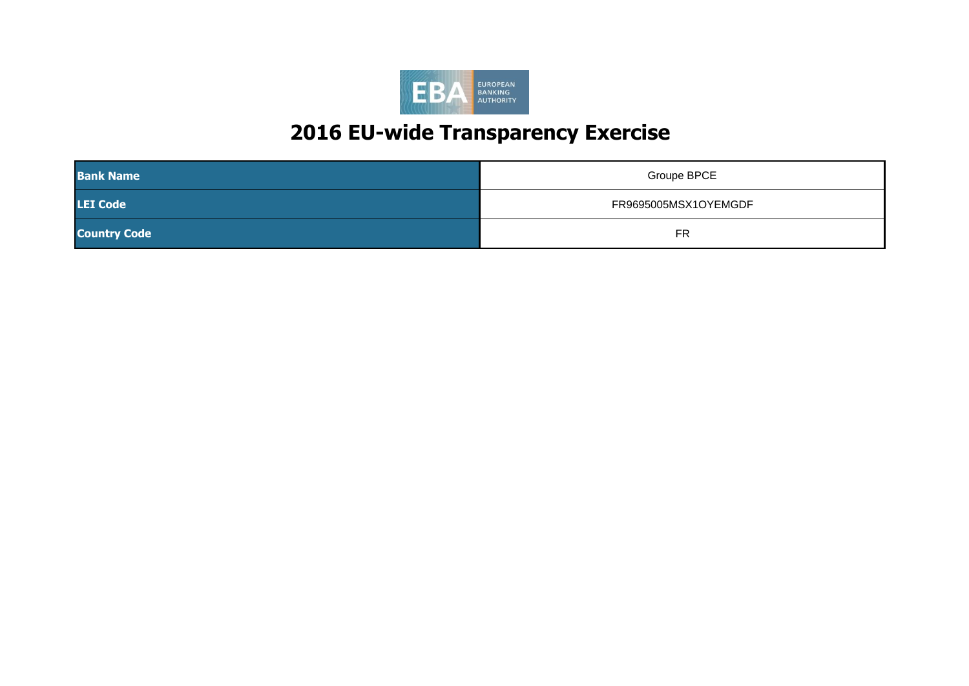

| <b>Bank Name</b>    | Groupe BPCE          |
|---------------------|----------------------|
| <b>LEI Code</b>     | FR9695005MSX1OYEMGDF |
| <b>Country Code</b> | <b>FR</b>            |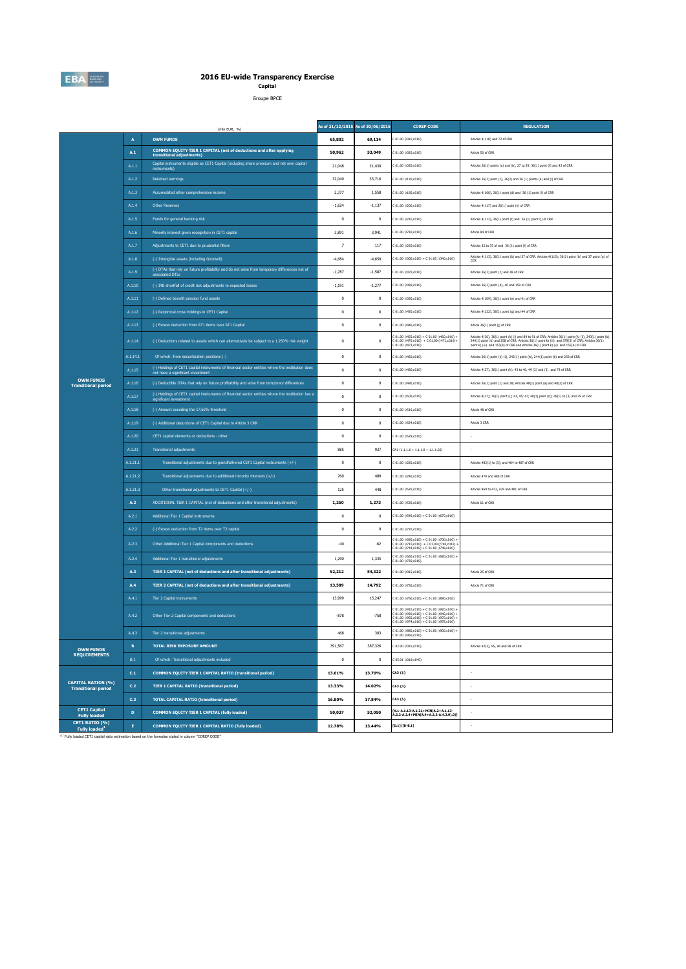

**Capital** Groupe BPCE

|                                                         |                | (mln EUR, %)                                                                                                                          |                                                                                                                                                                                                                                                                                                                                                                                                                                                                                                                                                                                                                                                                                                                                                                                                                                                                                                                                                                                                                                                                                                                                                                                                                                                                                                                                                                                                                                                                                                                                                                                                                                                                                                                                                                                                                                                                                                                                                                                                                                                                                                                                                                                                                                                                                                                                                                                                                                                                                                                                                                                                                                                                                                    |          | <b>COREP CODE</b>                                                            | <b>REGULATION</b>                                                                                                                                                                                                                                                                               |
|---------------------------------------------------------|----------------|---------------------------------------------------------------------------------------------------------------------------------------|----------------------------------------------------------------------------------------------------------------------------------------------------------------------------------------------------------------------------------------------------------------------------------------------------------------------------------------------------------------------------------------------------------------------------------------------------------------------------------------------------------------------------------------------------------------------------------------------------------------------------------------------------------------------------------------------------------------------------------------------------------------------------------------------------------------------------------------------------------------------------------------------------------------------------------------------------------------------------------------------------------------------------------------------------------------------------------------------------------------------------------------------------------------------------------------------------------------------------------------------------------------------------------------------------------------------------------------------------------------------------------------------------------------------------------------------------------------------------------------------------------------------------------------------------------------------------------------------------------------------------------------------------------------------------------------------------------------------------------------------------------------------------------------------------------------------------------------------------------------------------------------------------------------------------------------------------------------------------------------------------------------------------------------------------------------------------------------------------------------------------------------------------------------------------------------------------------------------------------------------------------------------------------------------------------------------------------------------------------------------------------------------------------------------------------------------------------------------------------------------------------------------------------------------------------------------------------------------------------------------------------------------------------------------------------------------------|----------|------------------------------------------------------------------------------|-------------------------------------------------------------------------------------------------------------------------------------------------------------------------------------------------------------------------------------------------------------------------------------------------|
|                                                         | $\overline{A}$ | <b>OWN FUNDS</b>                                                                                                                      | 65,802                                                                                                                                                                                                                                                                                                                                                                                                                                                                                                                                                                                                                                                                                                                                                                                                                                                                                                                                                                                                                                                                                                                                                                                                                                                                                                                                                                                                                                                                                                                                                                                                                                                                                                                                                                                                                                                                                                                                                                                                                                                                                                                                                                                                                                                                                                                                                                                                                                                                                                                                                                                                                                                                                             | 69,114   | C 01.00 (r010,c010)                                                          | Articles 4(118) and 72 of CRR                                                                                                                                                                                                                                                                   |
|                                                         | A.1            | COMMON EQUITY TIER 1 CAPITAL (net of deductions and after applying<br>transitional adjustments)                                       | 50,962                                                                                                                                                                                                                                                                                                                                                                                                                                                                                                                                                                                                                                                                                                                                                                                                                                                                                                                                                                                                                                                                                                                                                                                                                                                                                                                                                                                                                                                                                                                                                                                                                                                                                                                                                                                                                                                                                                                                                                                                                                                                                                                                                                                                                                                                                                                                                                                                                                                                                                                                                                                                                                                                                             | 53,049   | C 01.00 (r020,c010)                                                          | Article 50 of CRR                                                                                                                                                                                                                                                                               |
|                                                         | A.1.1          | Capital instruments eligible as CET1 Capital (including share premium and net own capital<br>instruments)                             | 21,048                                                                                                                                                                                                                                                                                                                                                                                                                                                                                                                                                                                                                                                                                                                                                                                                                                                                                                                                                                                                                                                                                                                                                                                                                                                                                                                                                                                                                                                                                                                                                                                                                                                                                                                                                                                                                                                                                                                                                                                                                                                                                                                                                                                                                                                                                                                                                                                                                                                                                                                                                                                                                                                                                             | 21,430   | C 01.00 (r030,c010)                                                          | Articles 26(1) points (a) and (b), 27 to 29, 36(1) point (f) and 42 of CRR                                                                                                                                                                                                                      |
|                                                         | A.1.2          | Retained earnings                                                                                                                     | 32,040                                                                                                                                                                                                                                                                                                                                                                                                                                                                                                                                                                                                                                                                                                                                                                                                                                                                                                                                                                                                                                                                                                                                                                                                                                                                                                                                                                                                                                                                                                                                                                                                                                                                                                                                                                                                                                                                                                                                                                                                                                                                                                                                                                                                                                                                                                                                                                                                                                                                                                                                                                                                                                                                                             | 33,716   | C 01.00 (r130,c010)                                                          | Articles 26(1) point (c), 26(2) and 36 (1) points (a) and (f) of CRR                                                                                                                                                                                                                            |
|                                                         | A.1.3          | Accumulated other comprehensive income                                                                                                | 2.377                                                                                                                                                                                                                                                                                                                                                                                                                                                                                                                                                                                                                                                                                                                                                                                                                                                                                                                                                                                                                                                                                                                                                                                                                                                                                                                                                                                                                                                                                                                                                                                                                                                                                                                                                                                                                                                                                                                                                                                                                                                                                                                                                                                                                                                                                                                                                                                                                                                                                                                                                                                                                                                                                              | 1.558    | C 01.00 (r180.c010)                                                          | Articles 4(100), 26(1) point (d) and 36 (1) point (l) of CRR                                                                                                                                                                                                                                    |
|                                                         | A.1.4          | Other Reserves                                                                                                                        | $-1,624$                                                                                                                                                                                                                                                                                                                                                                                                                                                                                                                                                                                                                                                                                                                                                                                                                                                                                                                                                                                                                                                                                                                                                                                                                                                                                                                                                                                                                                                                                                                                                                                                                                                                                                                                                                                                                                                                                                                                                                                                                                                                                                                                                                                                                                                                                                                                                                                                                                                                                                                                                                                                                                                                                           | $-1,137$ | C 01.00 (r200,c010)                                                          | Articles 4(117) and 26(1) point (e) of CRR                                                                                                                                                                                                                                                      |
|                                                         | A.1.5          | Funds for general banking risk                                                                                                        | $\mathbf 0$                                                                                                                                                                                                                                                                                                                                                                                                                                                                                                                                                                                                                                                                                                                                                                                                                                                                                                                                                                                                                                                                                                                                                                                                                                                                                                                                                                                                                                                                                                                                                                                                                                                                                                                                                                                                                                                                                                                                                                                                                                                                                                                                                                                                                                                                                                                                                                                                                                                                                                                                                                                                                                                                                        | $\bf{0}$ | C 01.00 (r210,c010)                                                          | Articles 4(112), 26(1) point (f) and 36 (1) point (l) of CRR                                                                                                                                                                                                                                    |
|                                                         | A.1.6          | Minority interest given recognition in CET1 capital                                                                                   | 3.891                                                                                                                                                                                                                                                                                                                                                                                                                                                                                                                                                                                                                                                                                                                                                                                                                                                                                                                                                                                                                                                                                                                                                                                                                                                                                                                                                                                                                                                                                                                                                                                                                                                                                                                                                                                                                                                                                                                                                                                                                                                                                                                                                                                                                                                                                                                                                                                                                                                                                                                                                                                                                                                                                              | 3.941    | C 01.00 (r230.c010)                                                          | Article 84 of CRR                                                                                                                                                                                                                                                                               |
|                                                         | A.1.7          | Adjustments to CET1 due to prudential filters                                                                                         | $\overline{\phantom{a}}$                                                                                                                                                                                                                                                                                                                                                                                                                                                                                                                                                                                                                                                                                                                                                                                                                                                                                                                                                                                                                                                                                                                                                                                                                                                                                                                                                                                                                                                                                                                                                                                                                                                                                                                                                                                                                                                                                                                                                                                                                                                                                                                                                                                                                                                                                                                                                                                                                                                                                                                                                                                                                                                                           | 117      | C 01.00 (r250,c010)                                                          | Articles 32 to 35 of and 36 (1) point (l) of CRR                                                                                                                                                                                                                                                |
|                                                         | A.1.8          | (-) Intangible assets (including Goodwill)                                                                                            | $-4,684$                                                                                                                                                                                                                                                                                                                                                                                                                                                                                                                                                                                                                                                                                                                                                                                                                                                                                                                                                                                                                                                                                                                                                                                                                                                                                                                                                                                                                                                                                                                                                                                                                                                                                                                                                                                                                                                                                                                                                                                                                                                                                                                                                                                                                                                                                                                                                                                                                                                                                                                                                                                                                                                                                           | $-4,650$ | $C$ 01.00 (r300,c010) + $C$ 01.00 (r340,c010)                                | Articles 4(113), 36(1) point (b) and 37 of CRR. Articles 4(115), 36(1) point (b) and 37 point (a) of<br>CCR                                                                                                                                                                                     |
|                                                         | A.1.9          | (-) DTAs that rely on future profitability and do not arise from temporary differences net of<br>ssociated DTLs                       | $-1.787$                                                                                                                                                                                                                                                                                                                                                                                                                                                                                                                                                                                                                                                                                                                                                                                                                                                                                                                                                                                                                                                                                                                                                                                                                                                                                                                                                                                                                                                                                                                                                                                                                                                                                                                                                                                                                                                                                                                                                                                                                                                                                                                                                                                                                                                                                                                                                                                                                                                                                                                                                                                                                                                                                           | $-1.587$ |                                                                              | Articles 36(1) point (c) and 38 of CRR                                                                                                                                                                                                                                                          |
|                                                         | A.1.10         | (-) IRB shortfall of credit risk adjustments to expected losses                                                                       | As of 31/12/2015 As of 30/06/2016<br>C 01.00 (r370.c010)<br>$-1,191$<br>$-1,277$<br>C 01.00 (r380,c010)<br>Articles 36(1) point (d), 40 and 159 of CRR<br>$\mathbf 0$<br>$\bf{0}$<br>C 01.00 (r390,c010)<br>Articles 4(109), 36(1) point (e) and 41 of CRR<br>$\mathbf{0}$<br>$\mathbf{0}$<br>C 01.00 (r430,c010)<br>Articles 4(122), 36(1) point (g) and 44 of CRR<br>$\,0\,$<br>$\mathbf{0}$<br>C 01.00 (r440,c010)<br>Article 36(1) point (j) of CRR<br>$C 01.00 (r450, c010) + C 01.00 (r460, c010) +$<br>$\mathbf{0}$<br>$\overline{0}$<br>C 01.00 (r470,c010) + C 01.00 (r471,c010)+<br>C 01.00 (r472,c010)<br>$\mathbf{0}$<br>$\mathbf{0}$<br>C 01.00 (r460,c010)<br>$\,0\,$<br>$\,0\,$<br>C 01.00 (r480,c010)<br>$\mathbf 0$<br>$\,0\,$<br>C 01.00 (r490,c010)<br>$\mathbf{0}$<br>$\overline{0}$<br>C 01.00 (rS00,c010)<br>$\mathbf 0$<br>$\,0\,$<br>Article 48 of CRR<br>C 01.00 (r510.c010)<br>$\mathbf 0$<br>$\,0\,$<br>C 01.00 (r524,c010)<br>Article 3 CRR<br>$\mathbf 0$<br>$\overline{0}$<br>C 01.00 (r529,c010)<br>937<br>885<br>$CA1$ {1.1.1.6 + 1.1.1.8 + 1.1.1.26}<br>$\mathbf 0$<br>$\,$ 0<br>C 01.00 (r220,c010)<br>Articles 483(1) to (3), and 484 to 487 of CRR<br>760<br>489<br>C 01.00 (r240,c010)<br>Articles 479 and 480 of CRR<br>Articles 469 to 472, 478 and 481 of CRR<br>125<br>448<br>C 01.00 (r520,c010)<br>1,250<br>1,273<br>C 01.00 (r530,c010)<br>Article 61 of CRR<br>$\mathbf 0$<br>$\bf{0}$<br>C 01.00 (r540,c010) + C 01.00 (r670,c010)<br>C 01.00 (r720,c010)<br>$\mathbf{0}$<br>$\overline{0}$<br>$\begin{array}{l} \texttt{C}\ 01.00\ (\texttt{r690}, \texttt{c010}) + \texttt{C}\ 01.00\ (\texttt{r700}, \texttt{c010}) + \\ \texttt{C}\ 01.00\ (\texttt{r710}, \texttt{c010}) + \texttt{C}\ 01.00\ (\texttt{r740}, \texttt{c010}) \\ \texttt{C}\ 01.00\ (\texttt{r744}, \texttt{c010}) + \texttt{C}\ 01.00\ (\texttt{r748}, \texttt{c010}) \end{array}$<br>$-40$<br>$-62$<br>$01.00 (r660, c010) + C 01.00 (r680, c010)$<br>1.335<br>1.290<br>C 01.00 (r730, c010)<br>52,212<br>54,322<br>C 01.00 (r015,c010)<br>Article 25 of CRR<br>13,589<br>14,792<br>C 01.00 (r750,c010)<br>Article 71 of CRR<br>13,999<br>15,247<br>C 01.00 (r760,c010) + C 01.00 (r890,c010)<br>$C$ 01.00 (r910,c010) + $C$ 01.00 (r920,c010) +<br>C 01.00 (r930,c010) + C 01.00 (r940,c010) -<br>$-878$<br>$-758$<br>C 01.00 (r950.c010) + C 01.00 (r970.c010) -<br>$01.00 (r974, c010) + C 01.00 (r978, c010)$<br>C 01.00 (r880.c010) + C 01.00 (r900.c010) +<br>468<br>303<br>391,567<br>387,326<br>C 02.00 (r010,c010)<br>Articles 92(3), 95, 96 and 98 of CRR<br>$\,0\,$<br>$\,0\,$<br>C 05.01 (r010;c040)<br>CA3 {1}<br>13.01%<br>13.70%<br>13.33%<br>14.02%<br>CA3 {3} |          |                                                                              |                                                                                                                                                                                                                                                                                                 |
|                                                         | A.1.11         | (-) Defined benefit pension fund assets                                                                                               |                                                                                                                                                                                                                                                                                                                                                                                                                                                                                                                                                                                                                                                                                                                                                                                                                                                                                                                                                                                                                                                                                                                                                                                                                                                                                                                                                                                                                                                                                                                                                                                                                                                                                                                                                                                                                                                                                                                                                                                                                                                                                                                                                                                                                                                                                                                                                                                                                                                                                                                                                                                                                                                                                                    |          |                                                                              |                                                                                                                                                                                                                                                                                                 |
|                                                         | A.1.12         | (-) Reciprocal cross holdings in CET1 Capital                                                                                         |                                                                                                                                                                                                                                                                                                                                                                                                                                                                                                                                                                                                                                                                                                                                                                                                                                                                                                                                                                                                                                                                                                                                                                                                                                                                                                                                                                                                                                                                                                                                                                                                                                                                                                                                                                                                                                                                                                                                                                                                                                                                                                                                                                                                                                                                                                                                                                                                                                                                                                                                                                                                                                                                                                    |          |                                                                              |                                                                                                                                                                                                                                                                                                 |
|                                                         | A.1.13         | (-) Excess deduction from AT1 items over AT1 Capital                                                                                  |                                                                                                                                                                                                                                                                                                                                                                                                                                                                                                                                                                                                                                                                                                                                                                                                                                                                                                                                                                                                                                                                                                                                                                                                                                                                                                                                                                                                                                                                                                                                                                                                                                                                                                                                                                                                                                                                                                                                                                                                                                                                                                                                                                                                                                                                                                                                                                                                                                                                                                                                                                                                                                                                                                    |          |                                                                              |                                                                                                                                                                                                                                                                                                 |
|                                                         | A.1.14         | (-) Deductions related to assets which can alternatively be subject to a 1.250% risk weight                                           |                                                                                                                                                                                                                                                                                                                                                                                                                                                                                                                                                                                                                                                                                                                                                                                                                                                                                                                                                                                                                                                                                                                                                                                                                                                                                                                                                                                                                                                                                                                                                                                                                                                                                                                                                                                                                                                                                                                                                                                                                                                                                                                                                                                                                                                                                                                                                                                                                                                                                                                                                                                                                                                                                                    |          |                                                                              | Articles 4(36), 36(1) point (k) (i) and 89 to 91 of CRR; Articles 36(1) point (k) (ii), 243(1) point (b), 244(1) point (b) and 258 of CRR; Articles 36(1) point k) (ii) and 379(3) of CRR; Articles 36(1)<br>point k) (iv) and 153(8) of CRR and Articles 36(1) point k) (v) and 155(4) of CRR. |
|                                                         | A.1.14.1       | Of which: from securitisation positions (-)                                                                                           |                                                                                                                                                                                                                                                                                                                                                                                                                                                                                                                                                                                                                                                                                                                                                                                                                                                                                                                                                                                                                                                                                                                                                                                                                                                                                                                                                                                                                                                                                                                                                                                                                                                                                                                                                                                                                                                                                                                                                                                                                                                                                                                                                                                                                                                                                                                                                                                                                                                                                                                                                                                                                                                                                                    |          |                                                                              | Articles 36(1) point (k) (ii), 243(1) point (b), 244(1) point (b) and 258 of CRR                                                                                                                                                                                                                |
|                                                         | A.1.15         | (-) Holdings of CET1 capital instruments of financial sector entities where the institution does<br>not have a significant investment |                                                                                                                                                                                                                                                                                                                                                                                                                                                                                                                                                                                                                                                                                                                                                                                                                                                                                                                                                                                                                                                                                                                                                                                                                                                                                                                                                                                                                                                                                                                                                                                                                                                                                                                                                                                                                                                                                                                                                                                                                                                                                                                                                                                                                                                                                                                                                                                                                                                                                                                                                                                                                                                                                                    |          |                                                                              | Articles 4(27), 36(1) point (h); 43 to 46, 49 (2) and (3) and 79 of CRR                                                                                                                                                                                                                         |
| <b>OWN FUNDS</b><br><b>Transitional period</b>          | A.1.16         | (-) Deductible DTAs that rely on future profitability and arise from temporary differences                                            |                                                                                                                                                                                                                                                                                                                                                                                                                                                                                                                                                                                                                                                                                                                                                                                                                                                                                                                                                                                                                                                                                                                                                                                                                                                                                                                                                                                                                                                                                                                                                                                                                                                                                                                                                                                                                                                                                                                                                                                                                                                                                                                                                                                                                                                                                                                                                                                                                                                                                                                                                                                                                                                                                                    |          |                                                                              | Articles 36(1) point (c) and 38; Articles 48(1) point (a) and 48(2) of CRR                                                                                                                                                                                                                      |
|                                                         | A.1.17         | (-) Holdings of CET1 capital instruments of financial sector entities where the institiution has a<br>significant investment          |                                                                                                                                                                                                                                                                                                                                                                                                                                                                                                                                                                                                                                                                                                                                                                                                                                                                                                                                                                                                                                                                                                                                                                                                                                                                                                                                                                                                                                                                                                                                                                                                                                                                                                                                                                                                                                                                                                                                                                                                                                                                                                                                                                                                                                                                                                                                                                                                                                                                                                                                                                                                                                                                                                    |          |                                                                              | Articles 4(27); 36(1) point (i); 43, 45; 47; 48(1) point (b); 49(1) to (3) and 79 of CRR                                                                                                                                                                                                        |
|                                                         | A.1.18         | (-) Amount exceding the 17.65% threshold                                                                                              |                                                                                                                                                                                                                                                                                                                                                                                                                                                                                                                                                                                                                                                                                                                                                                                                                                                                                                                                                                                                                                                                                                                                                                                                                                                                                                                                                                                                                                                                                                                                                                                                                                                                                                                                                                                                                                                                                                                                                                                                                                                                                                                                                                                                                                                                                                                                                                                                                                                                                                                                                                                                                                                                                                    |          |                                                                              |                                                                                                                                                                                                                                                                                                 |
|                                                         | A.1.19         | (-) Additional deductions of CET1 Capital due to Article 3 CRR                                                                        |                                                                                                                                                                                                                                                                                                                                                                                                                                                                                                                                                                                                                                                                                                                                                                                                                                                                                                                                                                                                                                                                                                                                                                                                                                                                                                                                                                                                                                                                                                                                                                                                                                                                                                                                                                                                                                                                                                                                                                                                                                                                                                                                                                                                                                                                                                                                                                                                                                                                                                                                                                                                                                                                                                    |          |                                                                              |                                                                                                                                                                                                                                                                                                 |
|                                                         | A.1.20         | CET1 capital elements or deductions - other                                                                                           |                                                                                                                                                                                                                                                                                                                                                                                                                                                                                                                                                                                                                                                                                                                                                                                                                                                                                                                                                                                                                                                                                                                                                                                                                                                                                                                                                                                                                                                                                                                                                                                                                                                                                                                                                                                                                                                                                                                                                                                                                                                                                                                                                                                                                                                                                                                                                                                                                                                                                                                                                                                                                                                                                                    |          |                                                                              |                                                                                                                                                                                                                                                                                                 |
|                                                         | A.1.21         | <b>Transitional adjustments</b>                                                                                                       |                                                                                                                                                                                                                                                                                                                                                                                                                                                                                                                                                                                                                                                                                                                                                                                                                                                                                                                                                                                                                                                                                                                                                                                                                                                                                                                                                                                                                                                                                                                                                                                                                                                                                                                                                                                                                                                                                                                                                                                                                                                                                                                                                                                                                                                                                                                                                                                                                                                                                                                                                                                                                                                                                                    |          |                                                                              |                                                                                                                                                                                                                                                                                                 |
|                                                         | A.1.21.1       | Transitional adjustments due to grandfathered CET1 Capital instruments (+/-)                                                          |                                                                                                                                                                                                                                                                                                                                                                                                                                                                                                                                                                                                                                                                                                                                                                                                                                                                                                                                                                                                                                                                                                                                                                                                                                                                                                                                                                                                                                                                                                                                                                                                                                                                                                                                                                                                                                                                                                                                                                                                                                                                                                                                                                                                                                                                                                                                                                                                                                                                                                                                                                                                                                                                                                    |          |                                                                              |                                                                                                                                                                                                                                                                                                 |
|                                                         | A.1.21.2       | Transitional adjustments due to additional minority interests (+/-)                                                                   |                                                                                                                                                                                                                                                                                                                                                                                                                                                                                                                                                                                                                                                                                                                                                                                                                                                                                                                                                                                                                                                                                                                                                                                                                                                                                                                                                                                                                                                                                                                                                                                                                                                                                                                                                                                                                                                                                                                                                                                                                                                                                                                                                                                                                                                                                                                                                                                                                                                                                                                                                                                                                                                                                                    |          |                                                                              |                                                                                                                                                                                                                                                                                                 |
|                                                         | A.1.21.3       | Other transitional adjustments to CET1 Capital (+/-)                                                                                  |                                                                                                                                                                                                                                                                                                                                                                                                                                                                                                                                                                                                                                                                                                                                                                                                                                                                                                                                                                                                                                                                                                                                                                                                                                                                                                                                                                                                                                                                                                                                                                                                                                                                                                                                                                                                                                                                                                                                                                                                                                                                                                                                                                                                                                                                                                                                                                                                                                                                                                                                                                                                                                                                                                    |          |                                                                              |                                                                                                                                                                                                                                                                                                 |
|                                                         | A.2            | ADDITIONAL TIER 1 CAPITAL (net of deductions and after transitional adjustments)                                                      |                                                                                                                                                                                                                                                                                                                                                                                                                                                                                                                                                                                                                                                                                                                                                                                                                                                                                                                                                                                                                                                                                                                                                                                                                                                                                                                                                                                                                                                                                                                                                                                                                                                                                                                                                                                                                                                                                                                                                                                                                                                                                                                                                                                                                                                                                                                                                                                                                                                                                                                                                                                                                                                                                                    |          |                                                                              |                                                                                                                                                                                                                                                                                                 |
|                                                         | A.2.1          | Additional Tier 1 Capital instruments                                                                                                 |                                                                                                                                                                                                                                                                                                                                                                                                                                                                                                                                                                                                                                                                                                                                                                                                                                                                                                                                                                                                                                                                                                                                                                                                                                                                                                                                                                                                                                                                                                                                                                                                                                                                                                                                                                                                                                                                                                                                                                                                                                                                                                                                                                                                                                                                                                                                                                                                                                                                                                                                                                                                                                                                                                    |          |                                                                              |                                                                                                                                                                                                                                                                                                 |
|                                                         | A.2.2          | (-) Excess deduction from T2 items over T2 capital                                                                                    |                                                                                                                                                                                                                                                                                                                                                                                                                                                                                                                                                                                                                                                                                                                                                                                                                                                                                                                                                                                                                                                                                                                                                                                                                                                                                                                                                                                                                                                                                                                                                                                                                                                                                                                                                                                                                                                                                                                                                                                                                                                                                                                                                                                                                                                                                                                                                                                                                                                                                                                                                                                                                                                                                                    |          |                                                                              |                                                                                                                                                                                                                                                                                                 |
|                                                         | A.2.3          | Other Additional Tier 1 Capital components and deductions                                                                             |                                                                                                                                                                                                                                                                                                                                                                                                                                                                                                                                                                                                                                                                                                                                                                                                                                                                                                                                                                                                                                                                                                                                                                                                                                                                                                                                                                                                                                                                                                                                                                                                                                                                                                                                                                                                                                                                                                                                                                                                                                                                                                                                                                                                                                                                                                                                                                                                                                                                                                                                                                                                                                                                                                    |          |                                                                              |                                                                                                                                                                                                                                                                                                 |
|                                                         | A.2.4          | Additional Tier 1 transitional adjustments                                                                                            |                                                                                                                                                                                                                                                                                                                                                                                                                                                                                                                                                                                                                                                                                                                                                                                                                                                                                                                                                                                                                                                                                                                                                                                                                                                                                                                                                                                                                                                                                                                                                                                                                                                                                                                                                                                                                                                                                                                                                                                                                                                                                                                                                                                                                                                                                                                                                                                                                                                                                                                                                                                                                                                                                                    |          |                                                                              |                                                                                                                                                                                                                                                                                                 |
|                                                         | A.3            | TIER 1 CAPITAL (net of deductions and after transitional adjustments)                                                                 |                                                                                                                                                                                                                                                                                                                                                                                                                                                                                                                                                                                                                                                                                                                                                                                                                                                                                                                                                                                                                                                                                                                                                                                                                                                                                                                                                                                                                                                                                                                                                                                                                                                                                                                                                                                                                                                                                                                                                                                                                                                                                                                                                                                                                                                                                                                                                                                                                                                                                                                                                                                                                                                                                                    |          |                                                                              |                                                                                                                                                                                                                                                                                                 |
|                                                         | A.4            | TIER 2 CAPITAL (net of deductions and after transitional adjustments)                                                                 |                                                                                                                                                                                                                                                                                                                                                                                                                                                                                                                                                                                                                                                                                                                                                                                                                                                                                                                                                                                                                                                                                                                                                                                                                                                                                                                                                                                                                                                                                                                                                                                                                                                                                                                                                                                                                                                                                                                                                                                                                                                                                                                                                                                                                                                                                                                                                                                                                                                                                                                                                                                                                                                                                                    |          |                                                                              |                                                                                                                                                                                                                                                                                                 |
|                                                         | A.4.1          | Tier 2 Capital instruments                                                                                                            |                                                                                                                                                                                                                                                                                                                                                                                                                                                                                                                                                                                                                                                                                                                                                                                                                                                                                                                                                                                                                                                                                                                                                                                                                                                                                                                                                                                                                                                                                                                                                                                                                                                                                                                                                                                                                                                                                                                                                                                                                                                                                                                                                                                                                                                                                                                                                                                                                                                                                                                                                                                                                                                                                                    |          |                                                                              |                                                                                                                                                                                                                                                                                                 |
|                                                         | A.4.2          | Other Tier 2 Capital components and deductions                                                                                        |                                                                                                                                                                                                                                                                                                                                                                                                                                                                                                                                                                                                                                                                                                                                                                                                                                                                                                                                                                                                                                                                                                                                                                                                                                                                                                                                                                                                                                                                                                                                                                                                                                                                                                                                                                                                                                                                                                                                                                                                                                                                                                                                                                                                                                                                                                                                                                                                                                                                                                                                                                                                                                                                                                    |          |                                                                              |                                                                                                                                                                                                                                                                                                 |
|                                                         | A.4.3          | Tier 2 transitional adjustments                                                                                                       |                                                                                                                                                                                                                                                                                                                                                                                                                                                                                                                                                                                                                                                                                                                                                                                                                                                                                                                                                                                                                                                                                                                                                                                                                                                                                                                                                                                                                                                                                                                                                                                                                                                                                                                                                                                                                                                                                                                                                                                                                                                                                                                                                                                                                                                                                                                                                                                                                                                                                                                                                                                                                                                                                                    |          |                                                                              |                                                                                                                                                                                                                                                                                                 |
| <b>OWN FUNDS</b>                                        | $\mathbf B$    | <b>TOTAL RISK EXPOSURE AMOUNT</b>                                                                                                     |                                                                                                                                                                                                                                                                                                                                                                                                                                                                                                                                                                                                                                                                                                                                                                                                                                                                                                                                                                                                                                                                                                                                                                                                                                                                                                                                                                                                                                                                                                                                                                                                                                                                                                                                                                                                                                                                                                                                                                                                                                                                                                                                                                                                                                                                                                                                                                                                                                                                                                                                                                                                                                                                                                    |          |                                                                              |                                                                                                                                                                                                                                                                                                 |
| <b>REQUIREMENTS</b>                                     | $_{\rm B.1}$   | Of which: Transitional adjustments included                                                                                           |                                                                                                                                                                                                                                                                                                                                                                                                                                                                                                                                                                                                                                                                                                                                                                                                                                                                                                                                                                                                                                                                                                                                                                                                                                                                                                                                                                                                                                                                                                                                                                                                                                                                                                                                                                                                                                                                                                                                                                                                                                                                                                                                                                                                                                                                                                                                                                                                                                                                                                                                                                                                                                                                                                    |          |                                                                              |                                                                                                                                                                                                                                                                                                 |
|                                                         | C.1            | COMMON EQUITY TIER 1 CAPITAL RATIO (transitional period)                                                                              |                                                                                                                                                                                                                                                                                                                                                                                                                                                                                                                                                                                                                                                                                                                                                                                                                                                                                                                                                                                                                                                                                                                                                                                                                                                                                                                                                                                                                                                                                                                                                                                                                                                                                                                                                                                                                                                                                                                                                                                                                                                                                                                                                                                                                                                                                                                                                                                                                                                                                                                                                                                                                                                                                                    |          |                                                                              |                                                                                                                                                                                                                                                                                                 |
| <b>CAPITAL RATIOS (%)</b><br><b>Transitional period</b> | C.2            | <b>TIER 1 CAPITAL RATIO (transitional period)</b>                                                                                     |                                                                                                                                                                                                                                                                                                                                                                                                                                                                                                                                                                                                                                                                                                                                                                                                                                                                                                                                                                                                                                                                                                                                                                                                                                                                                                                                                                                                                                                                                                                                                                                                                                                                                                                                                                                                                                                                                                                                                                                                                                                                                                                                                                                                                                                                                                                                                                                                                                                                                                                                                                                                                                                                                                    |          |                                                                              |                                                                                                                                                                                                                                                                                                 |
|                                                         | C.3            | <b>TOTAL CAPITAL RATIO (transitional period)</b>                                                                                      | 16.80%                                                                                                                                                                                                                                                                                                                                                                                                                                                                                                                                                                                                                                                                                                                                                                                                                                                                                                                                                                                                                                                                                                                                                                                                                                                                                                                                                                                                                                                                                                                                                                                                                                                                                                                                                                                                                                                                                                                                                                                                                                                                                                                                                                                                                                                                                                                                                                                                                                                                                                                                                                                                                                                                                             | 17.84%   | CA3 (5)                                                                      | $\sim$                                                                                                                                                                                                                                                                                          |
| <b>CET1 Capital</b><br><b>Fully loaded</b>              | D              | COMMON EQUITY TIER 1 CAPITAL (fully loaded)                                                                                           | 50,037                                                                                                                                                                                                                                                                                                                                                                                                                                                                                                                                                                                                                                                                                                                                                                                                                                                                                                                                                                                                                                                                                                                                                                                                                                                                                                                                                                                                                                                                                                                                                                                                                                                                                                                                                                                                                                                                                                                                                                                                                                                                                                                                                                                                                                                                                                                                                                                                                                                                                                                                                                                                                                                                                             | 52,050   | [A.1-A.1.13-A.1.21+MIN(A.2+A.1.13-<br>A.2.2-A.2.4+MIN(A.4+A.2.2-A.4.3,0),0)] | ٠                                                                                                                                                                                                                                                                                               |
| CET1 RATIO (%)<br>Fully loaded <sup>1</sup>             | $\mathbf{E}$   | COMMON EQUITY TIER 1 CAPITAL RATIO (fully loaded)                                                                                     | 12.78%                                                                                                                                                                                                                                                                                                                                                                                                                                                                                                                                                                                                                                                                                                                                                                                                                                                                                                                                                                                                                                                                                                                                                                                                                                                                                                                                                                                                                                                                                                                                                                                                                                                                                                                                                                                                                                                                                                                                                                                                                                                                                                                                                                                                                                                                                                                                                                                                                                                                                                                                                                                                                                                                                             | 13.44%   | $[D.1]/[B-B.1]$                                                              |                                                                                                                                                                                                                                                                                                 |

(1) Fully loaded CET1 capital ratio estimation based on the formulae stated in column "COREP CODE"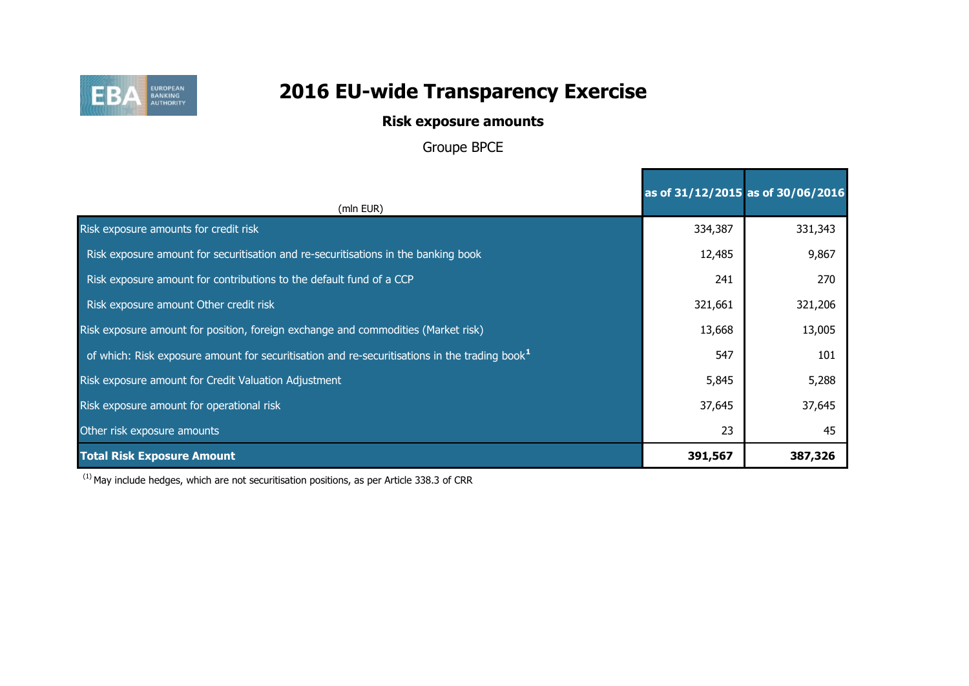

## **Risk exposure amounts**

Groupe BPCE

|                                                                                                   | as of 31/12/2015 as of 30/06/2016 |         |
|---------------------------------------------------------------------------------------------------|-----------------------------------|---------|
| (mln EUR)                                                                                         |                                   |         |
| Risk exposure amounts for credit risk                                                             | 334,387                           | 331,343 |
| Risk exposure amount for securitisation and re-securitisations in the banking book                | 12,485                            | 9,867   |
| Risk exposure amount for contributions to the default fund of a CCP                               | 241                               | 270     |
| Risk exposure amount Other credit risk                                                            | 321,661                           | 321,206 |
| Risk exposure amount for position, foreign exchange and commodities (Market risk)                 | 13,668                            | 13,005  |
| of which: Risk exposure amount for securitisation and re-securitisations in the trading book $^1$ | 547                               | 101     |
| Risk exposure amount for Credit Valuation Adjustment                                              | 5,845                             | 5,288   |
| Risk exposure amount for operational risk                                                         | 37,645                            | 37,645  |
| Other risk exposure amounts                                                                       | 23                                | 45      |
| <b>Total Risk Exposure Amount</b>                                                                 | 391,567                           | 387,326 |

 $(1)$  May include hedges, which are not securitisation positions, as per Article 338.3 of CRR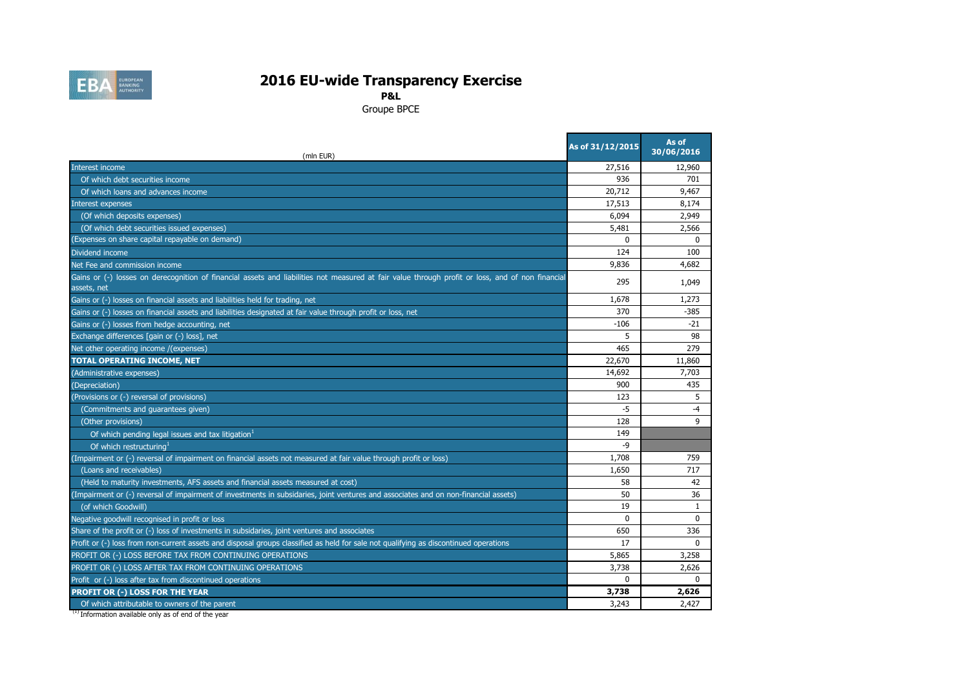

**P&L**

Groupe BPCE

| (mln EUR)                                                                                                                                                       | As of 31/12/2015 | As of<br>30/06/2016 |
|-----------------------------------------------------------------------------------------------------------------------------------------------------------------|------------------|---------------------|
| Interest income                                                                                                                                                 | 27,516           | 12,960              |
| Of which debt securities income                                                                                                                                 | 936              | 701                 |
| Of which loans and advances income                                                                                                                              | 20,712           | 9,467               |
| Interest expenses                                                                                                                                               | 17,513           | 8,174               |
| (Of which deposits expenses)                                                                                                                                    | 6,094            | 2,949               |
| (Of which debt securities issued expenses)                                                                                                                      | 5,481            | 2,566               |
| (Expenses on share capital repayable on demand)                                                                                                                 | $\Omega$         | $\Omega$            |
| Dividend income                                                                                                                                                 | 124              | 100                 |
| Net Fee and commission income                                                                                                                                   | 9,836            | 4,682               |
| Gains or (-) losses on derecognition of financial assets and liabilities not measured at fair value through profit or loss, and of non financial<br>assets, net | 295              | 1,049               |
| Gains or (-) losses on financial assets and liabilities held for trading, net                                                                                   | 1,678            | 1,273               |
| Gains or (-) losses on financial assets and liabilities designated at fair value through profit or loss, net                                                    | 370              | $-385$              |
| Gains or (-) losses from hedge accounting, net                                                                                                                  | $-106$           | $-21$               |
| Exchange differences [gain or (-) loss], net                                                                                                                    | 5                | 98                  |
| Net other operating income /(expenses)                                                                                                                          | 465              | 279                 |
| TOTAL OPERATING INCOME, NET                                                                                                                                     | 22,670           | 11,860              |
| (Administrative expenses)                                                                                                                                       | 14,692           | 7,703               |
| (Depreciation)                                                                                                                                                  | 900              | 435                 |
| (Provisions or (-) reversal of provisions)                                                                                                                      | 123              | 5                   |
| (Commitments and guarantees given)                                                                                                                              | $-5$             | $-4$                |
| (Other provisions)                                                                                                                                              | 128              | $\mathsf q$         |
| Of which pending legal issues and tax litigation <sup>1</sup>                                                                                                   | 149              |                     |
| Of which restructuring <sup>1</sup>                                                                                                                             | $-9$             |                     |
| (Impairment or (-) reversal of impairment on financial assets not measured at fair value through profit or loss)                                                | 1,708            | 759                 |
| (Loans and receivables)                                                                                                                                         | 1,650            | 717                 |
| (Held to maturity investments, AFS assets and financial assets measured at cost)                                                                                | 58               | 42                  |
| (Impairment or (-) reversal of impairment of investments in subsidaries, joint ventures and associates and on non-financial assets)                             | 50               | 36                  |
| (of which Goodwill)                                                                                                                                             | 19               | 1                   |
| Negative goodwill recognised in profit or loss                                                                                                                  | $\Omega$         | $\mathbf{0}$        |
| Share of the profit or (-) loss of investments in subsidaries, joint ventures and associates                                                                    | 650              | 336                 |
| Profit or (-) loss from non-current assets and disposal groups classified as held for sale not qualifying as discontinued operations                            | 17               | $\mathbf{0}$        |
| PROFIT OR (-) LOSS BEFORE TAX FROM CONTINUING OPERATIONS                                                                                                        | 5,865            | 3,258               |
| PROFIT OR (-) LOSS AFTER TAX FROM CONTINUING OPERATIONS                                                                                                         | 3,738            | 2,626               |
| Profit or (-) loss after tax from discontinued operations                                                                                                       | $\Omega$         | $\Omega$            |
| PROFIT OR (-) LOSS FOR THE YEAR                                                                                                                                 | 3,738            | 2,626               |
| Of which attributable to owners of the parent                                                                                                                   | 3,243            | 2.427               |

<sup>(1)</sup> Information available only as of end of the year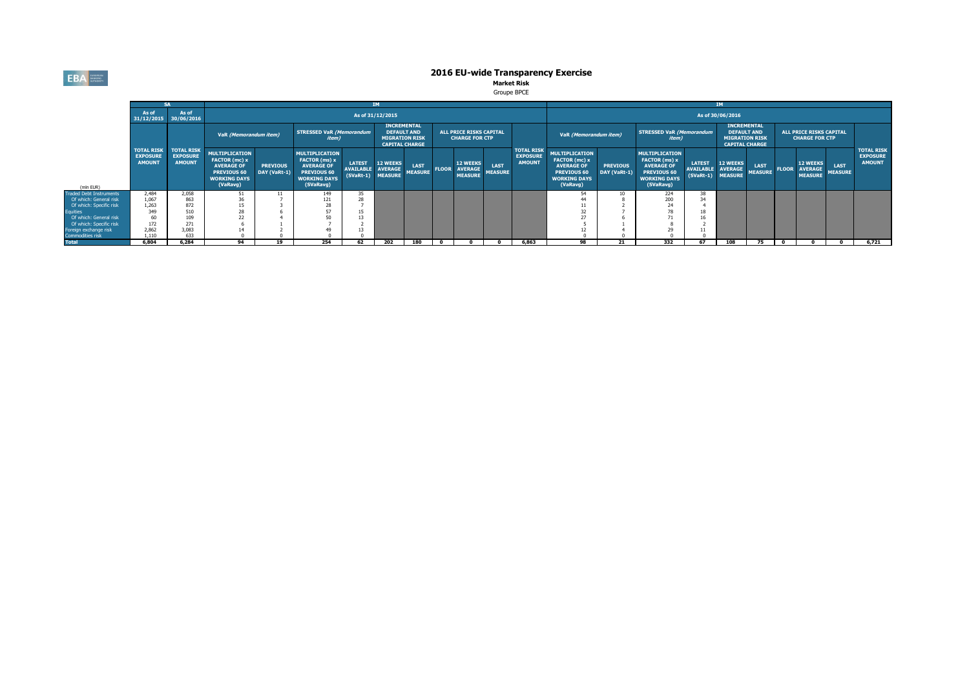**EBA** EUROPEAN

# **2016 EU-wide Transparency Exercise<br>Market Risk<br>Groupe BPCE**

|                         |                                                                |                                                       |                                                                                                                      |                                 |                                                                                                                |                                                                                                                                                                         | <b>IM</b>                                              |                               |              |                                                     |                        |                                                       |                                                                                                                      |                                          |                                                                                                                |                                                                                            | <b>IM</b>                            |                                                         |              |                                                     |                               |                                                       |
|-------------------------|----------------------------------------------------------------|-------------------------------------------------------|----------------------------------------------------------------------------------------------------------------------|---------------------------------|----------------------------------------------------------------------------------------------------------------|-------------------------------------------------------------------------------------------------------------------------------------------------------------------------|--------------------------------------------------------|-------------------------------|--------------|-----------------------------------------------------|------------------------|-------------------------------------------------------|----------------------------------------------------------------------------------------------------------------------|------------------------------------------|----------------------------------------------------------------------------------------------------------------|--------------------------------------------------------------------------------------------|--------------------------------------|---------------------------------------------------------|--------------|-----------------------------------------------------|-------------------------------|-------------------------------------------------------|
|                         | As of<br>31/12/2015                                            | As of<br>30/06/2016                                   |                                                                                                                      |                                 |                                                                                                                |                                                                                                                                                                         | As of 31/12/2015                                       |                               |              |                                                     |                        |                                                       |                                                                                                                      |                                          |                                                                                                                |                                                                                            | As of 30/06/2016                     |                                                         |              |                                                     |                               |                                                       |
|                         | <b>TOTAL RISK</b><br><b>EXPOSURE</b><br><b>AMOUNT</b><br>2,484 |                                                       |                                                                                                                      |                                 |                                                                                                                | <b>INCREMENTAL</b><br><b>STRESSED VaR (Memorandum</b><br><b>DEFAULT AND</b><br>VaR (Memorandum item)<br><i>item</i> )<br><b>MIGRATION RISK</b><br><b>CAPITAL CHARGE</b> |                                                        |                               |              | ALL PRICE RISKS CAPITAL<br><b>CHARGE FOR CTP</b>    |                        | VaR (Memorandum item)                                 |                                                                                                                      | <b>STRESSED VaR (Memorandum</b><br>item) |                                                                                                                | <b>INCREMENTAL</b><br><b>DEFAULT AND</b><br><b>MIGRATION RISK</b><br><b>CAPITAL CHARGE</b> |                                      | <b>ALL PRICE RISKS CAPITAL</b><br><b>CHARGE FOR CTP</b> |              |                                                     |                               |                                                       |
| (mln EUR)               |                                                                | <b>TOTAL RISK</b><br><b>EXPOSURE</b><br><b>AMOUNT</b> | <b>MULTIPLICATION</b><br>FACTOR (mc) x<br><b>AVERAGE OF</b><br><b>PREVIOUS 60</b><br><b>WORKING DAYS</b><br>(VaRavg) | <b>PREVIOUS</b><br>DAY (VaRt-1) | <b>MULTIPLICATION</b><br>FACTOR (ms) x<br><b>AVERAGE OF</b><br>PREVIOUS 60<br><b>WORKING DAYS</b><br>(SVaRavg) | <b>LATEST</b><br><b>AVAILABLE</b>                                                                                                                                       | <b>12 WEEKS</b><br><b>AVERAGE</b><br>(SVaRt-1) MEASURE | <b>LAST</b><br><b>MEASURE</b> | <b>FLOOR</b> | <b>12 WEEKS</b><br><b>AVERAGE</b><br><b>MEASURE</b> | LAST<br><b>MEASURE</b> | <b>TOTAL RISK</b><br><b>EXPOSURE</b><br><b>AMOUNT</b> | <b>MULTIPLICATION</b><br>FACTOR (mc) x<br><b>AVERAGE OF</b><br><b>PREVIOUS 60</b><br><b>WORKING DAYS</b><br>(VaRavg) | <b>PREVIOUS</b><br>DAY (VaRt-1)          | <b>MULTIPLICATION</b><br>FACTOR (ms) x<br><b>AVERAGE OF</b><br>PREVIOUS 60<br><b>WORKING DAYS</b><br>(SVaRavg) | <b>LATEST</b><br>AVAILABLE AVERAGE                                                         | <b>12 WEEKS</b><br>(SVaRt-1) MEASURE | <b>LAST</b><br><b>MEASURE</b>                           | <b>FLOOR</b> | <b>12 WEEKS</b><br><b>AVERAGE</b><br><b>MEASURE</b> | <b>LAST</b><br><b>MEASURE</b> | <b>TOTAL RISK</b><br><b>EXPOSURE</b><br><b>AMOUNT</b> |
| Traded Debt Instruments |                                                                | 2,058                                                 | 51.                                                                                                                  | 11                              | 149                                                                                                            |                                                                                                                                                                         |                                                        |                               |              |                                                     |                        |                                                       | D.A                                                                                                                  |                                          | 224                                                                                                            |                                                                                            |                                      |                                                         |              |                                                     |                               |                                                       |
| Of which: General risk  | 1,067                                                          | 863                                                   | 36                                                                                                                   |                                 | 121                                                                                                            |                                                                                                                                                                         |                                                        |                               |              |                                                     |                        |                                                       |                                                                                                                      |                                          | 200                                                                                                            |                                                                                            |                                      |                                                         |              |                                                     |                               |                                                       |
| Of which: Specific risk | 1,263                                                          | 872                                                   | 15                                                                                                                   |                                 | $\sim$                                                                                                         |                                                                                                                                                                         |                                                        |                               |              |                                                     |                        |                                                       |                                                                                                                      |                                          | 24                                                                                                             |                                                                                            |                                      |                                                         |              |                                                     |                               |                                                       |
| Equities                | 349                                                            | 510                                                   | 28                                                                                                                   |                                 | 57                                                                                                             |                                                                                                                                                                         |                                                        |                               |              |                                                     |                        |                                                       | $\sim$                                                                                                               |                                          |                                                                                                                |                                                                                            |                                      |                                                         |              |                                                     |                               |                                                       |
| Of which: General risk  |                                                                | 109                                                   | 22                                                                                                                   |                                 | 50                                                                                                             |                                                                                                                                                                         |                                                        |                               |              |                                                     |                        |                                                       |                                                                                                                      |                                          |                                                                                                                |                                                                                            |                                      |                                                         |              |                                                     |                               |                                                       |
| Of which: Specific risk | 172                                                            | 271                                                   |                                                                                                                      |                                 |                                                                                                                |                                                                                                                                                                         |                                                        |                               |              |                                                     |                        |                                                       |                                                                                                                      |                                          |                                                                                                                |                                                                                            |                                      |                                                         |              |                                                     |                               |                                                       |
| Foreign exchange risk   | 2.862                                                          | 3.083                                                 |                                                                                                                      |                                 |                                                                                                                |                                                                                                                                                                         |                                                        |                               |              |                                                     |                        |                                                       |                                                                                                                      |                                          |                                                                                                                |                                                                                            |                                      |                                                         |              |                                                     |                               |                                                       |
| Commodities risk        | 1.110                                                          | 633                                                   |                                                                                                                      |                                 |                                                                                                                |                                                                                                                                                                         |                                                        |                               |              |                                                     |                        |                                                       |                                                                                                                      |                                          |                                                                                                                |                                                                                            |                                      |                                                         |              |                                                     |                               |                                                       |
| <b>Total</b>            | 6.804                                                          | 6.284                                                 | 94                                                                                                                   | 19                              | 254                                                                                                            | 62                                                                                                                                                                      | 202                                                    | 180                           |              |                                                     |                        | 6.863                                                 | 98                                                                                                                   | 21                                       | 332                                                                                                            | 67                                                                                         | 108                                  | 75                                                      | $\bullet$    |                                                     |                               | 6,721                                                 |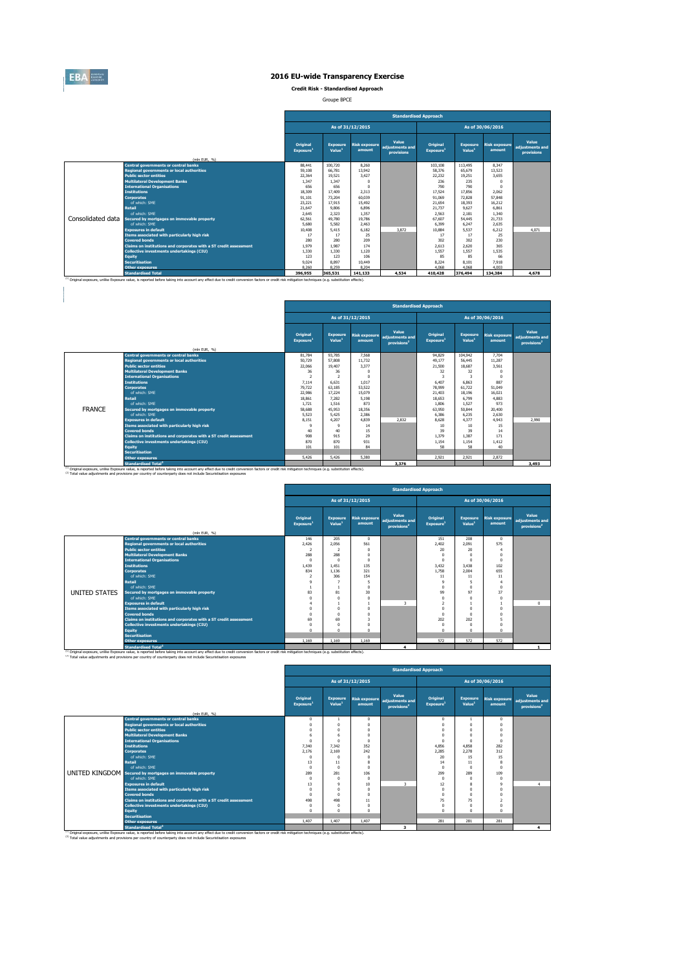

#### **2016 EU-wide Transparency Exercise**

**Credit Risk - Standardised Approach**

Groupe BPCE

|                                                                                                                                                                                                    |                                                                   |                                   |                                       |                                | <b>Standardised Approach</b>                  |                                   |                                       |                                |                                        |
|----------------------------------------------------------------------------------------------------------------------------------------------------------------------------------------------------|-------------------------------------------------------------------|-----------------------------------|---------------------------------------|--------------------------------|-----------------------------------------------|-----------------------------------|---------------------------------------|--------------------------------|----------------------------------------|
|                                                                                                                                                                                                    |                                                                   |                                   |                                       | As of 31/12/2015               |                                               |                                   |                                       | As of 30/06/2016               |                                        |
|                                                                                                                                                                                                    | (mln EUR, %)                                                      | Original<br>Exposure <sup>1</sup> | <b>Exposure</b><br>Value <sup>1</sup> | <b>Risk exposure</b><br>amount | Value<br>adjustments and<br><b>provisions</b> | Original<br>Exposure <sup>1</sup> | <b>Exposure</b><br>Value <sup>1</sup> | <b>Risk exposure</b><br>amount | Value<br>adjustments and<br>provisions |
|                                                                                                                                                                                                    | <b>Central governments or central banks</b>                       | 88.441                            | 100.720                               | 8.260                          |                                               | 103.108                           | 113,495                               | 8.347                          |                                        |
|                                                                                                                                                                                                    | <b>Regional governments or local authorities</b>                  | 59,108                            | 66.781                                | 13,942                         |                                               | 58.376                            | 65,679                                | 13.523                         |                                        |
|                                                                                                                                                                                                    | <b>Public sector entities</b>                                     | 22.364                            | 19.521                                | 3.427                          |                                               | 22.232                            | 19,251                                | 3.655                          |                                        |
|                                                                                                                                                                                                    | <b>Multilateral Development Banks</b>                             | 1.347                             | 1,347                                 | $\Omega$                       |                                               | 236                               | 235                                   | O                              |                                        |
|                                                                                                                                                                                                    | <b>International Organisations</b>                                | 656                               | 656                                   | $\Omega$                       |                                               | 790                               | 790                                   | O                              |                                        |
|                                                                                                                                                                                                    | <b>Institutions</b>                                               | 18.309                            | 17,409                                | 2.313                          |                                               | 17.524                            | 17,856                                | 2.062                          |                                        |
|                                                                                                                                                                                                    | <b>Corporates</b>                                                 | 91.101                            | 73,204                                | 60.039                         |                                               | 91.069                            | 72,828                                | 57,848                         |                                        |
|                                                                                                                                                                                                    | of which: SME                                                     | 23,221                            | 17.915                                | 15,492                         |                                               | 21.654                            | 18.393                                | 16.212                         |                                        |
|                                                                                                                                                                                                    | <b>Retail</b>                                                     | 21.647                            | 9,806                                 | 6.896                          |                                               | 21,737                            | 9.627                                 | 6.861                          |                                        |
|                                                                                                                                                                                                    | of which: SMF                                                     | 2.645                             | 2.323                                 | 1.357                          |                                               | 2.563                             | 2.181                                 | 1.340                          |                                        |
| Consolidated data                                                                                                                                                                                  | Secured by mortgages on immovable property                        | 62.561                            | 49.780                                | 19,786                         |                                               | 67.607                            | 54,445                                | 21,733                         |                                        |
|                                                                                                                                                                                                    | of which: SME                                                     | 5,680                             | 5.582                                 | 2.463                          |                                               | 6.399                             | 6.247                                 | 2.635                          |                                        |
|                                                                                                                                                                                                    | <b>Exposures in default</b>                                       | 10,408                            | 5.415                                 | 6.182                          | 3.872                                         | 10.884                            | 5.537                                 | 6.212                          | 4.071                                  |
|                                                                                                                                                                                                    | Items associated with particularly high risk                      | 17                                | 17                                    | 25                             |                                               | 17                                | 17                                    | 25                             |                                        |
|                                                                                                                                                                                                    | <b>Covered bonds</b>                                              | 280                               | 280                                   | 209                            |                                               | 302                               | 302                                   | 230                            |                                        |
|                                                                                                                                                                                                    | Claims on institutions and corporates with a ST credit assessment | 1.979                             | 1.987                                 | 174                            |                                               | 2.613                             | 2.620                                 | 365                            |                                        |
|                                                                                                                                                                                                    | <b>Collective investments undertakings (CIU)</b>                  | 1,330                             | 1,330                                 | 1.120                          |                                               | 1.557                             | 1.557                                 | 1.535                          |                                        |
|                                                                                                                                                                                                    | <b>Equity</b>                                                     | 123                               | 123                                   | 106                            |                                               | 85                                | 85                                    | 66                             |                                        |
|                                                                                                                                                                                                    | <b>Securitisation</b>                                             | 9.024                             | 8.897                                 | 10,449                         |                                               | 8.224                             | 8.101                                 | 7.918                          |                                        |
|                                                                                                                                                                                                    | <b>Other exposures</b>                                            | 8.260                             | 8.259                                 | 8.204                          |                                               | 4.068                             | 4.068                                 | 4.003                          |                                        |
| (1) Original exposure, unlike Exposure value, is reported before taking into account any effect due to credit conversion factors or credit risk mitigation techniques (e.g. substitution effects). | <b>Standardised Total</b>                                         | 396,955                           | 365.531                               | 141.133                        | 4.534                                         | 410,428                           | 376,494                               | 134,384                        | 4.678                                  |

|               |                                                                                                                                                                                                                                             |                                          |                          |                                | <b>Standardised Approach</b>                        |                                   |                                       |                                |                                                     |
|---------------|---------------------------------------------------------------------------------------------------------------------------------------------------------------------------------------------------------------------------------------------|------------------------------------------|--------------------------|--------------------------------|-----------------------------------------------------|-----------------------------------|---------------------------------------|--------------------------------|-----------------------------------------------------|
|               |                                                                                                                                                                                                                                             |                                          |                          | As of 31/12/2015               |                                                     |                                   |                                       | As of 30/06/2016               |                                                     |
|               | (mln EUR, %)                                                                                                                                                                                                                                | <b>Original</b><br>Exposure <sup>1</sup> | <b>Exposure</b><br>Value | <b>Risk exposure</b><br>amount | Value<br>adiustments and<br>provisions <sup>2</sup> | Original<br>Exposure <sup>1</sup> | <b>Exposure</b><br>Value <sup>1</sup> | <b>Risk exposure</b><br>amount | Value<br>adjustments and<br>provisions <sup>2</sup> |
|               | <b>Central governments or central banks</b>                                                                                                                                                                                                 | 81,784                                   | 93,785                   | 7.568                          |                                                     | 94,829                            | 104.942                               | 7.704                          |                                                     |
|               | <b>Regional governments or local authorities</b>                                                                                                                                                                                            | 50,729                                   | 57.808                   | 11.732                         |                                                     | 49.177                            | 56,445                                | 11.287                         |                                                     |
|               | <b>Public sector entities</b>                                                                                                                                                                                                               | 22.066                                   | 19,407                   | 3.377                          |                                                     | 21,500                            | 18,687                                | 3.561                          |                                                     |
|               | <b>Multilateral Development Banks</b>                                                                                                                                                                                                       | 36                                       | 36                       | n                              |                                                     | 32                                | 32                                    |                                |                                                     |
|               | <b>International Organisations</b>                                                                                                                                                                                                          | $\overline{\phantom{a}}$                 | $\overline{ }$           |                                |                                                     | 3                                 | 3                                     | $\Omega$                       |                                                     |
|               | <b>Institutions</b>                                                                                                                                                                                                                         | 7.114                                    | 6.631                    | 1.017                          |                                                     | 6.407                             | 6.863                                 | 887                            |                                                     |
|               | <b>Corporates</b>                                                                                                                                                                                                                           | 79,722                                   | 63.185                   | 53.522                         |                                                     | 78,999                            | 61.722                                | 51.049                         |                                                     |
|               | of which: SMF                                                                                                                                                                                                                               | 22,986                                   | 17.224                   | 15.079                         |                                                     | 21.403                            | 18.196                                | 16.021                         |                                                     |
|               | <b>Retail</b>                                                                                                                                                                                                                               | 18.861                                   | 7.282                    | 5.198                          |                                                     | 18.653                            | 6.799                                 | 4.883                          |                                                     |
|               | of which: SME                                                                                                                                                                                                                               | 1.721                                    | 1.516                    | 873                            |                                                     | 1.806                             | 1.527                                 | 973                            |                                                     |
| <b>FRANCE</b> | Secured by mortgages on immovable property                                                                                                                                                                                                  | 58,688                                   | 45.953                   | 18.356                         |                                                     | 63,950                            | 50.844                                | 20,400                         |                                                     |
|               | of which: SMF                                                                                                                                                                                                                               | 5.523                                    | 5.425                    | 2.386                          |                                                     | 6.386                             | 6.235                                 | 2.630                          |                                                     |
|               | <b>Exposures in default</b>                                                                                                                                                                                                                 | 8.151                                    | 4.207                    | 4.839                          | 2.832                                               | 8,628                             | 4.377                                 | 4.943                          | 2,990                                               |
|               | Items associated with particularly high risk                                                                                                                                                                                                | $\mathsf{Q}$                             | ۹                        | 14                             |                                                     | 10                                | 10                                    | 15                             |                                                     |
|               | <b>Covered bonds</b>                                                                                                                                                                                                                        | 40                                       | 40                       | 15                             |                                                     | 39                                | 39                                    | 14                             |                                                     |
|               | Claims on institutions and corporates with a ST credit assessment                                                                                                                                                                           | 908                                      | 915                      | 29                             |                                                     | 1.379                             | 1.387                                 | 171                            |                                                     |
|               | Collective investments undertakings (CIU)                                                                                                                                                                                                   | 870                                      | 870                      | 931                            |                                                     | 1.154                             | 1.154                                 | 1.412                          |                                                     |
|               | Equity                                                                                                                                                                                                                                      | 101                                      | 101                      | 84                             |                                                     | 58                                | 58                                    | 40                             |                                                     |
|               | <b>Securitisation</b>                                                                                                                                                                                                                       |                                          |                          |                                |                                                     |                                   |                                       |                                |                                                     |
|               | <b>Other exposures</b>                                                                                                                                                                                                                      | 5.426                                    | 5.426                    | 5,380                          |                                                     | 2.921                             | 2.921                                 | 2.872                          |                                                     |
|               | <b>Standardised Total<sup>2</sup></b><br>(1) Original exposure, unlike Exposure value, is reported before taking into account any effect due to credit conversion factors or credit risk mitigation techniques (e.g. substitution effects). |                                          |                          |                                | 3,376                                               |                                   |                                       |                                | 3,493                                               |

|               |                                                                   |                                   |                                       |                                | <b>Standardised Approach</b>                        |                                   |                                       |                                |                                                     |
|---------------|-------------------------------------------------------------------|-----------------------------------|---------------------------------------|--------------------------------|-----------------------------------------------------|-----------------------------------|---------------------------------------|--------------------------------|-----------------------------------------------------|
|               |                                                                   |                                   |                                       | As of 31/12/2015               |                                                     |                                   |                                       | As of 30/06/2016               |                                                     |
|               |                                                                   | Original<br>Exposure <sup>1</sup> | <b>Exposure</b><br>Value <sup>1</sup> | <b>Risk exposure</b><br>amount | Value<br>adjustments and<br>provisions <sup>2</sup> | Original<br>Exposure <sup>1</sup> | <b>Exposure</b><br>Value <sup>1</sup> | <b>Risk exposure</b><br>amount | Value<br>adjustments and<br>provisions <sup>2</sup> |
|               | (mln EUR, %)<br><b>Central governments or central banks</b>       |                                   | 205                                   | $\Omega$                       |                                                     |                                   | 208                                   | $\Omega$                       |                                                     |
|               | <b>Regional governments or local authorities</b>                  | 146<br>2.426                      | 2.056                                 | 561                            |                                                     | 151<br>2.402                      | 2.091                                 | 575                            |                                                     |
|               | <b>Public sector entities</b>                                     | $\overline{2}$                    | $\overline{2}$                        | 0                              |                                                     | 20                                | 20                                    | 4                              |                                                     |
|               | <b>Multilateral Development Banks</b>                             | 288                               | 288                                   | n                              |                                                     | $\Omega$                          | $\Omega$                              | $\Omega$                       |                                                     |
|               | <b>International Organisations</b>                                | $^{\circ}$                        | $^{\circ}$                            | 0                              |                                                     | $\Omega$                          | $\Omega$                              | $\Omega$                       |                                                     |
|               | <b>Institutions</b>                                               | 1.439                             | 1.451                                 | 135                            |                                                     | 3.432                             | 3.438                                 | 102                            |                                                     |
|               | <b>Corporates</b>                                                 | 834                               | 1.136                                 | 321                            |                                                     | 1.758                             | 2.004                                 | 655                            |                                                     |
|               | of which: SME                                                     | $\overline{2}$                    | 306                                   | 154                            |                                                     | 11                                | 11                                    | 11                             |                                                     |
|               | <b>Retail</b>                                                     | $\overline{9}$                    | $\overline{7}$                        | 5                              |                                                     | $\mathbf{Q}$                      | 5                                     |                                |                                                     |
|               | of which: SME                                                     |                                   | $\overline{1}$                        | $\mathbf{0}$                   |                                                     | $\Omega$                          | $\Omega$                              | $\Omega$                       |                                                     |
| UNITED STATES | Secured by mortgages on immovable property                        | 83                                | 81                                    | 30                             |                                                     | 99                                | 97                                    | 37                             |                                                     |
|               | of which: SMF                                                     | $\Omega$                          | $^{\circ}$                            | $\Omega$                       |                                                     | $\Omega$                          | $\Omega$                              | $\Omega$                       |                                                     |
|               | <b>Exposures in default</b>                                       |                                   | 1                                     |                                | $\mathbf{R}$                                        | $\overline{2}$                    |                                       | $\mathbf{1}$                   | $\Omega$                                            |
|               | Items associated with particularly high risk                      | $\Omega$                          | $^{\circ}$                            | $\theta$                       |                                                     | $\Omega$                          | $\Omega$                              | $\theta$                       |                                                     |
|               | <b>Covered bonds</b>                                              | $\Omega$                          | $\Omega$                              | $\mathbf{0}$                   |                                                     | $\Omega$                          | $\Omega$                              |                                |                                                     |
|               | Claims on institutions and corporates with a ST credit assessment | 69                                | 69                                    | 3                              |                                                     | 202                               | 202                                   | 5                              |                                                     |
|               | <b>Collective investments undertakings (CIU)</b>                  | $\theta$                          | $^{\circ}$                            | n                              |                                                     | $\Omega$                          | $\Omega$                              | $\Omega$                       |                                                     |
|               | Equity                                                            | $\Omega$                          | $\Omega$                              | $\Omega$                       |                                                     | $\Omega$                          | $\Omega$                              | $\Omega$                       |                                                     |
|               | <b>Securitisation</b>                                             |                                   |                                       |                                |                                                     |                                   |                                       |                                |                                                     |
|               | <b>Other exposures</b>                                            | 1.169                             | 1.169                                 | 1.169                          |                                                     | 572                               | 572                                   | 572                            |                                                     |
|               | <b>Standardised Total<sup>2</sup></b>                             |                                   |                                       |                                | $\overline{\mathbf{A}}$                             |                                   |                                       |                                |                                                     |

<sup>13</sup> Original exposure, unlike Exposure and archive and a state of the state of the state of the state of the state of the state of the state of the state of the state of the state of the state of the state of the state of

|                                                                   |                                   |                                       |                  |                                                                   | <b>Standardised Approach</b>      |                                |                                |                                                     |
|-------------------------------------------------------------------|-----------------------------------|---------------------------------------|------------------|-------------------------------------------------------------------|-----------------------------------|--------------------------------|--------------------------------|-----------------------------------------------------|
|                                                                   |                                   |                                       | As of 31/12/2015 |                                                                   |                                   |                                | As of 30/06/2016               |                                                     |
| (mln EUR, %)                                                      | Original<br>Exposure <sup>1</sup> | <b>Exposure</b><br>Value <sup>1</sup> | amount           | Value<br>Risk exposure adjustments and<br>provisions <sup>2</sup> | Original<br>Exposure <sup>1</sup> | Exposure<br>Value <sup>1</sup> | <b>Risk exposure</b><br>amount | Value<br>adjustments and<br>provisions <sup>2</sup> |
| <b>Central governments or central banks</b>                       | $\Omega$                          |                                       | 0                |                                                                   | $\mathbf{0}$                      |                                | $\mathbf{0}$                   |                                                     |
| <b>Regional governments or local authorities</b>                  | $\Omega$                          | 0                                     |                  |                                                                   | $\Omega$                          | $\Omega$                       | $\Omega$                       |                                                     |
| <b>Public sector entities</b>                                     | $\Omega$                          | $^{\circ}$                            |                  |                                                                   | $\Omega$                          |                                | $\Omega$                       |                                                     |
| <b>Multilateral Development Banks</b>                             | 6                                 | 6                                     |                  |                                                                   | $\Omega$                          | $\Omega$                       |                                |                                                     |
| <b>International Organisations</b>                                | $\Omega$                          | $\Omega$                              | O                |                                                                   | $\Omega$                          | $\Omega$                       | $\theta$                       |                                                     |
| <b>Institutions</b>                                               | 7.340                             | 7.342                                 | 352              |                                                                   | 4.856                             | 4,858                          | 282                            |                                                     |
| <b>Corporates</b>                                                 | 2.176                             | 2.169                                 | 242              |                                                                   | 2.285                             | 2,278                          | 312                            |                                                     |
| of which: SMF                                                     | $\Omega$                          | $\Omega$                              | n                |                                                                   | 20                                | 15                             | 15                             |                                                     |
| <b>Retail</b>                                                     | 13                                | 11                                    | 8                |                                                                   | 14                                | 11                             | $\mathbf{8}$                   |                                                     |
| of which: SMF                                                     | $\Omega$                          | $\Omega$                              | n                |                                                                   | $^{\circ}$                        | $\Omega$                       | $\Omega$                       |                                                     |
| UNITED KINGDOM Secured by mortgages on immovable property         | 289                               | 281                                   | 106              |                                                                   | 299                               | 289                            | 109                            |                                                     |
| of which: SMF                                                     | $\Omega$                          | $^{\circ}$                            | 0                |                                                                   | $\Omega$                          | $\Omega$                       | $\Omega$                       |                                                     |
| <b>Exposures in default</b>                                       | 13                                | $\mathbf{Q}$                          | 10               | $\overline{\mathbf{3}}$                                           | 12                                | 8                              | $\mathbf{Q}$                   | $\overline{4}$                                      |
| Items associated with particularly high risk                      | $\Omega$                          | $^{\circ}$                            | n                |                                                                   | $\Omega$                          | $\Omega$                       | $\Omega$                       |                                                     |
| <b>Covered bonds</b>                                              | $\Omega$                          | $\Omega$                              | n                |                                                                   | $\Omega$                          | $\Omega$                       |                                |                                                     |
| Claims on institutions and corporates with a ST credit assessment | 498                               | 498                                   | 11               |                                                                   | 75                                | 75                             |                                |                                                     |
| <b>Collective investments undertakings (CIU)</b>                  | $\Omega$                          | 0                                     |                  |                                                                   | $\Omega$                          | $\Omega$                       |                                |                                                     |
| <b>Equity</b>                                                     | $\Omega$                          | $\Omega$                              |                  |                                                                   | $\Omega$                          | $\Omega$                       | $\Omega$                       |                                                     |
| <b>Securitisation</b>                                             |                                   |                                       |                  |                                                                   |                                   |                                |                                |                                                     |
| <b>Other exposures</b>                                            | 1.407                             | 1.407                                 | 1.407            |                                                                   | 281                               | 281                            | 281                            |                                                     |
| <b>Standardised Total<sup>2</sup></b>                             |                                   |                                       |                  | $\overline{\mathbf{3}}$                                           |                                   |                                |                                | $\overline{a}$                                      |

<sup>(1)</sup> Original exposure, unlike Exposure value, is reported before taking into account any effect due to credit conversion factors or credit risk mitigation techniques (e.g. substitution effects).<br><sup>(2)</sup> Total value adjustm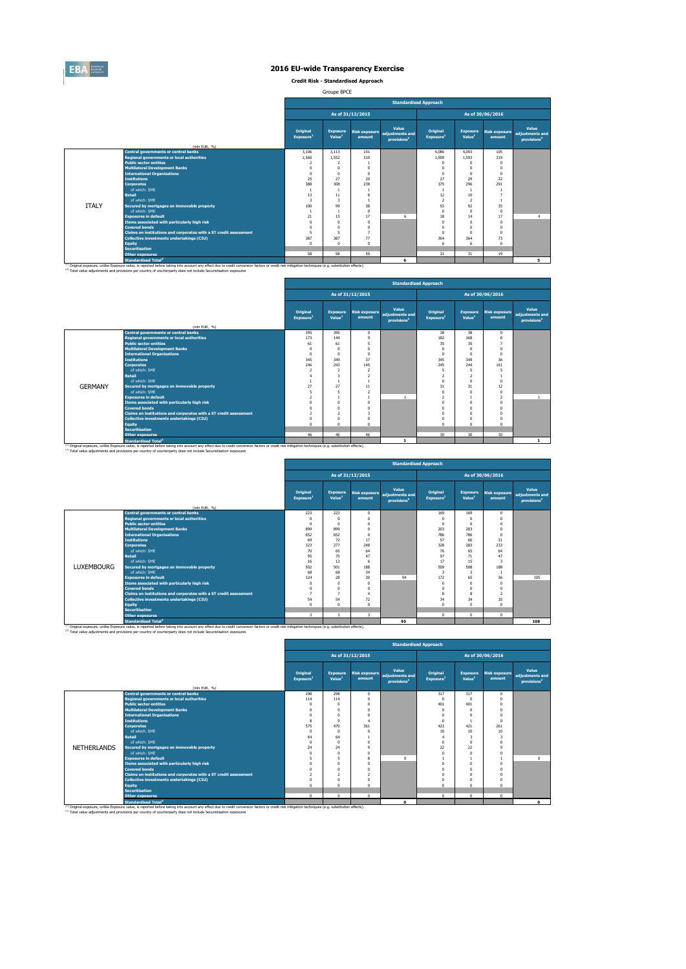

**Credit Risk - Standardised Approach**

Groupe BPCE

|              |                                                                   |                                   |                                       |                  | <b>Standardised Approach</b>                                      |            |                                                                                                                                                                                                                                                                                                                                                                                                                                                                                                                                                                                                              |          |   |
|--------------|-------------------------------------------------------------------|-----------------------------------|---------------------------------------|------------------|-------------------------------------------------------------------|------------|--------------------------------------------------------------------------------------------------------------------------------------------------------------------------------------------------------------------------------------------------------------------------------------------------------------------------------------------------------------------------------------------------------------------------------------------------------------------------------------------------------------------------------------------------------------------------------------------------------------|----------|---|
|              |                                                                   |                                   |                                       | As of 31/12/2015 |                                                                   |            | As of 30/06/2016<br>Value<br>Original<br><b>Exposure</b><br><b>Risk exposure</b><br>adjustments and<br>Value <sup>1</sup><br>Exposure <sup>1</sup><br>amount<br>provisions <sup>2</sup><br>4.093<br>4.086<br>105<br>1.599<br>1.593<br>319<br>$\Omega$<br>$\Omega$<br>$\Omega$<br>$\Omega$<br>n<br>$\Omega$<br>n<br>$\Omega$<br>27<br>29<br>22<br>375<br>291<br>296<br>$\mathbf{1}$<br>12<br>10 <sup>10</sup><br>$\overline{2}$<br>$\mathcal{P}$<br>$\mathbf{1}$<br>93<br>35<br>92<br>$\Omega$<br>$\Omega$<br>0<br>17<br>18<br>14<br>$\overline{4}$<br>$\Omega$<br>$\theta$<br>0<br>$\Omega$<br>$\Omega$<br>0 |          |   |
|              |                                                                   | Original<br>Exposure <sup>1</sup> | <b>Exposure</b><br>Value <sup>1</sup> | amount           | Value<br>Risk exposure adjustments and<br>provisions <sup>2</sup> |            |                                                                                                                                                                                                                                                                                                                                                                                                                                                                                                                                                                                                              |          |   |
|              | (mln EUR, %)                                                      |                                   |                                       |                  |                                                                   |            |                                                                                                                                                                                                                                                                                                                                                                                                                                                                                                                                                                                                              |          |   |
|              | <b>Central governments or central banks</b>                       | 3.106                             | 3.113                                 | 101              |                                                                   |            |                                                                                                                                                                                                                                                                                                                                                                                                                                                                                                                                                                                                              |          |   |
|              | <b>Regional governments or local authorities</b>                  | 1,560                             | 1.552                                 | 310              |                                                                   |            |                                                                                                                                                                                                                                                                                                                                                                                                                                                                                                                                                                                                              |          |   |
|              | <b>Public sector entities</b>                                     | $\overline{\phantom{a}}$          | $\overline{2}$                        |                  |                                                                   |            |                                                                                                                                                                                                                                                                                                                                                                                                                                                                                                                                                                                                              |          |   |
|              | <b>Multilateral Development Banks</b>                             | $\Omega$                          | $\mathbf{0}$                          | $\Omega$         |                                                                   |            |                                                                                                                                                                                                                                                                                                                                                                                                                                                                                                                                                                                                              |          |   |
|              | <b>International Organisations</b>                                | $\Omega$                          | $\Omega$                              | $\Omega$         |                                                                   |            |                                                                                                                                                                                                                                                                                                                                                                                                                                                                                                                                                                                                              |          |   |
|              | <b>Institutions</b>                                               | 25                                | 27                                    | 20               |                                                                   |            |                                                                                                                                                                                                                                                                                                                                                                                                                                                                                                                                                                                                              |          |   |
|              | <b>Corporates</b>                                                 | 388                               | 308                                   | 238              |                                                                   |            |                                                                                                                                                                                                                                                                                                                                                                                                                                                                                                                                                                                                              |          |   |
|              | of which: SME                                                     |                                   | $\overline{1}$                        |                  |                                                                   |            |                                                                                                                                                                                                                                                                                                                                                                                                                                                                                                                                                                                                              |          |   |
|              | <b>Retail</b>                                                     | 13                                | 11                                    | 8                |                                                                   |            |                                                                                                                                                                                                                                                                                                                                                                                                                                                                                                                                                                                                              |          |   |
|              | of which: SMF                                                     | 3                                 | 3                                     |                  |                                                                   |            |                                                                                                                                                                                                                                                                                                                                                                                                                                                                                                                                                                                                              |          |   |
| <b>ITALY</b> | Secured by mortgages on immovable property                        | 100                               | 99                                    | 38               |                                                                   |            |                                                                                                                                                                                                                                                                                                                                                                                                                                                                                                                                                                                                              |          |   |
|              | of which: SME                                                     |                                   |                                       | $\Omega$         |                                                                   |            |                                                                                                                                                                                                                                                                                                                                                                                                                                                                                                                                                                                                              |          |   |
|              | <b>Exposures in default</b>                                       | 21                                | 15                                    | 17               | 6                                                                 |            |                                                                                                                                                                                                                                                                                                                                                                                                                                                                                                                                                                                                              |          |   |
|              | Items associated with particularly high risk                      | $\Omega$                          | $\mathbf{0}$                          | $\Omega$         |                                                                   |            |                                                                                                                                                                                                                                                                                                                                                                                                                                                                                                                                                                                                              |          |   |
|              | <b>Covered bonds</b>                                              | $\Omega$                          | $\Omega$                              | n                |                                                                   |            |                                                                                                                                                                                                                                                                                                                                                                                                                                                                                                                                                                                                              |          |   |
|              | Claims on institutions and corporates with a ST credit assessment |                                   | 5                                     |                  |                                                                   | $\sqrt{2}$ | $\Omega$                                                                                                                                                                                                                                                                                                                                                                                                                                                                                                                                                                                                     | $\Omega$ |   |
|              | Collective investments undertakings (CIU)                         | 387                               | 387                                   | 77               |                                                                   | 364        | 364                                                                                                                                                                                                                                                                                                                                                                                                                                                                                                                                                                                                          | 73       |   |
|              | Equity                                                            | $\Omega$                          | $\Omega$                              | $\Omega$         |                                                                   | 6          | 6                                                                                                                                                                                                                                                                                                                                                                                                                                                                                                                                                                                                            | 6        |   |
|              | <b>Securitisation</b>                                             |                                   |                                       |                  |                                                                   |            |                                                                                                                                                                                                                                                                                                                                                                                                                                                                                                                                                                                                              |          |   |
|              | <b>Other exposures</b>                                            | 58                                | 58                                    | 50               |                                                                   | 31         | 31                                                                                                                                                                                                                                                                                                                                                                                                                                                                                                                                                                                                           | 19       |   |
|              | <b>Standardised Total<sup>2</sup></b>                             |                                   |                                       |                  | 6                                                                 |            |                                                                                                                                                                                                                                                                                                                                                                                                                                                                                                                                                                                                              |          | 5 |

|                                                                                                                                                                                                               |                                                                   |                                   |                                       |                                | <b>Standardised Approach</b>                        |                                   | As of 30/06/2016<br><b>Exposure</b><br><b>Risk exposure</b><br>Value <sup>1</sup><br>amount<br>38<br>38<br>$\circ$<br>182<br>168<br>8 |                          |                                                     |  |  |  |  |  |  |
|---------------------------------------------------------------------------------------------------------------------------------------------------------------------------------------------------------------|-------------------------------------------------------------------|-----------------------------------|---------------------------------------|--------------------------------|-----------------------------------------------------|-----------------------------------|---------------------------------------------------------------------------------------------------------------------------------------|--------------------------|-----------------------------------------------------|--|--|--|--|--|--|
|                                                                                                                                                                                                               |                                                                   |                                   |                                       | As of 31/12/2015               |                                                     |                                   |                                                                                                                                       |                          |                                                     |  |  |  |  |  |  |
|                                                                                                                                                                                                               | (mln EUR, %)                                                      | Original<br>Exposure <sup>1</sup> | <b>Exposure</b><br>Value <sup>1</sup> | <b>Risk exposure</b><br>amount | Value<br>adiustments and<br>provisions <sup>2</sup> | Original<br>Exposure <sup>1</sup> |                                                                                                                                       |                          | Value<br>adjustments and<br>provisions <sup>2</sup> |  |  |  |  |  |  |
|                                                                                                                                                                                                               | <b>Central governments or central banks</b>                       | 395                               | 395                                   | $^{\circ}$                     |                                                     |                                   |                                                                                                                                       |                          |                                                     |  |  |  |  |  |  |
|                                                                                                                                                                                                               | <b>Regional governments or local authorities</b>                  | 173                               | 144                                   | q                              |                                                     |                                   |                                                                                                                                       |                          |                                                     |  |  |  |  |  |  |
|                                                                                                                                                                                                               | <b>Public sector entities</b>                                     | 61                                | 61                                    | 5                              |                                                     | 35                                | 35                                                                                                                                    |                          |                                                     |  |  |  |  |  |  |
|                                                                                                                                                                                                               | <b>Multilateral Development Banks</b>                             | $\Omega$                          | $\Omega$                              | n                              |                                                     | O                                 |                                                                                                                                       | $\theta$                 |                                                     |  |  |  |  |  |  |
|                                                                                                                                                                                                               | <b>International Organisations</b>                                | $\Omega$                          | $\Omega$                              | n                              |                                                     | $\Omega$                          | $\Omega$                                                                                                                              | $\Omega$                 |                                                     |  |  |  |  |  |  |
|                                                                                                                                                                                                               | <b>Institutions</b>                                               | 345                               | 349                                   | 37                             |                                                     | 345                               | 349                                                                                                                                   | 36                       |                                                     |  |  |  |  |  |  |
|                                                                                                                                                                                                               | <b>Corporates</b>                                                 | 246                               | 243                                   | 145                            |                                                     | 245                               | 244                                                                                                                                   | 161                      |                                                     |  |  |  |  |  |  |
|                                                                                                                                                                                                               | of which: SMF                                                     | $\overline{\phantom{a}}$          | $\overline{z}$                        | $\overline{ }$                 |                                                     | 5                                 |                                                                                                                                       |                          |                                                     |  |  |  |  |  |  |
|                                                                                                                                                                                                               | <b>Retail</b>                                                     | $\overline{4}$                    | 3                                     | $\overline{\phantom{a}}$       |                                                     | $\overline{a}$                    |                                                                                                                                       |                          |                                                     |  |  |  |  |  |  |
|                                                                                                                                                                                                               | of which: SME                                                     |                                   |                                       |                                |                                                     | $\Omega$                          | $\Omega$                                                                                                                              | $\Omega$                 |                                                     |  |  |  |  |  |  |
| <b>GERMANY</b>                                                                                                                                                                                                | Secured by mortgages on immovable property                        | 27                                | 27                                    | 11                             |                                                     | 31                                | 31                                                                                                                                    | 12                       |                                                     |  |  |  |  |  |  |
|                                                                                                                                                                                                               | of which: SMF                                                     | 5                                 | 5                                     | $\overline{ }$                 |                                                     |                                   |                                                                                                                                       | $\theta$                 |                                                     |  |  |  |  |  |  |
|                                                                                                                                                                                                               | <b>Exposures in default</b>                                       | $\mathcal{P}$                     |                                       |                                |                                                     | $\overline{2}$                    |                                                                                                                                       | $\overline{\phantom{a}}$ | $\mathbf{1}$                                        |  |  |  |  |  |  |
|                                                                                                                                                                                                               | <b>Items associated with narticularly high risk</b>               | $\Omega$                          | $\Omega$                              | n                              |                                                     |                                   | $\Omega$                                                                                                                              | n                        |                                                     |  |  |  |  |  |  |
|                                                                                                                                                                                                               | <b>Covered bonds</b>                                              | $\Omega$                          | $\Omega$                              | O                              |                                                     |                                   | $\Omega$                                                                                                                              | $\Omega$                 |                                                     |  |  |  |  |  |  |
|                                                                                                                                                                                                               | Claims on institutions and corporates with a ST credit assessment | $\mathcal{P}$                     | $\overline{2}$                        | R                              |                                                     |                                   |                                                                                                                                       | n                        |                                                     |  |  |  |  |  |  |
|                                                                                                                                                                                                               | <b>Collective investments undertakings (CIU)</b>                  | $\Omega$                          | $\Omega$                              |                                |                                                     |                                   |                                                                                                                                       |                          |                                                     |  |  |  |  |  |  |
|                                                                                                                                                                                                               | <b>Equity</b>                                                     | $\Omega$                          | $\Omega$                              | n                              |                                                     | n                                 | $\Omega$                                                                                                                              | $\Omega$                 |                                                     |  |  |  |  |  |  |
|                                                                                                                                                                                                               | <b>Securitisation</b>                                             |                                   |                                       |                                |                                                     |                                   |                                                                                                                                       |                          |                                                     |  |  |  |  |  |  |
|                                                                                                                                                                                                               | <b>Other exposures</b>                                            | 46                                | 46                                    | 46                             |                                                     | 30                                | 30                                                                                                                                    | 30                       |                                                     |  |  |  |  |  |  |
| <sup>(1)</sup> Original exposure, unlike Exposure value, is reported before taking into account any effect due to credit conversion factors or credit risk mitigation techniques (e.g. substitution effects). | <b>Standardised Total<sup>2</sup></b>                             |                                   |                                       |                                | $\mathbf{1}$                                        |                                   |                                                                                                                                       |                          | $\mathbf{1}$                                        |  |  |  |  |  |  |

|                   |                                                                                   |                                          |                                       |                      | <b>Standardised Approach</b>                                      |                                          |                                       |                                |                                                     |
|-------------------|-----------------------------------------------------------------------------------|------------------------------------------|---------------------------------------|----------------------|-------------------------------------------------------------------|------------------------------------------|---------------------------------------|--------------------------------|-----------------------------------------------------|
|                   |                                                                                   |                                          |                                       | As of 31/12/2015     |                                                                   |                                          |                                       | As of 30/06/2016               |                                                     |
|                   |                                                                                   | <b>Original</b><br>Exposure <sup>1</sup> | <b>Exposure</b><br>Value <sup>1</sup> | amount               | Value<br>Risk exposure adjustments and<br>provisions <sup>2</sup> | <b>Original</b><br>Exposure <sup>1</sup> | <b>Exposure</b><br>Value <sup>1</sup> | <b>Risk exposure</b><br>amount | Value<br>adjustments and<br>provisions <sup>2</sup> |
|                   | (mln EUR, %)                                                                      |                                          |                                       |                      |                                                                   |                                          |                                       |                                |                                                     |
|                   | <b>Central governments or central banks</b>                                       | 223                                      | 223                                   | $^{\circ}$           |                                                                   | 169                                      | 169                                   | $\Omega$                       |                                                     |
|                   | <b>Regional governments or local authorities</b><br><b>Public sector entities</b> | $\Omega$                                 | n                                     | $\Omega$             |                                                                   | $\Omega$                                 | $\Omega$                              | $\Omega$                       |                                                     |
|                   |                                                                                   | $\Omega$                                 | n                                     | $\Omega$<br>$\Omega$ |                                                                   |                                          | $\Omega$                              | $\Omega$                       |                                                     |
|                   | <b>Multilateral Development Banks</b><br><b>International Organisations</b>       | 899<br>652                               | 899<br>652                            | $\Omega$             |                                                                   | 203<br>786                               | 203<br>786                            | $\Omega$                       |                                                     |
|                   | <b>Institutions</b>                                                               | 69                                       | 72                                    | 17                   |                                                                   | 57                                       | 60                                    | $\Omega$<br>31                 |                                                     |
|                   | <b>Corporates</b>                                                                 | 323                                      | 277                                   | 248                  |                                                                   | 328                                      | 283                                   | 233                            |                                                     |
|                   | of which: SMF                                                                     | 70                                       | 65                                    | 64                   |                                                                   | 76                                       | 65                                    | 64                             |                                                     |
|                   | <b>Retail</b>                                                                     | 95                                       | $\overline{20}$                       | 47                   |                                                                   | 97                                       | 71                                    | 47                             |                                                     |
|                   | of which: SMF                                                                     | 16                                       | 12                                    | 6                    |                                                                   | 17                                       | 15                                    | 3                              |                                                     |
| <b>LUXEMBOURG</b> | Secured by mortgages on immovable property                                        | 502                                      | 501                                   | 188                  |                                                                   | 509                                      | 508                                   | 188                            |                                                     |
|                   | of which: SMF                                                                     | 68                                       | 68                                    | 34                   |                                                                   | 3                                        | 3                                     |                                |                                                     |
|                   | <b>Exposures in default</b>                                                       | 124                                      | 28                                    | 30                   | 94                                                                | 172                                      | 65                                    | 36                             | 105                                                 |
|                   | Items associated with particularly high risk                                      |                                          | n                                     | $\Omega$             |                                                                   |                                          | 0                                     | $\Omega$                       |                                                     |
|                   | <b>Covered bonds</b>                                                              |                                          | n                                     | $\Omega$             |                                                                   | n                                        | $\Omega$                              | $\Omega$                       |                                                     |
|                   | Claims on institutions and corporates with a ST credit assessment                 | п,                                       | $\overline{ }$                        | $\overline{4}$       |                                                                   | 8                                        | 8                                     | $\overline{z}$                 |                                                     |
|                   | Collective investments undertakings (CIU)                                         | 54                                       | 54                                    | 72                   |                                                                   | 34                                       | 34                                    | 35                             |                                                     |
|                   | <b>Equity</b>                                                                     |                                          | $\Omega$                              | $\Omega$             |                                                                   | ń                                        | $\Omega$                              | $\Omega$                       |                                                     |
|                   | <b>Securitisation</b>                                                             |                                          |                                       |                      |                                                                   |                                          |                                       |                                |                                                     |
|                   | <b>Other exposures</b>                                                            | 3                                        | 3                                     | 3                    |                                                                   | $\Omega$                                 | $^{\circ}$                            | $\Omega$                       |                                                     |
|                   | <b>Standardised Total<sup>2</sup></b>                                             |                                          |                                       |                      | 95                                                                |                                          |                                       |                                | 108                                                 |

|                    |                                                                                                                                                                                                                                                                                                                         |                                          |                                       |                                |                                                     | <b>Standardised Approach</b>      |                                       |                                |                                                     |
|--------------------|-------------------------------------------------------------------------------------------------------------------------------------------------------------------------------------------------------------------------------------------------------------------------------------------------------------------------|------------------------------------------|---------------------------------------|--------------------------------|-----------------------------------------------------|-----------------------------------|---------------------------------------|--------------------------------|-----------------------------------------------------|
|                    |                                                                                                                                                                                                                                                                                                                         |                                          |                                       | As of 31/12/2015               |                                                     |                                   |                                       | As of 30/06/2016               |                                                     |
|                    | (mln EUR, %)                                                                                                                                                                                                                                                                                                            | <b>Original</b><br>Exposure <sup>1</sup> | <b>Exposure</b><br>Value <sup>1</sup> | <b>Risk exposure</b><br>amount | Value<br>adiustments and<br>provisions <sup>2</sup> | Original<br>Exposure <sup>1</sup> | <b>Exposure</b><br>Value <sup>1</sup> | <b>Risk exposure</b><br>amount | Value<br>adjustments and<br>provisions <sup>2</sup> |
|                    | <b>Central governments or central banks</b>                                                                                                                                                                                                                                                                             | 298                                      | 298                                   | $\Omega$                       |                                                     | 317                               | 317                                   | $\Omega$                       |                                                     |
|                    | <b>Regional governments or local authorities</b>                                                                                                                                                                                                                                                                        | 114                                      | 114                                   | n                              |                                                     | $^{\circ}$                        | n                                     | 0                              |                                                     |
|                    | <b>Public sector entities</b>                                                                                                                                                                                                                                                                                           | $\Omega$                                 | $\Omega$                              |                                |                                                     | 401                               | 401                                   |                                |                                                     |
|                    | <b>Multilateral Development Banks</b>                                                                                                                                                                                                                                                                                   | $\Omega$                                 | $\Omega$                              |                                |                                                     | $\Omega$                          |                                       |                                |                                                     |
|                    | <b>International Organisations</b>                                                                                                                                                                                                                                                                                      | $^{\circ}$                               | $\Omega$                              |                                |                                                     | $\Omega$                          |                                       |                                |                                                     |
|                    | <b>Institutions</b>                                                                                                                                                                                                                                                                                                     | 8                                        | $\mathbf{Q}$                          |                                |                                                     | $\Omega$                          |                                       |                                |                                                     |
|                    | <b>Corporates</b>                                                                                                                                                                                                                                                                                                       | 575                                      | 470                                   | 361                            |                                                     | 423                               | 421                                   | 261                            |                                                     |
|                    | of which: SMF                                                                                                                                                                                                                                                                                                           | $\Omega$                                 | $\Omega$                              | n                              |                                                     | 10                                | 10                                    | 10                             |                                                     |
|                    | <b>Retail</b>                                                                                                                                                                                                                                                                                                           | 64                                       | 64                                    |                                |                                                     | 4                                 |                                       | з                              |                                                     |
|                    | of which: SMF                                                                                                                                                                                                                                                                                                           | $\Omega$                                 | $\Omega$                              | n                              |                                                     | $\Omega$                          |                                       |                                |                                                     |
| <b>NETHERLANDS</b> | Secured by mortgages on immovable property                                                                                                                                                                                                                                                                              | 24                                       | 24                                    | ٩                              |                                                     | 22                                | 22                                    | a                              |                                                     |
|                    | of which: SMF                                                                                                                                                                                                                                                                                                           | $\Omega$                                 | $\Omega$                              | O                              |                                                     |                                   |                                       |                                |                                                     |
|                    | <b>Exposures in default</b>                                                                                                                                                                                                                                                                                             | 5                                        | 5                                     | 8                              | $\Omega$                                            |                                   |                                       |                                | $\circ$                                             |
|                    | Items associated with particularly high risk                                                                                                                                                                                                                                                                            | $\Omega$                                 | $\Omega$                              |                                |                                                     | $\Omega$                          |                                       |                                |                                                     |
|                    | <b>Covered bonds</b>                                                                                                                                                                                                                                                                                                    | $\Omega$                                 | $\Omega$                              |                                |                                                     |                                   |                                       |                                |                                                     |
|                    | Claims on institutions and corporates with a ST credit assessment                                                                                                                                                                                                                                                       | $\overline{ }$                           | $\overline{2}$                        | p.                             |                                                     |                                   |                                       |                                |                                                     |
|                    | Collective investments undertakings (CIU)                                                                                                                                                                                                                                                                               | $\Omega$                                 | $\Omega$                              |                                |                                                     |                                   |                                       |                                |                                                     |
|                    | <b>Equity</b>                                                                                                                                                                                                                                                                                                           | $\Omega$                                 | $\Omega$                              |                                |                                                     | $\Omega$                          |                                       |                                |                                                     |
|                    | <b>Securitisation</b>                                                                                                                                                                                                                                                                                                   |                                          |                                       |                                |                                                     |                                   |                                       |                                |                                                     |
|                    | <b>Other exposures</b>                                                                                                                                                                                                                                                                                                  | $^{\circ}$                               | $\Omega$                              | $^{\circ}$                     |                                                     | $^{\circ}$                        | $\Omega$                              | $\Omega$                       |                                                     |
|                    | <b>Standardised Total<sup>2</sup></b>                                                                                                                                                                                                                                                                                   |                                          |                                       |                                | $\Omega$                                            |                                   |                                       |                                | $\mathbf{0}$                                        |
|                    | (1) Original exposure, unlike Exposure value, is reported before taking into account any effect due to credit conversion factors or credit risk mitigation techniques (e.g. substitution effects).<br>(2) Total value adjustments and provisions per country of counterparty does not include Securistisation exposures |                                          |                                       |                                |                                                     |                                   |                                       |                                |                                                     |

 $\mathbf{r}$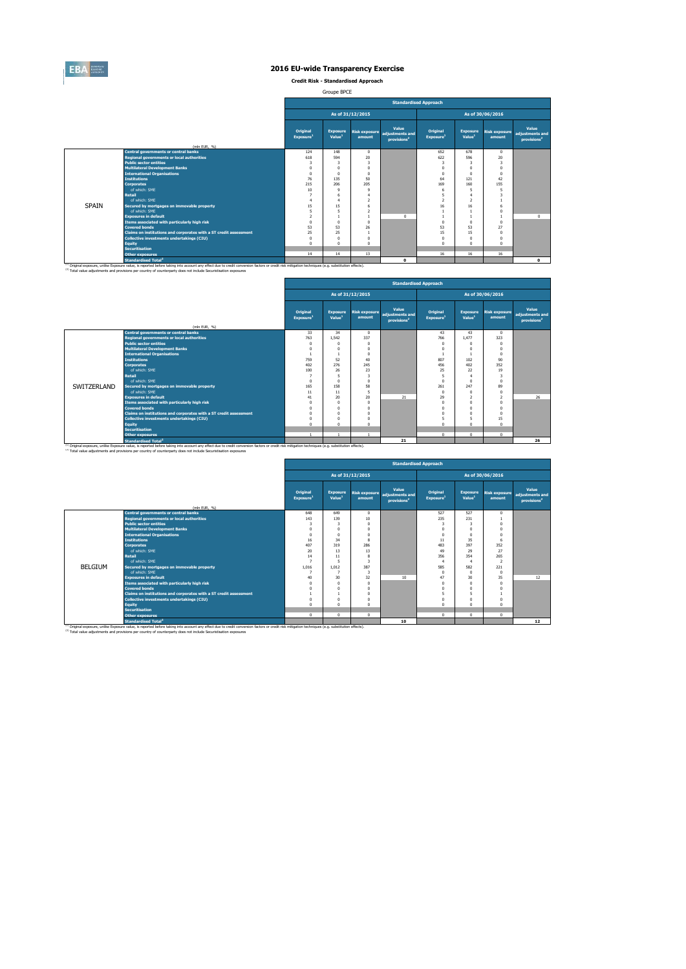

**Credit Risk - Standardised Approach**

Groupe BPCE

|              |                                                                                                                                                                                                                                                                                                                         |                                   |                                       |                                | <b>Standardised Approach</b>                        |                                   |                                       |                                |                                                     |
|--------------|-------------------------------------------------------------------------------------------------------------------------------------------------------------------------------------------------------------------------------------------------------------------------------------------------------------------------|-----------------------------------|---------------------------------------|--------------------------------|-----------------------------------------------------|-----------------------------------|---------------------------------------|--------------------------------|-----------------------------------------------------|
|              |                                                                                                                                                                                                                                                                                                                         |                                   |                                       | As of 31/12/2015               |                                                     |                                   |                                       | As of 30/06/2016               |                                                     |
|              |                                                                                                                                                                                                                                                                                                                         | Original<br>Exposure <sup>1</sup> | <b>Exposure</b><br>Value <sup>1</sup> | <b>Risk exposure</b><br>amount | Value<br>adiustments and<br>provisions <sup>2</sup> | Original<br>Exposure <sup>1</sup> | <b>Exposure</b><br>Value <sup>1</sup> | <b>Risk exposure</b><br>amount | Value<br>adiustments and<br>provisions <sup>2</sup> |
|              | (mln EUR, %)                                                                                                                                                                                                                                                                                                            |                                   |                                       |                                |                                                     |                                   |                                       |                                |                                                     |
|              | <b>Central governments or central banks</b><br><b>Regional governments or local authorities</b>                                                                                                                                                                                                                         | 124<br>618                        | 148<br>594                            | $\Omega$<br>20                 |                                                     | 652<br>622                        | 678<br>596                            | $\Omega$<br>20                 |                                                     |
|              | <b>Public sector entities</b>                                                                                                                                                                                                                                                                                           |                                   | 3                                     | з                              |                                                     | 3                                 | з                                     | -3                             |                                                     |
|              | <b>Multilateral Development Banks</b>                                                                                                                                                                                                                                                                                   |                                   |                                       | 0                              |                                                     | $\Omega$                          | n                                     |                                |                                                     |
|              | <b>International Organisations</b>                                                                                                                                                                                                                                                                                      | $\Omega$                          | $\theta$                              | 0                              |                                                     | $\Omega$                          | $\Omega$                              | $\Omega$                       |                                                     |
|              | <b>Institutions</b>                                                                                                                                                                                                                                                                                                     | 76                                | 135                                   | 50                             |                                                     | 64                                | 121                                   | 42                             |                                                     |
|              | <b>Corporates</b>                                                                                                                                                                                                                                                                                                       | 215                               | 206                                   | 205                            |                                                     | 169                               | 160                                   | 155                            |                                                     |
|              | of which: SMF                                                                                                                                                                                                                                                                                                           | 10                                | $\circ$                               | $\mathbf{Q}$                   |                                                     | 6                                 | 5                                     | 5                              |                                                     |
|              | <b>Retail</b>                                                                                                                                                                                                                                                                                                           |                                   | 6                                     |                                |                                                     | 5                                 | 4                                     |                                |                                                     |
|              | of which: SMF                                                                                                                                                                                                                                                                                                           |                                   | A                                     | $\overline{ }$                 |                                                     | $\overline{z}$                    | $\overline{2}$                        |                                |                                                     |
| <b>SPAIN</b> | Secured by mortgages on immovable property                                                                                                                                                                                                                                                                              | 15                                | 15                                    |                                |                                                     | 16                                | 16                                    |                                |                                                     |
|              | of which: SMF                                                                                                                                                                                                                                                                                                           |                                   | s                                     | $\overline{ }$                 |                                                     |                                   |                                       |                                |                                                     |
|              | <b>Exposures in default</b>                                                                                                                                                                                                                                                                                             |                                   |                                       |                                | $\Omega$                                            |                                   |                                       |                                | $\Omega$                                            |
|              | Items associated with particularly high risk                                                                                                                                                                                                                                                                            | $\Omega$                          | $\Omega$                              | n                              |                                                     | $\Omega$                          | $\Omega$                              | $\Omega$                       |                                                     |
|              | <b>Covered bonds</b>                                                                                                                                                                                                                                                                                                    | 53                                | 53                                    | 26                             |                                                     | 53                                | 53                                    | 27                             |                                                     |
|              | Claims on institutions and corporates with a ST credit assessment                                                                                                                                                                                                                                                       | 25                                | 25                                    |                                |                                                     | 15                                | 15                                    | $\Omega$                       |                                                     |
|              | Collective investments undertakings (CIU)                                                                                                                                                                                                                                                                               | $\Omega$                          | $\theta$                              | 0                              |                                                     | $\Omega$                          | 0                                     |                                |                                                     |
|              | <b>Equity</b>                                                                                                                                                                                                                                                                                                           |                                   | $\Omega$                              | n                              |                                                     | $\Omega$                          | $\theta$                              |                                |                                                     |
|              | <b>Securitisation</b>                                                                                                                                                                                                                                                                                                   |                                   |                                       |                                |                                                     |                                   |                                       |                                |                                                     |
|              | <b>Other exposures</b>                                                                                                                                                                                                                                                                                                  | 14                                | 14                                    | 13                             |                                                     | 16                                | 16                                    | 16                             |                                                     |
|              | Standardised Total <sup>2</sup>                                                                                                                                                                                                                                                                                         |                                   |                                       |                                | $\Omega$                                            |                                   |                                       |                                | $\bullet$                                           |
|              | (1) Original exposure, unlike Exposure value, is reported before taking into account any effect due to credit conversion factors or credit risk mitigation techniques (e.g. substitution effects).<br>(2) Total value adjustments and provisions per country of counterparty does not include Securistisation exposures |                                   |                                       |                                |                                                     |                                   |                                       |                                |                                                     |

|             |                                                                                                                                                                                                                                                                                                                                    |                                          |                                       |                                |                                                     | <b>Standardised Approach</b>      |                                       |                                |                                                     |
|-------------|------------------------------------------------------------------------------------------------------------------------------------------------------------------------------------------------------------------------------------------------------------------------------------------------------------------------------------|------------------------------------------|---------------------------------------|--------------------------------|-----------------------------------------------------|-----------------------------------|---------------------------------------|--------------------------------|-----------------------------------------------------|
|             |                                                                                                                                                                                                                                                                                                                                    |                                          |                                       | As of 31/12/2015               |                                                     |                                   |                                       | As of 30/06/2016               |                                                     |
|             | (mln EUR, %)                                                                                                                                                                                                                                                                                                                       | <b>Original</b><br>Exposure <sup>1</sup> | <b>Exposure</b><br>Value <sup>1</sup> | <b>Risk exposure</b><br>amount | Value<br>adiustments and<br>provisions <sup>2</sup> | Original<br>Exposure <sup>1</sup> | <b>Exposure</b><br>Value <sup>1</sup> | <b>Risk exposure</b><br>amount | Value<br>adjustments and<br>provisions <sup>2</sup> |
|             | <b>Central governments or central banks</b>                                                                                                                                                                                                                                                                                        | 33                                       | 34                                    | $\Omega$                       |                                                     | 43                                | 43                                    | $\Omega$                       |                                                     |
|             | <b>Regional governments or local authorities</b>                                                                                                                                                                                                                                                                                   | 763                                      | 1.542                                 | 337                            |                                                     | 766                               | 1.477                                 | 323                            |                                                     |
|             | <b>Public sector entities</b>                                                                                                                                                                                                                                                                                                      | $\Omega$                                 | $\Omega$                              | n                              |                                                     | $\Omega$                          | $\Omega$                              | $\Omega$                       |                                                     |
|             | <b>Multilateral Development Banks</b>                                                                                                                                                                                                                                                                                              | $\Omega$                                 | $\Omega$                              | O                              |                                                     | O                                 |                                       | $\Omega$                       |                                                     |
|             | <b>International Organisations</b>                                                                                                                                                                                                                                                                                                 |                                          |                                       | n                              |                                                     |                                   |                                       | $\Omega$                       |                                                     |
|             | <b>Institutions</b>                                                                                                                                                                                                                                                                                                                | 759                                      | 52                                    | 40                             |                                                     | 807                               | 102                                   | 90                             |                                                     |
|             | <b>Corporates</b>                                                                                                                                                                                                                                                                                                                  | 402                                      | 276                                   | 245                            |                                                     | 456                               | 402                                   | 352                            |                                                     |
|             | of which: SME                                                                                                                                                                                                                                                                                                                      | 100                                      | 26                                    | 23                             |                                                     | 25                                | 22                                    | 19                             |                                                     |
|             | <b>Retail</b>                                                                                                                                                                                                                                                                                                                      |                                          | 5                                     | 3                              |                                                     | 5                                 |                                       | 3                              |                                                     |
|             | of which: SMF                                                                                                                                                                                                                                                                                                                      | $\Omega$                                 | $\Omega$                              | n                              |                                                     | $\Omega$                          | $\Omega$                              | $\Omega$                       |                                                     |
| SWITZERLAND | Secured by mortgages on immovable property                                                                                                                                                                                                                                                                                         | 165                                      | 158                                   | 58                             |                                                     | 261                               | 247                                   | 89                             |                                                     |
|             | of which: SMF                                                                                                                                                                                                                                                                                                                      | 11                                       | 11                                    | 5                              |                                                     | $\Omega$                          | $\Omega$                              | $\Omega$                       |                                                     |
|             | <b>Exposures in default</b>                                                                                                                                                                                                                                                                                                        | 41                                       | 20                                    | 20                             | 21                                                  | 29                                |                                       | $\overline{\phantom{a}}$       | 26                                                  |
|             | <b>Items associated with narticularly high risk</b>                                                                                                                                                                                                                                                                                | $\Omega$                                 | $\Omega$                              | n                              |                                                     | $\Omega$                          | $\Omega$                              | $\Omega$                       |                                                     |
|             | <b>Covered bonds</b>                                                                                                                                                                                                                                                                                                               | $\Omega$                                 | $\Omega$                              |                                |                                                     |                                   |                                       |                                |                                                     |
|             | Claims on institutions and corporates with a ST credit assessment                                                                                                                                                                                                                                                                  | $\Omega$                                 | $\Omega$                              |                                |                                                     |                                   |                                       | $\Omega$                       |                                                     |
|             | Collective investments undertakings (CIU)                                                                                                                                                                                                                                                                                          | $\Omega$                                 | $\Omega$                              |                                |                                                     |                                   |                                       | 15                             |                                                     |
|             | <b>Equity</b>                                                                                                                                                                                                                                                                                                                      | $\Omega$                                 | $\Omega$                              | n                              |                                                     | n                                 | $\Omega$                              | $\Omega$                       |                                                     |
|             | <b>Securitisation</b>                                                                                                                                                                                                                                                                                                              |                                          |                                       |                                |                                                     |                                   |                                       |                                |                                                     |
|             | <b>Other exposures</b>                                                                                                                                                                                                                                                                                                             |                                          |                                       |                                |                                                     | $\Omega$                          | $\Omega$                              | $\Omega$                       |                                                     |
|             | <b>Standardised Total<sup>2</sup></b>                                                                                                                                                                                                                                                                                              |                                          |                                       |                                | 21                                                  |                                   |                                       |                                | 26                                                  |
|             | <sup>(1)</sup> Original exposure, unlike Exposure value, is reported before taking into account any effect due to credit conversion factors or credit risk mitigation techniques (e.g. substitution effects).<br>(2) Total value adjustments and provisions per country of counterparty does not include Securistisation exposures |                                          |                                       |                                |                                                     |                                   |                                       |                                |                                                     |

|                |                                                                        |                                   |                                       |                      | <b>Standardised Approach</b>                                      |                                   |                                       |                                |                                                     |
|----------------|------------------------------------------------------------------------|-----------------------------------|---------------------------------------|----------------------|-------------------------------------------------------------------|-----------------------------------|---------------------------------------|--------------------------------|-----------------------------------------------------|
|                |                                                                        |                                   |                                       | As of 31/12/2015     |                                                                   |                                   |                                       | As of 30/06/2016               |                                                     |
|                |                                                                        | Original<br>Exposure <sup>1</sup> | <b>Exposure</b><br>Value <sup>1</sup> | amount               | Value<br>Risk exposure adjustments and<br>provisions <sup>2</sup> | Original<br>Exposure <sup>1</sup> | <b>Exposure</b><br>Value <sup>1</sup> | <b>Risk exposure</b><br>amount | Value<br>adjustments and<br>provisions <sup>2</sup> |
|                | (mln EUR, %)                                                           |                                   |                                       |                      |                                                                   |                                   |                                       |                                |                                                     |
|                | <b>Central governments or central banks</b>                            | 648<br>143                        | 649<br>139                            | $\Omega$             |                                                                   | 527<br>235                        | 527<br>231                            | $\Omega$                       |                                                     |
|                | <b>Regional governments or local authorities</b>                       |                                   |                                       | 10                   |                                                                   |                                   |                                       |                                |                                                     |
|                | <b>Public sector entities</b><br><b>Multilateral Development Banks</b> | 3<br>$\Omega$                     | з<br>$\Omega$                         | $\Omega$<br>$\Omega$ |                                                                   | 3                                 | 3<br>$\Omega$                         | $\Omega$<br>$\Omega$           |                                                     |
|                | <b>International Organisations</b>                                     | $\Omega$                          | $\theta$                              |                      |                                                                   | $^{\circ}$                        | $\Omega$                              | $\Omega$                       |                                                     |
|                | <b>Institutions</b>                                                    | 16                                | 34                                    | R                    |                                                                   | $\Omega$<br>11                    | 35                                    | 6                              |                                                     |
|                | <b>Corporates</b>                                                      | 407                               | 319                                   | 286                  |                                                                   | 483                               | 397                                   | 352                            |                                                     |
|                | of which: SME                                                          | 20                                | 13                                    | 13                   |                                                                   | 49                                | 29                                    | 27                             |                                                     |
|                | <b>Retail</b>                                                          | 14                                | 11                                    |                      |                                                                   | 356                               | 354                                   | 265                            |                                                     |
|                | of which: SMF                                                          |                                   | ¢                                     |                      |                                                                   | 4                                 | 4                                     | $\overline{\phantom{a}}$       |                                                     |
| <b>BELGIUM</b> | Secured by mortgages on immovable property                             | 1.016                             | 1.012                                 | 387                  |                                                                   | 585                               | 582                                   | 221                            |                                                     |
|                | of which: SME                                                          |                                   | л                                     | 3                    |                                                                   | $\Omega$                          | $\Omega$                              | $\Omega$                       |                                                     |
|                | <b>Exposures in default</b>                                            | 40                                | 30                                    | 32                   | 10                                                                | 47                                | 30                                    | 35                             | 12                                                  |
|                | Items associated with particularly high risk                           | $\Omega$                          | O                                     |                      |                                                                   | $\Omega$                          | $\Omega$                              | $\Omega$                       |                                                     |
|                | <b>Covered bonds</b>                                                   | $\Omega$                          | O                                     | $\Omega$             |                                                                   | $\Omega$                          | $\Omega$                              | $\Omega$                       |                                                     |
|                | Claims on institutions and corporates with a ST credit assessment      |                                   |                                       |                      |                                                                   | 5                                 | 5                                     |                                |                                                     |
|                | Collective investments undertakings (CIU)                              | $\Omega$                          | n                                     |                      |                                                                   | $^{\circ}$                        | $\Omega$                              | $\Omega$                       |                                                     |
|                | <b>Equity</b>                                                          | $\Omega$                          | $\Omega$                              |                      |                                                                   | $\Omega$                          | $\Omega$                              | $\Omega$                       |                                                     |
|                | <b>Securitisation</b>                                                  |                                   |                                       |                      |                                                                   |                                   |                                       |                                |                                                     |
|                | <b>Other exposures</b>                                                 | $^{\circ}$                        | $\mathbf{0}$                          | $\Omega$             |                                                                   | $\mathbf 0$                       | $\mathbf{0}$                          | $\mathbf{0}$                   |                                                     |
|                | <b>Standardised Total<sup>2</sup></b>                                  |                                   |                                       |                      | 10                                                                |                                   |                                       |                                | 12                                                  |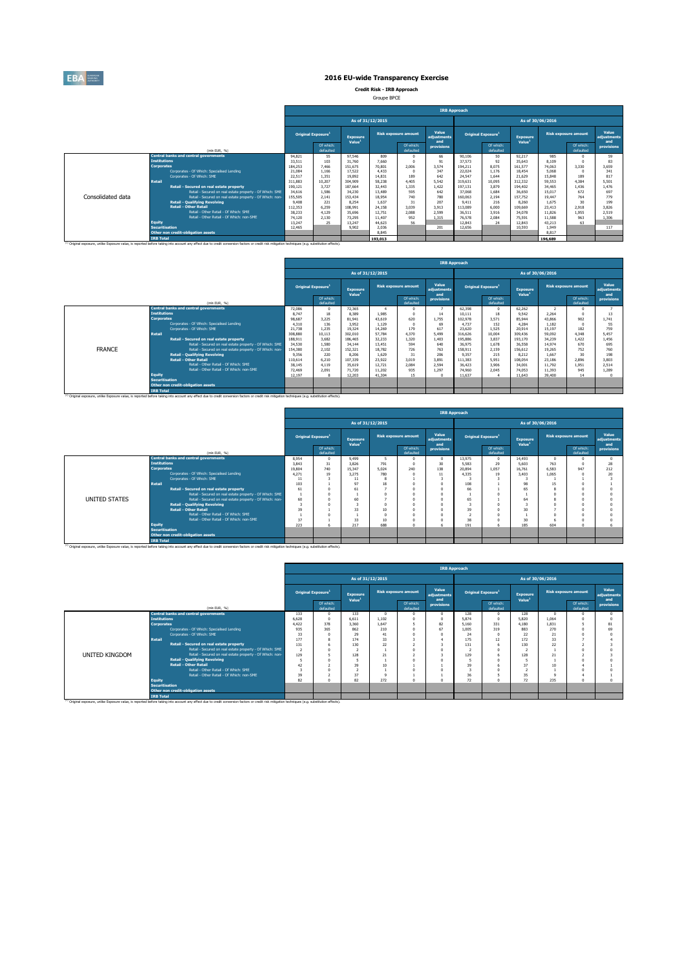

**Credit Risk - IRB Approach** Groupe BPCE

|                   |                       |                                                                                                                                                                                                               |         |                                       |                                       |                  |                             | <b>IRB Approach</b>         |         |                                |                                       |                  |                                                                                                                                                                                    |                             |
|-------------------|-----------------------|---------------------------------------------------------------------------------------------------------------------------------------------------------------------------------------------------------------|---------|---------------------------------------|---------------------------------------|------------------|-----------------------------|-----------------------------|---------|--------------------------------|---------------------------------------|------------------|------------------------------------------------------------------------------------------------------------------------------------------------------------------------------------|-----------------------------|
|                   |                       |                                                                                                                                                                                                               |         |                                       |                                       | As of 31/12/2015 |                             |                             |         |                                |                                       | As of 30/06/2016 |                                                                                                                                                                                    |                             |
|                   |                       |                                                                                                                                                                                                               |         | <b>Original Exposure</b> <sup>1</sup> | <b>Exposure</b><br>Value <sup>1</sup> |                  | <b>Risk exposure amount</b> | Value<br>adiustments<br>and |         | Original Exposure <sup>1</sup> | <b>Exposure</b><br>Value <sup>1</sup> |                  |                                                                                                                                                                                    | Value<br>adiustments<br>and |
|                   |                       | (mln EUR, %)                                                                                                                                                                                                  |         | Of which:<br>defaulted                |                                       |                  | Of which:<br>defaulted      | provisions                  |         | Of which:<br>defaulted         |                                       |                  | <b>Risk exposure amount</b><br>Of which:<br>defaulted<br>985<br>n<br>8.109<br>3.330<br>74.063<br>5.068<br>189<br>4.384<br>1.436<br>672<br>764<br>30<br>2.918<br>1.955<br>963<br>63 | provisions                  |
|                   |                       | <b>Central banks and central governments</b>                                                                                                                                                                  | 94.821  | 55                                    | 97.546                                | 809              |                             | 66                          | 90.106  | 50                             | 92.217                                |                  |                                                                                                                                                                                    | 59                          |
|                   | <b>Institutions</b>   |                                                                                                                                                                                                               | 33.511  | 103                                   | 31,760                                | 7,660            |                             | 91                          | 37.573  | 92                             | 35.643                                |                  |                                                                                                                                                                                    | 83                          |
|                   | <b>Corporates</b>     |                                                                                                                                                                                                               | 184,253 | 7.466                                 | 151.675                               | 70.801           | 2.006                       | 3.574                       | 194.211 | 8.075                          | 161.577                               |                  |                                                                                                                                                                                    | 3.659                       |
|                   |                       | Corporates - Of Which: Specialised Lending                                                                                                                                                                    | 21.084  | 1.166                                 | 17.522                                | 4.433            |                             | 347                         | 22.024  | 1.176                          | 18,454                                |                  |                                                                                                                                                                                    | 341                         |
|                   |                       | Corporates - Of Which: SME                                                                                                                                                                                    | 22.517  | 1.351                                 | 19.892                                | 14.831           | 189                         | 642                         | 24.547  | 1.644                          | 21.629                                | 15.848           |                                                                                                                                                                                    | 817                         |
|                   | <b>Retail</b>         |                                                                                                                                                                                                               | 311.883 | 10.207                                | 304,909                               | 58.238           | 4.405                       | 5.542                       | 319,631 | 10.095                         | 312,332                               | 59.553           |                                                                                                                                                                                    | 5.501                       |
|                   |                       | Retail - Secured on real estate property                                                                                                                                                                      | 190.121 | 3.727                                 | 187.664                               | 32,443           | 1.335                       | 1.422                       | 197.131 | 3,879                          | 194,402                               | 34.465           |                                                                                                                                                                                    | 1.476                       |
|                   |                       | Retail - Secured on real estate property - Of Which: SME                                                                                                                                                      | 34,616  | 1.586                                 | 34,230                                | 13,489           | 595                         | 642                         | 37,068  | 1.684                          | 36,650                                | 15.017           |                                                                                                                                                                                    | 697                         |
| Consolidated data |                       | Retail - Secured on real estate property - Of Which: non-                                                                                                                                                     | 155,505 | 2.141                                 | 153.434                               | 18.954           | 740                         | 780                         | 160.063 | 2.194                          | 157.752                               | 19.447           |                                                                                                                                                                                    | 779                         |
|                   |                       | <b>Retail - Qualifying Revolving</b>                                                                                                                                                                          | 9,408   | 221                                   | 8.254                                 | 1.637            | 31                          | 207                         | 9.411   | 216                            | 8.260                                 | 1.675            |                                                                                                                                                                                    | 199                         |
|                   |                       | <b>Retail - Other Retail</b>                                                                                                                                                                                  | 112.353 | 6.259                                 | 108.991                               | 24.158           | 3.039                       | 3.913                       | 113,089 | 6.000                          | 109,669                               | 23.413           |                                                                                                                                                                                    | 3.826                       |
|                   |                       | Retail - Other Retail - Of Which: SME                                                                                                                                                                         | 38.233  | 4.129                                 | 35,696                                | 12.751           | 2,088                       | 2.599                       | 36.511  | 3.916                          | 34.078                                | 11.826           |                                                                                                                                                                                    | 2.519                       |
|                   |                       | Retail - Other Retail - Of Which: non-SME                                                                                                                                                                     | 74,120  | 2.130                                 | 73.295                                | 11.407           | 952                         | 1.315                       | 76,578  | 2.084                          | 75.591                                | 11.588           |                                                                                                                                                                                    | 1.306                       |
|                   | <b>Equity</b>         |                                                                                                                                                                                                               | 13.247  | 25                                    | 13.247                                | 44.623           | 56                          |                             | 12.843  | 24                             | 12.843                                | 43.213           |                                                                                                                                                                                    |                             |
|                   | <b>Securitisation</b> |                                                                                                                                                                                                               | 12.465  |                                       | 9.902                                 | 2.036            |                             | 201                         | 12,656  |                                | 10.593                                | 1.949            |                                                                                                                                                                                    | 117                         |
|                   |                       | Other non credit-obligation assets                                                                                                                                                                            |         |                                       |                                       | 8.845            |                             |                             |         |                                |                                       | 8.817            |                                                                                                                                                                                    |                             |
|                   | <b>IRB Total</b>      |                                                                                                                                                                                                               |         |                                       |                                       | 193.013          |                             |                             |         |                                |                                       | 196,689          |                                                                                                                                                                                    |                             |
|                   |                       | <sup>(1)</sup> Original exposure, unlike Exposure value, is reported before taking into account any effect due to credit conversion factors or credit risk mitigation techniques (e.g. substitution effects). |         |                                       |                                       |                  |                             |                             |         |                                |                                       |                  |                                                                                                                                                                                    |                             |

|                                                                                                                                                                                                              |                                                           | <b>IRB Approach</b> |                                |                    |                  |                             |                      |         |                                |                    |                  |                             |                      |  |  |
|--------------------------------------------------------------------------------------------------------------------------------------------------------------------------------------------------------------|-----------------------------------------------------------|---------------------|--------------------------------|--------------------|------------------|-----------------------------|----------------------|---------|--------------------------------|--------------------|------------------|-----------------------------|----------------------|--|--|
|                                                                                                                                                                                                              |                                                           |                     |                                |                    | As of 31/12/2015 |                             |                      |         |                                |                    | As of 30/06/2016 |                             |                      |  |  |
|                                                                                                                                                                                                              |                                                           |                     | Original Exposure <sup>1</sup> | <b>Exposure</b>    |                  | <b>Risk exposure amount</b> | Value<br>adiustments |         | Original Exposure <sup>1</sup> | <b>Exposure</b>    |                  | <b>Risk exposure amount</b> | Value<br>adiustments |  |  |
|                                                                                                                                                                                                              | (mln EUR. %)                                              |                     | Of which:<br>defaulted         | Value <sup>1</sup> |                  | Of which:<br>defaulted      | and<br>provisions    |         | Of which:<br>defaulted         | Value <sup>1</sup> |                  | Of which:<br>defaulted      | and<br>provisions    |  |  |
|                                                                                                                                                                                                              | <b>Central banks and central governments</b>              | 72,086              | n                              | 72.365             |                  |                             |                      | 62,398  | $^{\circ}$                     | 62.262             |                  | n                           |                      |  |  |
|                                                                                                                                                                                                              | <b>Institutions</b>                                       | 8.747               | 18                             | 8,389              | 1.985            |                             | 14                   | 10.111  | 18                             | 9.542              | 2.264            | $\Omega$                    | 13                   |  |  |
|                                                                                                                                                                                                              | <b>Corporates</b>                                         | 98,687              | 3.225                          | 81.941             | 43,619           | 620                         | 1.755                | 102.978 | 3.571                          | 85,944             | 43.866           | 902                         | 1.741                |  |  |
|                                                                                                                                                                                                              | Corporates - Of Which: Specialised Lending                | 4.310               | 136                            | 3.952              | 1.129            | $\sqrt{2}$                  | 69                   | 4.737   | 152                            | 4.284              | 1.182            |                             | 55                   |  |  |
|                                                                                                                                                                                                              | Comorates - Of Which: SME                                 | 21,738              | 1.235                          | 19.324             | 14.269           | 179                         | 617                  | 23,620  | 1.525                          | 20.914             | 15.197           | 182                         | 759                  |  |  |
|                                                                                                                                                                                                              | <b>Retail</b>                                             | 308,880             | 10.113                         | 302.010            | 57.784           | 4,370                       | 5.499                | 316,626 | 10,004                         | 309,436            | 59.092           | 4.348                       | 5.457                |  |  |
|                                                                                                                                                                                                              | Retail - Secured on real estate property                  | 188,911             | 3.682                          | 186.465            | 32.233           | 1.320                       | 1.403                | 195,886 | 3.837                          | 193.170            | 34.239           | 1.422                       | 1.456                |  |  |
|                                                                                                                                                                                                              | Retail - Secured on real estate property - Of Which: SME  | 34,530              | 1.580                          | 34.144             | 13,451           | 594                         | 640                  | 36.975  | 1.678                          | 36.558             | 14.974           | 670                         | 695                  |  |  |
| <b>FRANCE</b>                                                                                                                                                                                                | Retail - Secured on real estate property - Of Which: non- | 154,380             | 2.102                          | 152.321            | 18,782           | 726                         | 763                  | 158,911 | 2,159                          | 156.612            | 19.265           | 752                         | 760                  |  |  |
|                                                                                                                                                                                                              | <b>Retail - Qualifying Revolving</b>                      | 9.356               | 220                            | 8.206              | 1.629            | 31                          | 206                  | 9.357   | 215                            | 8.212              | 1.667            | 30                          | 198                  |  |  |
|                                                                                                                                                                                                              | <b>Retail - Other Retail</b>                              | 110,614             | 6.210                          | 107.339            | 23,922           | 3.019                       | 3.891                | 111.383 | 5.951                          | 108.054            | 23.186           | 2.896                       | 3.803                |  |  |
|                                                                                                                                                                                                              | Retail - Other Retail - Of Which: SME                     | 38.145              | 4.119                          | 35.619             | 12.721           | 2.084                       | 2.594                | 36,423  | 3,906                          | 34,001             | 11,792           | 1.951                       | 2.514                |  |  |
|                                                                                                                                                                                                              | Retail - Other Retail - Of Which: non-SME                 | 72,469              | 2.091                          | 71,720             | 11.202           | 935                         | 1.297                | 74,960  | 2.045                          | 74.053             | 11.393           | 945                         | 1.289                |  |  |
|                                                                                                                                                                                                              | <b>Equity</b>                                             | 12.197              | 8                              | 12,203             | 41,304           | 15                          |                      | 11.637  | $\mathbf{A}$                   | 11.643             | 39,400           | 14                          |                      |  |  |
|                                                                                                                                                                                                              | <b>Securitisation</b>                                     |                     |                                |                    |                  |                             |                      |         |                                |                    |                  |                             |                      |  |  |
|                                                                                                                                                                                                              | Other non credit-obligation assets                        |                     |                                |                    |                  |                             |                      |         |                                |                    |                  |                             |                      |  |  |
| <sup>(3)</sup> Original exposure, unlike Exposure value, is reported before taking into account any effect due to credit conversion factors or credit risk mitigation techniques (e.g. substitution effects) | <b>IRB Total</b>                                          |                     |                                |                    |                  |                             |                      |         |                                |                    |                  |                             |                      |  |  |

|                                              | <b>IRB Approach</b>                                                                                                                                                                                                                                                                                                                                                                                                                                                                                                                     |                                                                |                                             |                                                                                     |                                        |                                                                                                                                                                                                                                          |                        |                                                                          |                                                     |                                                                                     |                                    |                                    |  |
|----------------------------------------------|-----------------------------------------------------------------------------------------------------------------------------------------------------------------------------------------------------------------------------------------------------------------------------------------------------------------------------------------------------------------------------------------------------------------------------------------------------------------------------------------------------------------------------------------|----------------------------------------------------------------|---------------------------------------------|-------------------------------------------------------------------------------------|----------------------------------------|------------------------------------------------------------------------------------------------------------------------------------------------------------------------------------------------------------------------------------------|------------------------|--------------------------------------------------------------------------|-----------------------------------------------------|-------------------------------------------------------------------------------------|------------------------------------|------------------------------------|--|
|                                              |                                                                                                                                                                                                                                                                                                                                                                                                                                                                                                                                         |                                                                | As of 31/12/2015                            |                                                                                     |                                        |                                                                                                                                                                                                                                          |                        |                                                                          | As of 30/06/2016                                    |                                                                                     |                                    |                                    |  |
|                                              |                                                                                                                                                                                                                                                                                                                                                                                                                                                                                                                                         |                                                                | Exposure                                    |                                                                                     |                                        | Value<br>adjustments                                                                                                                                                                                                                     |                        |                                                                          | Exposure                                            |                                                                                     |                                    | Value<br>adjustments               |  |
| (min EUR, %)                                 | Of which:<br>defaulted                                                                                                                                                                                                                                                                                                                                                                                                                                                                                                                  |                                                                |                                             |                                                                                     | Of which:<br>defaulted                 | provisions                                                                                                                                                                                                                               |                        | Of which:<br>defaulted                                                   |                                                     |                                                                                     | Of which:<br>defaulted             | and<br>provisions                  |  |
| <b>Central banks and central governments</b> | 8.954                                                                                                                                                                                                                                                                                                                                                                                                                                                                                                                                   | $\Omega$                                                       | 9,499                                       |                                                                                     |                                        |                                                                                                                                                                                                                                          | 13,975                 | n                                                                        | 14.493                                              | n                                                                                   |                                    | $\Omega$                           |  |
|                                              |                                                                                                                                                                                                                                                                                                                                                                                                                                                                                                                                         |                                                                |                                             |                                                                                     |                                        |                                                                                                                                                                                                                                          |                        |                                                                          |                                                     |                                                                                     |                                    | 28                                 |  |
|                                              |                                                                                                                                                                                                                                                                                                                                                                                                                                                                                                                                         |                                                                |                                             |                                                                                     |                                        |                                                                                                                                                                                                                                          |                        |                                                                          |                                                     |                                                                                     |                                    | 212                                |  |
|                                              |                                                                                                                                                                                                                                                                                                                                                                                                                                                                                                                                         |                                                                |                                             |                                                                                     |                                        |                                                                                                                                                                                                                                          |                        |                                                                          |                                                     |                                                                                     |                                    | 20                                 |  |
|                                              | 11                                                                                                                                                                                                                                                                                                                                                                                                                                                                                                                                      |                                                                | 11                                          |                                                                                     |                                        |                                                                                                                                                                                                                                          |                        |                                                                          |                                                     |                                                                                     |                                    |                                    |  |
|                                              |                                                                                                                                                                                                                                                                                                                                                                                                                                                                                                                                         |                                                                |                                             |                                                                                     |                                        |                                                                                                                                                                                                                                          |                        |                                                                          |                                                     |                                                                                     |                                    |                                    |  |
|                                              |                                                                                                                                                                                                                                                                                                                                                                                                                                                                                                                                         |                                                                |                                             |                                                                                     |                                        |                                                                                                                                                                                                                                          |                        |                                                                          |                                                     |                                                                                     |                                    |                                    |  |
|                                              |                                                                                                                                                                                                                                                                                                                                                                                                                                                                                                                                         |                                                                |                                             |                                                                                     |                                        |                                                                                                                                                                                                                                          |                        |                                                                          |                                                     |                                                                                     |                                    |                                    |  |
|                                              |                                                                                                                                                                                                                                                                                                                                                                                                                                                                                                                                         |                                                                |                                             |                                                                                     |                                        |                                                                                                                                                                                                                                          |                        |                                                                          |                                                     |                                                                                     |                                    |                                    |  |
|                                              |                                                                                                                                                                                                                                                                                                                                                                                                                                                                                                                                         |                                                                |                                             |                                                                                     |                                        |                                                                                                                                                                                                                                          |                        |                                                                          |                                                     |                                                                                     |                                    |                                    |  |
|                                              |                                                                                                                                                                                                                                                                                                                                                                                                                                                                                                                                         |                                                                |                                             |                                                                                     |                                        |                                                                                                                                                                                                                                          |                        |                                                                          |                                                     |                                                                                     |                                    |                                    |  |
|                                              |                                                                                                                                                                                                                                                                                                                                                                                                                                                                                                                                         |                                                                |                                             |                                                                                     |                                        |                                                                                                                                                                                                                                          |                        |                                                                          |                                                     |                                                                                     |                                    |                                    |  |
|                                              |                                                                                                                                                                                                                                                                                                                                                                                                                                                                                                                                         |                                                                |                                             |                                                                                     |                                        |                                                                                                                                                                                                                                          |                        |                                                                          |                                                     |                                                                                     |                                    |                                    |  |
| <b>Equity</b>                                |                                                                                                                                                                                                                                                                                                                                                                                                                                                                                                                                         |                                                                |                                             |                                                                                     |                                        |                                                                                                                                                                                                                                          |                        |                                                                          |                                                     |                                                                                     |                                    |                                    |  |
|                                              |                                                                                                                                                                                                                                                                                                                                                                                                                                                                                                                                         |                                                                |                                             |                                                                                     |                                        |                                                                                                                                                                                                                                          |                        |                                                                          |                                                     |                                                                                     |                                    |                                    |  |
|                                              |                                                                                                                                                                                                                                                                                                                                                                                                                                                                                                                                         |                                                                |                                             |                                                                                     |                                        |                                                                                                                                                                                                                                          |                        |                                                                          |                                                     |                                                                                     |                                    |                                    |  |
| <b>IRB Total</b>                             |                                                                                                                                                                                                                                                                                                                                                                                                                                                                                                                                         |                                                                |                                             |                                                                                     |                                        |                                                                                                                                                                                                                                          |                        |                                                                          |                                                     |                                                                                     |                                    |                                    |  |
|                                              | <b>Institutions</b><br><b>Corporates</b><br>Corporates - Of Which: Specialised Lending<br>Corporates - Of Which: SME<br><b>Retail</b><br>Retail - Secured on real estate property<br>Retail - Secured on real estate property - Of Which: SME<br>Retail - Secured on real estate property - Of Which: non-<br><b>Retail - Qualifying Revolving</b><br><b>Retail - Other Retail</b><br>Retail - Other Retail - Of Which: SME<br>Retail - Other Retail - Of Which: non-SME<br><b>Securitisation</b><br>Other non credit-obligation assets | 3.843<br>19.804<br>4.271<br>103<br>61<br>60<br>39<br>37<br>223 | <b>Original Exposure</b><br>31<br>740<br>19 | Value <sup>1</sup><br>3.826<br>15.347<br>3.275<br>97<br>61<br>60<br>33<br>33<br>217 | 791<br>5.024<br>780<br>18<br>10<br>688 | <b>Risk exposure amount</b><br>240<br>(3) Original exposure, unlike Exposure value, is reported before taking into account any effect due to credit conversion factors or credit risk mitigation techniques (e.g. substitution effects). | and<br>30<br>138<br>11 | 5.583<br>20,894<br>4.335<br>108<br>66<br>65<br>3<br>39<br>٠<br>38<br>191 | Original Exposure <sup>1</sup><br>29<br>1.057<br>19 | Value <sup>1</sup><br>5.603<br>16.761<br>3,403<br>98<br>65<br>64<br>30<br>30<br>185 | 763<br>6.583<br>1.065<br>15<br>604 | <b>Risk exposure amount</b><br>947 |  |

|                |                       |                                                                                                                                                                                                               |                |                                |                                       | <b>IRB Approach</b> |                             |                             |                           |                        |                                       |                  |                             |                             |  |  |  |  |
|----------------|-----------------------|---------------------------------------------------------------------------------------------------------------------------------------------------------------------------------------------------------------|----------------|--------------------------------|---------------------------------------|---------------------|-----------------------------|-----------------------------|---------------------------|------------------------|---------------------------------------|------------------|-----------------------------|-----------------------------|--|--|--|--|
|                |                       |                                                                                                                                                                                                               |                |                                |                                       | As of 31/12/2015    |                             |                             |                           |                        |                                       | As of 30/06/2016 |                             |                             |  |  |  |  |
|                |                       |                                                                                                                                                                                                               |                | Original Exposure <sup>1</sup> | <b>Exposure</b><br>Value <sup>1</sup> |                     | <b>Risk exposure amount</b> | Value<br>adjustments<br>and | <b>Original Exposure1</b> |                        | <b>Exposure</b><br>Value <sup>1</sup> |                  | <b>Risk exposure amount</b> | Value<br>adjustments<br>and |  |  |  |  |
|                |                       | (min EUR, %)                                                                                                                                                                                                  |                | Of which:<br>defaulted         |                                       |                     | Of which:<br>defaulted      | provisions                  |                           | Of which:<br>defaulted |                                       |                  | Of which:<br>defaulted      | provisions                  |  |  |  |  |
|                |                       | <b>Central banks and central governments</b>                                                                                                                                                                  | 133            |                                | 133                                   |                     | $\sqrt{2}$                  |                             | 128                       |                        | 128                                   |                  |                             |                             |  |  |  |  |
|                | <b>Institutions</b>   |                                                                                                                                                                                                               | 6.628          | $\Omega$                       | 6.611                                 | 1.102               | $\Omega$                    |                             | 5.874                     |                        | 5.820                                 | 1.064            |                             |                             |  |  |  |  |
|                | <b>Corporates</b>     |                                                                                                                                                                                                               | 4.422          | 378                            | 3,360                                 | 1.647               |                             | 82                          | 5.160                     | 331                    | 4.180                                 | 1.831            |                             | 81                          |  |  |  |  |
|                |                       | Corporates - Of Which: Specialised Lending                                                                                                                                                                    | 935            | 365                            | 862                                   | 210                 | $\Omega$                    | 67                          | 1.005                     | 319                    | 883                                   | 270              |                             | 69                          |  |  |  |  |
|                |                       | Corporates - Of Which: SME                                                                                                                                                                                    | 33             |                                | 29                                    | 41                  |                             |                             | 24                        |                        | 22                                    | 21               |                             |                             |  |  |  |  |
|                | <b>Retail</b>         |                                                                                                                                                                                                               | 177            |                                | 174                                   | 33                  |                             |                             | 175                       | 12                     | 172                                   | 33               |                             |                             |  |  |  |  |
|                |                       | Retail - Secured on real estate property                                                                                                                                                                      | 131            |                                | 130                                   | 22                  |                             |                             | 131                       |                        | 130                                   | 22               |                             |                             |  |  |  |  |
|                |                       | Retail - Secured on real estate property - Of Which: SME                                                                                                                                                      | $\overline{2}$ |                                |                                       |                     |                             |                             |                           |                        |                                       |                  |                             |                             |  |  |  |  |
| UNITED KINGDOM |                       | Retail - Secured on real estate property - Of Which: non-                                                                                                                                                     | 129            |                                | 128                                   | 21                  |                             |                             | 129                       |                        | 128                                   | 21               |                             |                             |  |  |  |  |
|                |                       | <b>Retail - Qualifving Revolving</b>                                                                                                                                                                          |                |                                |                                       |                     | n                           |                             | 5                         |                        |                                       |                  |                             |                             |  |  |  |  |
|                |                       | <b>Retail - Other Retail</b>                                                                                                                                                                                  | 42             |                                | 39                                    | 10                  |                             |                             | 39                        |                        | 37                                    |                  |                             |                             |  |  |  |  |
|                |                       | Retail - Other Retail - Of Which: SME                                                                                                                                                                         |                |                                |                                       |                     | $\theta$                    |                             | $\overline{ }$            |                        |                                       |                  |                             |                             |  |  |  |  |
|                |                       | Retail - Other Retail - Of Which: non-SME                                                                                                                                                                     | 39             |                                | 37                                    |                     |                             |                             | 36                        |                        | 35                                    |                  |                             |                             |  |  |  |  |
|                | <b>Equity</b>         |                                                                                                                                                                                                               | 82             |                                | 82                                    | 272                 | $\theta$                    |                             | 72                        |                        | 72                                    | 235              |                             |                             |  |  |  |  |
|                | <b>Securitisation</b> |                                                                                                                                                                                                               |                |                                |                                       |                     |                             |                             |                           |                        |                                       |                  |                             |                             |  |  |  |  |
|                |                       | Other non credit-obligation assets                                                                                                                                                                            |                |                                |                                       |                     |                             |                             |                           |                        |                                       |                  |                             |                             |  |  |  |  |
|                | <b>IRB Total</b>      | <sup>(1)</sup> Original exposure, unlike Exposure value, is reported before taking into account any effect due to credit conversion factors or credit risk mitigation techniques (e.g. substitution effects). |                |                                |                                       |                     |                             |                             |                           |                        |                                       |                  |                             |                             |  |  |  |  |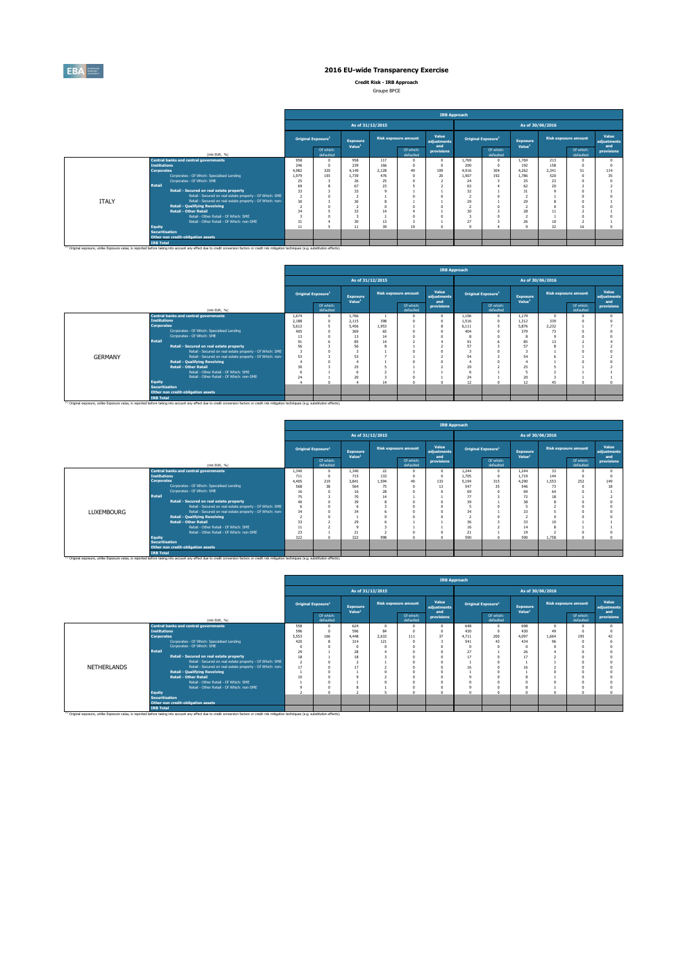

**Credit Risk - IRB Approach**

| Groupe BPCE |  |
|-------------|--|
|             |  |

|              |                       |                                                                                                                                                                                                    |                                |                        |                                |       |                             | <b>IRB Approach</b>         |                                |                        |                                       |       |                             |                             |
|--------------|-----------------------|----------------------------------------------------------------------------------------------------------------------------------------------------------------------------------------------------|--------------------------------|------------------------|--------------------------------|-------|-----------------------------|-----------------------------|--------------------------------|------------------------|---------------------------------------|-------|-----------------------------|-----------------------------|
|              |                       |                                                                                                                                                                                                    |                                |                        | As of 31/12/2015               |       |                             |                             |                                |                        | As of 30/06/2016                      |       |                             |                             |
|              |                       |                                                                                                                                                                                                    | Original Exposure <sup>1</sup> |                        | Exposure<br>Value <sup>1</sup> |       | <b>Risk exposure amount</b> | Value<br>adjustments<br>and | Original Exposure <sup>1</sup> |                        | <b>Exposure</b><br>Value <sup>1</sup> |       | <b>Risk exposure amount</b> | Value<br>adjustments<br>and |
|              |                       | (mln EUR. 96)                                                                                                                                                                                      |                                | Of which:<br>defaulted |                                |       | Of which:<br>defaulted      | provisions                  |                                | Of which:<br>defaulted |                                       |       | Of which:<br>defaulted      | provisions                  |
|              |                       | <b>Central banks and central governments</b>                                                                                                                                                       | 958                            | $\Omega$               | 958                            | 117   |                             | $\Omega$                    | 1.769                          |                        | 1.769                                 | 213   | $\Omega$                    |                             |
|              | <b>Institutions</b>   |                                                                                                                                                                                                    | 246                            | $\Omega$               | 239                            | 166   | $\Omega$                    | $\Omega$                    | 200                            |                        | 192                                   | 158   | $\Omega$                    |                             |
|              | <b>Corporates</b>     |                                                                                                                                                                                                    | 4.982                          | 320                    | 4.149                          | 2.128 | 49                          | 109                         | 4.916                          | 304                    | 4.262                                 | 2.341 | 51                          | 114                         |
|              |                       | Corporates - Of Which: Soecialised Lending                                                                                                                                                         | 1.979                          | 193                    | 1.739                          | 476   |                             | 20                          | 1.907                          | 192                    | 1.786                                 | 520   |                             | 35                          |
|              |                       | Corporates - Of Which: SME                                                                                                                                                                         | 25                             |                        | 26                             | 25    |                             |                             | 24                             |                        | 25                                    | 23    |                             |                             |
|              | Retail                |                                                                                                                                                                                                    | 69                             |                        | 67                             | 23    |                             |                             | 63                             |                        | 62                                    | 20    |                             |                             |
|              |                       | Retail - Secured on real estate property                                                                                                                                                           | 33                             |                        | 33                             |       |                             |                             | 32                             |                        | 31                                    |       |                             |                             |
|              |                       | Retail - Secured on real estate property - Of Which: SME                                                                                                                                           | $\overline{2}$                 |                        |                                |       |                             |                             |                                |                        |                                       |       |                             |                             |
| <b>ITALY</b> |                       | Retail - Secured on real estate property - Of Which: non-<br><b>Retail - Qualifying Revolving</b>                                                                                                  | 30                             |                        | 30                             |       |                             |                             | 29                             |                        | 29                                    |       |                             |                             |
|              |                       | <b>Retail - Other Retail</b>                                                                                                                                                                       | 34                             |                        | 33                             | 14    |                             |                             | 30                             |                        | 28                                    | 11    |                             |                             |
|              |                       | Retail - Other Retail - Of Which: SME                                                                                                                                                              |                                |                        |                                |       |                             |                             | ۹                              |                        |                                       |       |                             |                             |
|              |                       | Retail - Other Retail - Of Which: non-SME                                                                                                                                                          | 31                             |                        | 30                             | 13    |                             |                             | 27                             |                        | 26                                    | 10    |                             |                             |
|              | <b>Equity</b>         |                                                                                                                                                                                                    | 11                             |                        | 11                             | 39    | 19                          | $\theta$                    | $\Omega$                       |                        | $\Omega$                              | 32    | 16                          |                             |
|              | <b>Securitisation</b> | Other non credit-obligation assets                                                                                                                                                                 |                                |                        |                                |       |                             |                             |                                |                        |                                       |       |                             |                             |
|              | <b>IRB Total</b>      |                                                                                                                                                                                                    |                                |                        |                                |       |                             |                             |                                |                        |                                       |       |                             |                             |
|              |                       | [1] Original exposure, unlike Exposure value, is reported before taking into account any effect due to credit conversion factors or credit risk mitigation techniques (e.g. substitution effects). |                                |                        |                                |       |                             |                             |                                |                        |                                       |       |                             |                             |

|                |                       |                                                                                                                                                                                                    |                         |                                       |                                |                  |                             | <b>IRB Approach</b>         |       |                                |                                       |       |                             |                             |
|----------------|-----------------------|----------------------------------------------------------------------------------------------------------------------------------------------------------------------------------------------------|-------------------------|---------------------------------------|--------------------------------|------------------|-----------------------------|-----------------------------|-------|--------------------------------|---------------------------------------|-------|-----------------------------|-----------------------------|
|                |                       |                                                                                                                                                                                                    |                         |                                       |                                | As of 31/12/2015 |                             |                             |       |                                | As of 30/06/2016                      |       |                             |                             |
|                |                       |                                                                                                                                                                                                    |                         | <b>Original Exposure</b> <sup>1</sup> | Exposure<br>Value <sup>1</sup> |                  | <b>Risk exposure amount</b> | Value<br>adjustments<br>and |       | Original Exposure <sup>1</sup> | <b>Exposure</b><br>Value <sup>1</sup> |       | <b>Risk exposure amount</b> | Value<br>adiustments<br>and |
|                |                       | (min EUR, %)                                                                                                                                                                                       |                         | Of which:<br>defaulted                |                                |                  | Of which:<br>defaulted      | provisions                  |       | Of which:<br>defaulted         |                                       |       | Of which:<br>defaulted      | provisions                  |
|                |                       | <b>Central banks and central governments</b>                                                                                                                                                       | 1.674                   |                                       | 1.766                          |                  |                             | $^{\circ}$                  | 1.106 | $\Omega$                       | 1.179                                 |       |                             |                             |
|                | <b>Institutions</b>   |                                                                                                                                                                                                    | 2.188                   |                                       | 2.115                          | 398              |                             | $\circ$                     | 1.516 |                                | 1.312                                 | 339   |                             |                             |
|                | <b>Corporates</b>     |                                                                                                                                                                                                    | 5.612                   |                                       | 5.456                          | 1.953            |                             | $\mathbf{g}$                | 6.111 |                                | 5.876                                 | 2.232 |                             |                             |
|                |                       | Corporates - Of Which: Specialised Lending                                                                                                                                                         | 405                     |                                       | 369                            | 65               |                             | $\Omega$                    | 404   |                                | 379                                   | 73    |                             |                             |
|                |                       | Corporates - Of Which: SME                                                                                                                                                                         | 13                      |                                       | 13                             | 14               |                             | $\Omega$                    |       |                                |                                       |       |                             |                             |
|                | <b>Retail</b>         |                                                                                                                                                                                                    | 91                      |                                       | 85                             | 14               |                             |                             | 91    |                                | 85                                    | 13    |                             |                             |
|                |                       | Retail - Secured on real estate property                                                                                                                                                           | 56                      |                                       | 56                             |                  |                             |                             | 57    |                                | 57                                    |       |                             |                             |
|                |                       | Retail - Secured on real estate property - Of Which: SME                                                                                                                                           | $\overline{\mathbf{z}}$ |                                       |                                |                  |                             |                             |       |                                |                                       |       |                             |                             |
| <b>GERMANY</b> |                       | Retail - Secured on real estate property - Of Which: non-                                                                                                                                          | 53                      |                                       | 53                             |                  |                             |                             | 54    |                                | 54                                    |       |                             |                             |
|                |                       | <b>Retail - Qualifying Revolving</b>                                                                                                                                                               |                         |                                       |                                |                  |                             | $\Omega$                    |       |                                |                                       |       |                             |                             |
|                |                       | <b>Retail - Other Retail</b>                                                                                                                                                                       | 30                      |                                       | 25                             |                  |                             |                             | 29    |                                | 25                                    |       |                             |                             |
|                |                       | Retail - Other Retail - Of Which: SME                                                                                                                                                              |                         |                                       |                                |                  |                             |                             |       |                                |                                       |       |                             |                             |
|                |                       | Retail - Other Retail - Of Which: non-SME                                                                                                                                                          | 24                      |                                       | 20                             |                  |                             |                             | 24    |                                | 20                                    |       |                             |                             |
|                | <b>Equity</b>         |                                                                                                                                                                                                    |                         |                                       |                                | 14               |                             | $\Omega$                    | 12    |                                | 12                                    | 45    | $\Omega$                    |                             |
|                | <b>Securitisation</b> |                                                                                                                                                                                                    |                         |                                       |                                |                  |                             |                             |       |                                |                                       |       |                             |                             |
|                |                       | Other non credit-obligation assets                                                                                                                                                                 |                         |                                       |                                |                  |                             |                             |       |                                |                                       |       |                             |                             |
|                | <b>IRB Total</b>      |                                                                                                                                                                                                    |                         |                                       |                                |                  |                             |                             |       |                                |                                       |       |                             |                             |
|                |                       | (1) Original exposure, unlike Exposure value, is reported before taking into account any effect due to credit conversion factors or credit risk mitigation techniques (e.g. substitution effects). |                         |                                       |                                |                  |                             |                             |       |                                |                                       |       |                             |                             |

|            |                       |                                                           | <b>IRB Approach</b> |                                       |                                |                  |                             |                             |       |                                |                                       |       |                             |                      |
|------------|-----------------------|-----------------------------------------------------------|---------------------|---------------------------------------|--------------------------------|------------------|-----------------------------|-----------------------------|-------|--------------------------------|---------------------------------------|-------|-----------------------------|----------------------|
|            |                       |                                                           |                     |                                       |                                | As of 31/12/2015 |                             |                             |       |                                | As of 30/06/2016                      |       |                             |                      |
|            |                       |                                                           |                     | <b>Original Exposure</b> <sup>1</sup> | Exposure<br>Value <sup>1</sup> |                  | <b>Risk exposure amount</b> | Value<br>adiustments<br>and |       | Original Exposure <sup>1</sup> | <b>Exposure</b><br>Value <sup>1</sup> |       | <b>Risk exposure amount</b> | Value<br>adjustments |
|            |                       | (min EUR, %)                                              |                     | Of which:<br>defaulted                |                                |                  | Of which:<br>defaulted      | provisions                  |       | Of which:<br>defaulted         |                                       |       | Of which:<br>defaulted      | and<br>provisions    |
|            |                       | <b>Central banks and central governments</b>              | 1.340               | $\Omega$                              | 1.340                          | 22               | $\Omega$                    | $\Omega$                    | 1.244 | n                              | 1.244                                 | 33    |                             |                      |
|            | <b>Institutions</b>   |                                                           | 711                 |                                       | 715                            | 133              | $\Omega$                    | $\Omega$                    | 1.705 |                                | 1.719                                 | 144   |                             |                      |
|            | <b>Corporates</b>     |                                                           | 4.405               | 219                                   | 3.841                          | 1.594            | 49                          | 133                         | 5.194 | 315                            | 4.290                                 | 1.553 | 252                         | 149                  |
|            |                       | Corporates - Of Which: Specialised Lending                | 568                 | 38                                    | 564                            | 75               | $\sqrt{2}$                  | 13                          | 547   | 35                             | 546                                   | 73    |                             | 18                   |
|            |                       | Corporates - Of Which: SME                                | 16                  |                                       | 16                             | 28               |                             |                             | 69    |                                | 69                                    | 64    |                             |                      |
|            | <b>Retail</b>         |                                                           | 75                  |                                       | 70                             | 14               |                             |                             | 77    |                                | 72                                    | 18    |                             |                      |
|            |                       | Retail - Secured on real estate property                  | 40                  |                                       | 39                             |                  |                             |                             | 39    |                                | 38                                    |       |                             |                      |
|            |                       | Retail - Secured on real estate property - Of Which: SME  | 6                   |                                       |                                |                  |                             |                             |       |                                |                                       |       |                             |                      |
| LUXEMBOURG |                       | Retail - Secured on real estate property - Of Which: non- | 34                  |                                       | 34                             |                  |                             |                             | 34    |                                | 33                                    |       |                             |                      |
|            |                       | <b>Retail - Qualifying Revolving</b>                      |                     |                                       |                                |                  |                             |                             |       |                                |                                       |       |                             |                      |
|            |                       | <b>Retail - Other Retail</b>                              | 33                  |                                       | 29                             |                  |                             |                             | 36    |                                | 33                                    |       |                             |                      |
|            |                       | Retail - Other Retail - Of Which: SME                     | 11                  |                                       |                                |                  |                             |                             | 16    |                                | 14                                    |       |                             |                      |
|            |                       | Retail - Other Retail - Of Which: non-SME                 | 23                  |                                       | 21                             |                  |                             |                             | 21    |                                | 19                                    |       |                             |                      |
|            | <b>Equity</b>         |                                                           | 322                 |                                       | 322                            | 998              | $\Omega$                    |                             | 590   |                                | 590                                   | 1.758 |                             |                      |
|            | <b>Securitisation</b> |                                                           |                     |                                       |                                |                  |                             |                             |       |                                |                                       |       |                             |                      |
|            |                       | Other non credit-obligation assets                        |                     |                                       |                                |                  |                             |                             |       |                                |                                       |       |                             |                      |
|            | <b>IRB Total</b>      |                                                           |                     |                                       |                                |                  |                             |                             |       |                                |                                       |       |                             |                      |

|                    |                       |                                                                                                                                                                                                               | <b>IRB Approach</b> |                                |                                |                  |                             |                             |                  |                                |                                       |       |                             |                             |  |  |
|--------------------|-----------------------|---------------------------------------------------------------------------------------------------------------------------------------------------------------------------------------------------------------|---------------------|--------------------------------|--------------------------------|------------------|-----------------------------|-----------------------------|------------------|--------------------------------|---------------------------------------|-------|-----------------------------|-----------------------------|--|--|
|                    |                       |                                                                                                                                                                                                               |                     |                                |                                | As of 31/12/2015 |                             |                             | As of 30/06/2016 |                                |                                       |       |                             |                             |  |  |
|                    |                       |                                                                                                                                                                                                               |                     | Original Exposure <sup>1</sup> | Exposure<br>Value <sup>1</sup> |                  | <b>Risk exposure amount</b> | Value<br>adiustments<br>and |                  | Original Exposure <sup>1</sup> | <b>Exposure</b><br>Value <sup>1</sup> |       | <b>Risk exposure amount</b> | Value<br>adjustments<br>and |  |  |
|                    |                       | (mln EUR, %)                                                                                                                                                                                                  |                     | Of which:<br>defaulted         |                                |                  | Of which:<br>defaulted      | provisions                  |                  | Of which:<br>defaulted         |                                       |       | Of which:<br>defaulted      | provisions                  |  |  |
|                    |                       | <b>Central banks and central governments</b>                                                                                                                                                                  | 558                 |                                | 624                            |                  | $\Omega$                    | $\Omega$                    | 648              |                                | 698                                   |       |                             |                             |  |  |
|                    | <b>Institutions</b>   |                                                                                                                                                                                                               | 596                 |                                | 596                            | 84               | $\Omega$                    | $\Omega$                    | 430              |                                | 430                                   | 49    |                             |                             |  |  |
|                    | <b>Corporates</b>     |                                                                                                                                                                                                               | 5.553               | 166                            | 4,448                          | 2.633            | 111                         | 37                          | 4.711            | 200                            | 4.097                                 | 1.664 | 195                         |                             |  |  |
|                    |                       | Corporates - Of Which: Specialised Lending                                                                                                                                                                    | 420                 |                                | 314                            | 121              | $\sqrt{2}$                  |                             | 541              | 43                             | 434                                   | 96    |                             |                             |  |  |
|                    |                       | Corporates - Of Which: SME                                                                                                                                                                                    |                     |                                |                                |                  |                             | n                           |                  |                                |                                       |       |                             |                             |  |  |
|                    | <b>Retail</b>         |                                                                                                                                                                                                               | 29                  |                                | 28                             |                  |                             |                             | 27               |                                | 26                                    |       |                             |                             |  |  |
|                    |                       | Retail - Secured on real estate property                                                                                                                                                                      | 18                  |                                | 18                             |                  |                             |                             | 17               |                                | 17                                    |       |                             |                             |  |  |
|                    |                       | Retail - Secured on real estate property - Of Which: SME                                                                                                                                                      | $\sim$              |                                |                                |                  |                             |                             |                  |                                |                                       |       |                             |                             |  |  |
| <b>NETHERLANDS</b> |                       | Retail - Secured on real estate property - Of Which: non-                                                                                                                                                     | 17                  |                                |                                |                  |                             |                             | 16               |                                | 16                                    |       |                             |                             |  |  |
|                    |                       | <b>Retail - Qualifving Revolving</b>                                                                                                                                                                          |                     |                                |                                |                  |                             |                             |                  |                                |                                       |       |                             |                             |  |  |
|                    |                       | <b>Retail - Other Retail</b>                                                                                                                                                                                  |                     |                                |                                |                  |                             |                             |                  |                                |                                       |       |                             |                             |  |  |
|                    |                       | Retail - Other Retail - Of Which: SME                                                                                                                                                                         |                     |                                |                                |                  |                             |                             |                  |                                |                                       |       |                             |                             |  |  |
|                    |                       | Retail - Other Retail - Of Which: non-SME                                                                                                                                                                     |                     |                                |                                |                  |                             |                             |                  |                                |                                       |       |                             |                             |  |  |
|                    | <b>Equity</b>         |                                                                                                                                                                                                               |                     |                                |                                |                  |                             | n                           |                  |                                |                                       |       |                             |                             |  |  |
|                    | <b>Securitisation</b> |                                                                                                                                                                                                               |                     |                                |                                |                  |                             |                             |                  |                                |                                       |       |                             |                             |  |  |
|                    |                       | Other non credit-obligation assets                                                                                                                                                                            |                     |                                |                                |                  |                             |                             |                  |                                |                                       |       |                             |                             |  |  |
|                    | <b>IRB Total</b>      |                                                                                                                                                                                                               |                     |                                |                                |                  |                             |                             |                  |                                |                                       |       |                             |                             |  |  |
|                    |                       | <sup>(1)</sup> Original exposure, unlike Exposure value, is reported before taking into account any effect due to credit conversion factors or credit risk mitigation techniques (e.g. substitution effects). |                     |                                |                                |                  |                             |                             |                  |                                |                                       |       |                             |                             |  |  |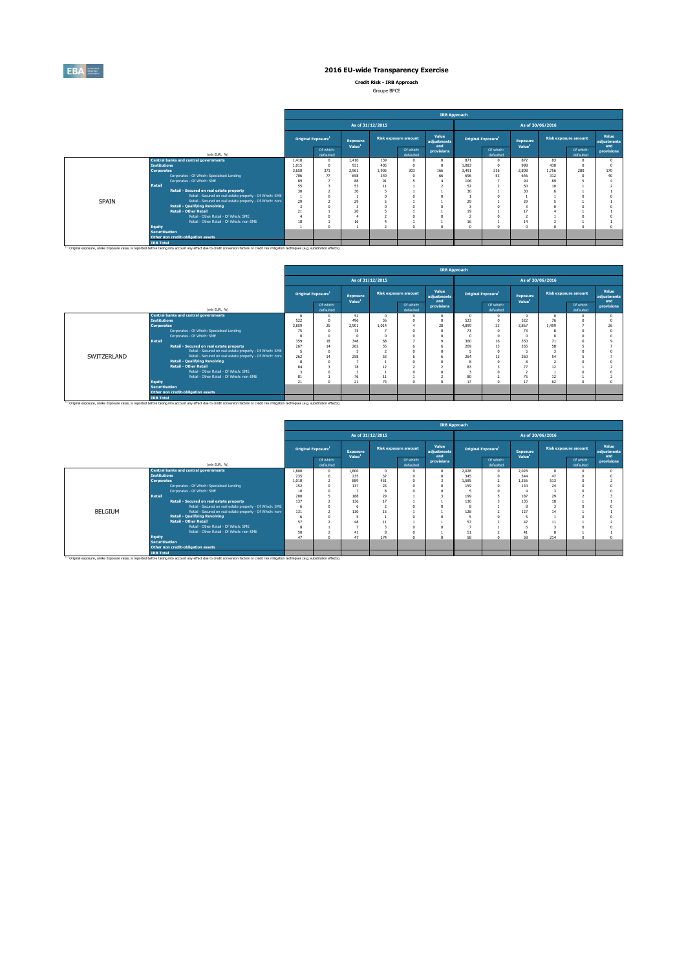

**Credit Risk - IRB Approach**

| Groupe BPCE |  |
|-------------|--|
|             |  |

|              |                                                                                                                                                                                                    | <b>IRB Approach</b>            |                        |                                       |                             |                        |                             |                                |                        |                                       |                             |                        |                             |  |  |
|--------------|----------------------------------------------------------------------------------------------------------------------------------------------------------------------------------------------------|--------------------------------|------------------------|---------------------------------------|-----------------------------|------------------------|-----------------------------|--------------------------------|------------------------|---------------------------------------|-----------------------------|------------------------|-----------------------------|--|--|
|              |                                                                                                                                                                                                    |                                |                        | As of 31/12/2015                      |                             |                        |                             | As of 30/06/2016               |                        |                                       |                             |                        |                             |  |  |
|              |                                                                                                                                                                                                    | Original Exposure <sup>1</sup> |                        | <b>Exposure</b><br>Value <sup>1</sup> | <b>Risk exposure amount</b> |                        | Value<br>adjustments<br>and | Original Exposure <sup>1</sup> |                        | <b>Exposure</b><br>Value <sup>1</sup> | <b>Risk exposure amount</b> |                        | Value<br>adjustments<br>and |  |  |
|              | (min EUR, %)                                                                                                                                                                                       |                                | Of which:<br>defaulted |                                       |                             | Of which:<br>defaulted | provisions                  |                                | Of which:<br>defaulted |                                       |                             | Of which:<br>defaulted | provisions                  |  |  |
|              | <b>Central banks and central governments</b>                                                                                                                                                       | 1,410                          | $\Omega$               | 1,410                                 | 139                         |                        | $\Omega$                    | 871                            |                        | 872                                   | 83                          | $\Omega$               |                             |  |  |
|              | <b>Institutions</b>                                                                                                                                                                                | 1.015                          | $\Omega$               | 931                                   | 405                         |                        |                             | 1.083                          |                        | 998                                   | 430                         |                        |                             |  |  |
|              | <b>Corporates</b>                                                                                                                                                                                  | 3.650                          | 371                    | 2.961                                 | 1.905                       | 303                    | 166                         | 3.491                          | 316                    | 2,808                                 | 1.756                       | 280                    | 170                         |  |  |
|              | Corporates - Of Which: Specialised Lending                                                                                                                                                         | 706                            | 77                     | 658                                   | 340                         |                        | 66                          | 696                            | 53                     | 646                                   | 312                         |                        |                             |  |  |
|              | Corporates - Of Which: SME<br>Retail                                                                                                                                                               | 89                             |                        | 88                                    | Q1                          |                        |                             | 106                            |                        | 94                                    | 89                          |                        |                             |  |  |
|              | 55                                                                                                                                                                                                 |                                | 53                     | 11                                    |                             |                        | 52                          |                                | 50                     | 10                                    |                             |                        |                             |  |  |
|              | Retail - Secured on real estate property                                                                                                                                                           | 30                             |                        | 30 <sub>1</sub>                       |                             |                        |                             | 30                             |                        | 30                                    |                             |                        |                             |  |  |
|              | Retail - Secured on real estate property - Of Which: SME                                                                                                                                           |                                |                        |                                       |                             |                        |                             |                                |                        |                                       |                             |                        |                             |  |  |
| <b>SPAIN</b> | Retail - Secured on real estate property - Of Which: non-                                                                                                                                          | 29                             |                        | 29                                    |                             |                        |                             | 29                             |                        | 29                                    |                             |                        |                             |  |  |
|              | <b>Retail - Qualifying Revolving</b>                                                                                                                                                               |                                |                        |                                       |                             |                        |                             |                                |                        |                                       |                             |                        |                             |  |  |
|              | <b>Retail - Other Retail</b>                                                                                                                                                                       | 21                             |                        | 20                                    |                             |                        |                             | 19                             |                        | 17                                    |                             |                        |                             |  |  |
|              | Retail - Other Retail - Of Which: SME                                                                                                                                                              |                                |                        |                                       |                             |                        |                             |                                |                        |                                       |                             |                        |                             |  |  |
|              | Retail - Other Retail - Of Which: non-SME                                                                                                                                                          | 18                             |                        | 16                                    |                             |                        | $\alpha$                    | 16<br>$\overline{a}$           |                        | 14<br>$\sim$                          |                             | $\Omega$               |                             |  |  |
|              | <b>Equity</b><br><b>Securitisation</b>                                                                                                                                                             |                                |                        |                                       |                             |                        |                             |                                |                        |                                       |                             |                        |                             |  |  |
|              | Other non credit-obligation assets                                                                                                                                                                 |                                |                        |                                       |                             |                        |                             |                                |                        |                                       |                             |                        |                             |  |  |
|              | <b>IRB Total</b>                                                                                                                                                                                   |                                |                        |                                       |                             |                        |                             |                                |                        |                                       |                             |                        |                             |  |  |
|              |                                                                                                                                                                                                    |                                |                        |                                       |                             |                        |                             |                                |                        |                                       |                             |                        |                             |  |  |
|              | (1) Original exposure, unlike Exposure value, is reported before taking into account any effect due to credit conversion factors or credit risk mitigation techniques (e.g. substitution effects). |                                |                        |                                       |                             |                        |                             |                                |                        |                                       |                             |                        |                             |  |  |

|             |                       |                                                                                                                                                                                                               | <b>IRB Approach</b> |                                |                                |       |                             |                   |                                |                                       |                             |       |                             |            |  |  |
|-------------|-----------------------|---------------------------------------------------------------------------------------------------------------------------------------------------------------------------------------------------------------|---------------------|--------------------------------|--------------------------------|-------|-----------------------------|-------------------|--------------------------------|---------------------------------------|-----------------------------|-------|-----------------------------|------------|--|--|
|             |                       |                                                                                                                                                                                                               |                     |                                | As of 31/12/2015               |       |                             |                   | As of 30/06/2016               |                                       |                             |       |                             |            |  |  |
|             |                       |                                                                                                                                                                                                               |                     | Original Exposure <sup>1</sup> | Exposure<br>Value <sup>1</sup> |       | <b>Risk exposure amount</b> |                   | Original Exposure <sup>1</sup> | <b>Exposure</b><br>Value <sup>1</sup> | <b>Risk exposure amount</b> |       | Value<br>adiustments<br>and |            |  |  |
|             |                       | (min EUR, %)                                                                                                                                                                                                  |                     | Of which:<br>defaulted         |                                |       | Of which:<br>defaulted      | and<br>provisions |                                | Of which:<br>defaulted                |                             |       | Of which:<br>defaulted      | provisions |  |  |
|             |                       | <b>Central banks and central governments</b>                                                                                                                                                                  |                     |                                | 52                             |       |                             |                   |                                | $\Omega$                              | $\circ$                     |       |                             |            |  |  |
|             | <b>Institutions</b>   |                                                                                                                                                                                                               | 522                 |                                | 496                            | 56    |                             |                   | 523                            |                                       | 522                         | 76    |                             |            |  |  |
|             | <b>Corporates</b>     |                                                                                                                                                                                                               | 3,859               | 25                             | 2.901                          | 1.014 |                             | 28                | 4,899                          | 33                                    | 3,867                       | 1.499 |                             |            |  |  |
|             |                       | Corporates - Of Which: Soecialised Lending                                                                                                                                                                    | 75                  |                                | 75                             |       |                             |                   | 73                             |                                       | 73                          |       |                             |            |  |  |
|             |                       | Corporates - Of Which: SME                                                                                                                                                                                    |                     |                                |                                |       |                             |                   |                                |                                       |                             |       |                             |            |  |  |
|             | <b>Retail</b>         |                                                                                                                                                                                                               | 359                 | 18                             | 348                            | 68    |                             |                   | 360                            | 16                                    | 350                         | 71    |                             |            |  |  |
|             |                       | Retail - Secured on real estate property                                                                                                                                                                      | 267                 | 14                             | 262                            | 55    |                             |                   | 269                            | 13                                    | 265                         | 58    |                             |            |  |  |
|             |                       | Retail - Secured on real estate property - Of Which: SME                                                                                                                                                      |                     |                                |                                |       |                             |                   |                                |                                       |                             |       |                             |            |  |  |
| SWITZERLAND |                       | Retail - Secured on real estate property - Of Which: non-                                                                                                                                                     | 262                 |                                | 258                            | 53    |                             |                   | 264                            | 13                                    | 260                         | 54    |                             |            |  |  |
|             |                       | <b>Retail - Qualifying Revolving</b>                                                                                                                                                                          |                     |                                |                                |       |                             |                   |                                |                                       |                             |       |                             |            |  |  |
|             |                       | <b>Retail - Other Retail</b>                                                                                                                                                                                  | 84                  |                                | 78                             | 12    |                             |                   | 83                             |                                       | 77                          | 12    |                             |            |  |  |
|             |                       | Retail - Other Retail - Of Which: SME                                                                                                                                                                         |                     |                                |                                |       |                             |                   |                                |                                       |                             |       |                             |            |  |  |
|             |                       | Retail - Other Retail - Of Which: non-SME                                                                                                                                                                     | 81                  |                                | 76                             | 11    |                             |                   | 80                             |                                       | 75                          | 12    |                             |            |  |  |
|             | <b>Equity</b>         |                                                                                                                                                                                                               | 21                  |                                | 21                             | 74    |                             |                   | 17                             |                                       |                             | 62    |                             |            |  |  |
|             | <b>Securitisation</b> |                                                                                                                                                                                                               |                     |                                |                                |       |                             |                   |                                |                                       |                             |       |                             |            |  |  |
|             |                       | Other non credit-obligation assets                                                                                                                                                                            |                     |                                |                                |       |                             |                   |                                |                                       |                             |       |                             |            |  |  |
|             | <b>IRB Total</b>      |                                                                                                                                                                                                               |                     |                                |                                |       |                             |                   |                                |                                       |                             |       |                             |            |  |  |
|             |                       | <sup>(1)</sup> Original exposure, unlike Exposure value, is reported before taking into account any effect due to credit conversion factors or credit risk mitigation techniques (e.g. substitution effects). |                     |                                |                                |       |                             |                   |                                |                                       |                             |       |                             |            |  |  |

|         |                                                                                                                                                                                                               |       | <b>IRB Approach</b> |                                       |                                       |                  |                             |                   |                                |                                       |       |                             |                             |            |  |
|---------|---------------------------------------------------------------------------------------------------------------------------------------------------------------------------------------------------------------|-------|---------------------|---------------------------------------|---------------------------------------|------------------|-----------------------------|-------------------|--------------------------------|---------------------------------------|-------|-----------------------------|-----------------------------|------------|--|
|         |                                                                                                                                                                                                               |       |                     |                                       |                                       | As of 31/12/2015 |                             | As of 30/06/2016  |                                |                                       |       |                             |                             |            |  |
|         |                                                                                                                                                                                                               |       |                     | <b>Original Exposure</b> <sup>1</sup> | <b>Exposure</b><br>Value <sup>1</sup> |                  | <b>Risk exposure amount</b> |                   | Original Exposure <sup>1</sup> | <b>Exposure</b><br>Value <sup>1</sup> |       | <b>Risk exposure amount</b> | Value<br>adjustments<br>and |            |  |
|         | (min EUR, %)                                                                                                                                                                                                  |       |                     | Of which:<br>defaulted                |                                       |                  | Of which:<br>defaulted      | and<br>provisions |                                | Of which:<br>defaulted                |       |                             | Of which:<br>defaulted      | provisions |  |
|         | <b>Central banks and central governments</b>                                                                                                                                                                  |       | 1,800               |                                       | 1,800                                 |                  |                             | $\Omega$          | 2.028                          | $\Omega$                              | 2.028 |                             |                             |            |  |
|         | <b>Institutions</b>                                                                                                                                                                                           |       | 235                 |                                       | 235                                   | 32               |                             |                   | 345                            |                                       | 344   | 47                          |                             |            |  |
|         | Corporates                                                                                                                                                                                                    | 1.010 |                     | 889                                   | 451                                   |                  |                             | 1.585             |                                | 1.356                                 | 513   |                             |                             |            |  |
|         | Corporates - Of Which: Specialised Lending<br>Corporates - Of Which: SME<br><b>Retail</b>                                                                                                                     |       |                     |                                       | 137                                   | 23               |                             | $\Omega$          | 159                            |                                       | 144   | 24                          |                             |            |  |
|         |                                                                                                                                                                                                               |       |                     |                                       |                                       |                  |                             |                   |                                |                                       |       |                             |                             |            |  |
|         |                                                                                                                                                                                                               |       |                     |                                       | 188                                   | 29               |                             |                   | 199                            |                                       | 187   | $\overline{2}$              |                             |            |  |
|         | Retail - Secured on real estate property                                                                                                                                                                      |       | 137                 |                                       | 136                                   |                  |                             |                   | 136                            |                                       | 135   |                             |                             |            |  |
|         | Retail - Secured on real estate property - Of Which: SME                                                                                                                                                      |       |                     |                                       |                                       |                  |                             |                   |                                |                                       |       |                             |                             |            |  |
| BELGIUM | Retail - Secured on real estate property - Of Which: non-                                                                                                                                                     |       | 131                 |                                       | 130                                   | 15               |                             |                   | 128                            |                                       | 127   |                             |                             |            |  |
|         | <b>Retail - Qualifving Revolving</b>                                                                                                                                                                          |       |                     |                                       |                                       |                  |                             |                   |                                |                                       |       |                             |                             |            |  |
|         | <b>Retail - Other Retail</b>                                                                                                                                                                                  |       | 57                  |                                       | 48                                    |                  |                             |                   | 57                             |                                       | 47    | 11                          |                             |            |  |
|         | Retail - Other Retail - Of Which: SME                                                                                                                                                                         |       |                     |                                       |                                       |                  |                             | $\Omega$          |                                |                                       |       |                             |                             |            |  |
|         | Retail - Other Retail - Of Which: non-SME                                                                                                                                                                     |       | 50                  |                                       |                                       |                  |                             |                   | 51                             |                                       | 41    |                             |                             |            |  |
|         | <b>Equity</b>                                                                                                                                                                                                 |       | 47                  |                                       | 47                                    | 174              |                             |                   | 58                             |                                       | 58    | 214                         |                             |            |  |
|         | <b>Securitisation</b>                                                                                                                                                                                         |       |                     |                                       |                                       |                  |                             |                   |                                |                                       |       |                             |                             |            |  |
|         | Other non credit-obligation assets                                                                                                                                                                            |       |                     |                                       |                                       |                  |                             |                   |                                |                                       |       |                             |                             |            |  |
|         | <b>IRB Total</b>                                                                                                                                                                                              |       |                     |                                       |                                       |                  |                             |                   |                                |                                       |       |                             |                             |            |  |
|         | <sup>(1)</sup> Original exposure, unlike Exposure value, is reported before taking into account any effect due to credit conversion factors or credit risk mitigation techniques (e.g. substitution effects). |       |                     |                                       |                                       |                  |                             |                   |                                |                                       |       |                             |                             |            |  |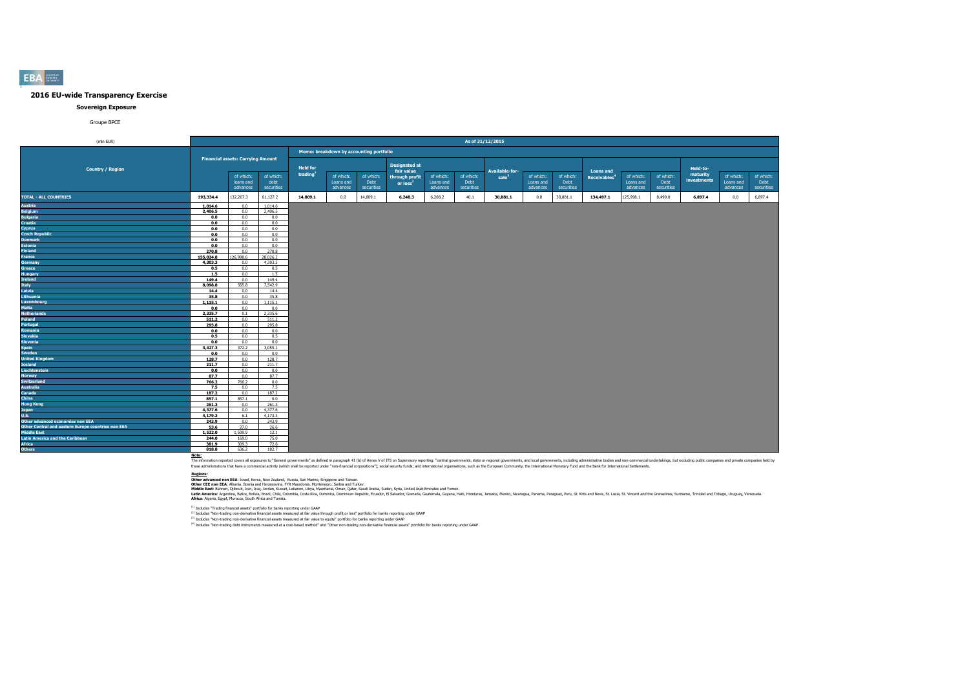#### **Sovereign Exposure**

#### Groupe BPCE

| (mln EUR)                                          |                |                                          |                |                 |                                         |            |                      |           | As of 31/12/2015 |                   |           |            |                          |           |            |             |           |            |
|----------------------------------------------------|----------------|------------------------------------------|----------------|-----------------|-----------------------------------------|------------|----------------------|-----------|------------------|-------------------|-----------|------------|--------------------------|-----------|------------|-------------|-----------|------------|
|                                                    |                |                                          |                |                 |                                         |            |                      |           |                  |                   |           |            |                          |           |            |             |           |            |
|                                                    |                |                                          |                |                 | Memo: breakdown by accounting portfolio |            |                      |           |                  |                   |           |            |                          |           |            |             |           |            |
|                                                    |                | <b>Financial assets: Carrying Amount</b> |                |                 |                                         |            | <b>Designated at</b> |           |                  |                   |           |            |                          |           |            |             |           |            |
| <b>Country / Region</b>                            |                |                                          |                | <b>Held for</b> |                                         |            | fair value           |           |                  | Available-for-    |           |            | <b>Loans and</b>         |           |            | Held-to-    |           |            |
|                                                    |                | of which:                                | of which:      | trading         | of which:                               | of which:  | through profit       | of which: | of which:        | sale <sup>3</sup> | of which: | of which:  | Receivables <sup>4</sup> | of which: | of which:  | maturity    | of which: | of which:  |
|                                                    |                | loans and                                | debt           |                 | Loans and                               | Debt       | or loss <sup>2</sup> | Loans and | Debt             |                   | Loans and | Debt       |                          | Loans and | Debt       | investments | Loans and | Debt       |
|                                                    |                | advances                                 | securities     |                 | advances                                | securities |                      | advances  | securities       |                   | advances  | securities |                          | advances  | securities |             | advances  | securities |
| <b>TOTAL - ALL COUNTRIES</b>                       | 193,334.4      | 132,207.3                                | 61,127.2       | 14,809.1        | 0.0                                     | 14,809.1   | 6,248.3              | 6,208.2   | 40.1             | 30,881.1          | 0.0       | 30,881.1   | 134,497.1                | 125,998.1 | 8,499.0    | 6,897.4     | 0.0       | 6,897.4    |
| <b>Austria</b>                                     | 1,014.6        | 0.0                                      | 1,014.6        |                 |                                         |            |                      |           |                  |                   |           |            |                          |           |            |             |           |            |
| <b>Belgium</b>                                     | 2,406.5        | 0.0                                      | 2,406.5        |                 |                                         |            |                      |           |                  |                   |           |            |                          |           |            |             |           |            |
| <b>Bulgaria</b>                                    | 0.0            | 0.0                                      | 0.0            |                 |                                         |            |                      |           |                  |                   |           |            |                          |           |            |             |           |            |
| <b>Croatia</b>                                     | 0.0            | 0.0                                      | 0.0            |                 |                                         |            |                      |           |                  |                   |           |            |                          |           |            |             |           |            |
| <b>Cyprus</b>                                      | 0.0            | 0.0                                      | 0.0            |                 |                                         |            |                      |           |                  |                   |           |            |                          |           |            |             |           |            |
| <b>Czech Republic</b>                              | 0.0            | 0.0                                      | 0.0            |                 |                                         |            |                      |           |                  |                   |           |            |                          |           |            |             |           |            |
| <b>Denmark</b>                                     | 0.0            | 0.0<br>0.0                               | 0.0            |                 |                                         |            |                      |           |                  |                   |           |            |                          |           |            |             |           |            |
| <b>Estonia</b><br><b>Finland</b>                   | 0.0<br>270.8   | 0.0                                      | 0.0<br>270.8   |                 |                                         |            |                      |           |                  |                   |           |            |                          |           |            |             |           |            |
| France                                             | 155.024.8      | 26,998.6                                 | 28,026.2       |                 |                                         |            |                      |           |                  |                   |           |            |                          |           |            |             |           |            |
| <b>Germany</b>                                     | 4.303.3        | 0.0                                      | 4,303.3        |                 |                                         |            |                      |           |                  |                   |           |            |                          |           |            |             |           |            |
| Greece                                             | 0.5            | 0.0                                      | 0.5            |                 |                                         |            |                      |           |                  |                   |           |            |                          |           |            |             |           |            |
| <b>Hungary</b>                                     | 1.5            | 0.0                                      | 1.5            |                 |                                         |            |                      |           |                  |                   |           |            |                          |           |            |             |           |            |
| <b>Ireland</b>                                     | 149.4          | 0.0                                      | 149.4          |                 |                                         |            |                      |           |                  |                   |           |            |                          |           |            |             |           |            |
| <b>Italy</b>                                       | 8,098.8        | 555.8                                    | 7,542.9        |                 |                                         |            |                      |           |                  |                   |           |            |                          |           |            |             |           |            |
| Latvia                                             | 14.4           | 0.0                                      | 14.4           |                 |                                         |            |                      |           |                  |                   |           |            |                          |           |            |             |           |            |
| Lithuania                                          | 35.8           | 0.0                                      | 35.8           |                 |                                         |            |                      |           |                  |                   |           |            |                          |           |            |             |           |            |
| <b>Luxembourg</b>                                  | 1,115.1        | 0.0                                      | 1,115.1        |                 |                                         |            |                      |           |                  |                   |           |            |                          |           |            |             |           |            |
| <b>Malta</b>                                       | 0.0            | 0.0                                      | 0.0            |                 |                                         |            |                      |           |                  |                   |           |            |                          |           |            |             |           |            |
| <b>Netherlands</b>                                 | 2,335.7        | 0.1                                      | 2,335.6        |                 |                                         |            |                      |           |                  |                   |           |            |                          |           |            |             |           |            |
| Poland                                             | 511.2          | 0.0                                      | 511.2          |                 |                                         |            |                      |           |                  |                   |           |            |                          |           |            |             |           |            |
| Portugal                                           | 295.8          | 0.0                                      | 295.8          |                 |                                         |            |                      |           |                  |                   |           |            |                          |           |            |             |           |            |
| Romania                                            | 0.0            | 0.0                                      | 0.0            |                 |                                         |            |                      |           |                  |                   |           |            |                          |           |            |             |           |            |
| <b>Slovakia</b>                                    | 0.5            | 0.0                                      | 0.5            |                 |                                         |            |                      |           |                  |                   |           |            |                          |           |            |             |           |            |
| <b>Slovenia</b>                                    | 0.0            | 0.0                                      | 0.0            |                 |                                         |            |                      |           |                  |                   |           |            |                          |           |            |             |           |            |
| <b>Spain</b>                                       | 3,427.3<br>0.0 | 372.2<br>0.0                             | 3,055.1<br>0.0 |                 |                                         |            |                      |           |                  |                   |           |            |                          |           |            |             |           |            |
| Sweden<br><b>United Kinadom</b>                    | 128.7          | 0.0                                      | 128.7          |                 |                                         |            |                      |           |                  |                   |           |            |                          |           |            |             |           |            |
| <b>Iceland</b>                                     | 211.7          | 0.0                                      | 211.7          |                 |                                         |            |                      |           |                  |                   |           |            |                          |           |            |             |           |            |
| Liechtenstein                                      | 0.0            | 0.0                                      | 0.0            |                 |                                         |            |                      |           |                  |                   |           |            |                          |           |            |             |           |            |
| <b>Norway</b>                                      | 87.7           | 0.0                                      | 87.7           |                 |                                         |            |                      |           |                  |                   |           |            |                          |           |            |             |           |            |
| <b>Switzerland</b>                                 | 766.2          | 766.2                                    | 0.0            |                 |                                         |            |                      |           |                  |                   |           |            |                          |           |            |             |           |            |
| <b>Australia</b>                                   | 7.5            | 0.0                                      | 7.5            |                 |                                         |            |                      |           |                  |                   |           |            |                          |           |            |             |           |            |
| Canada                                             | 187.2          | 0.0                                      | 187.2          |                 |                                         |            |                      |           |                  |                   |           |            |                          |           |            |             |           |            |
| China                                              | 857.1          | 857.1                                    | 0.0            |                 |                                         |            |                      |           |                  |                   |           |            |                          |           |            |             |           |            |
| <b>Hong Kong</b>                                   | 261.3          | 0.0                                      | 261.3          |                 |                                         |            |                      |           |                  |                   |           |            |                          |           |            |             |           |            |
| <b>Japan</b>                                       | 4.377.6        | 0.0                                      | 4,377.6        |                 |                                         |            |                      |           |                  |                   |           |            |                          |           |            |             |           |            |
| <b>U.S.</b>                                        | 4,179.3        | 6.1                                      | 4,173.3        |                 |                                         |            |                      |           |                  |                   |           |            |                          |           |            |             |           |            |
| Other advanced economies non EEA                   | 243.9          | 0.0                                      | 243.9          |                 |                                         |            |                      |           |                  |                   |           |            |                          |           |            |             |           |            |
| Other Central and eastern Europe countries non EEA | 53.6           | 27.0                                     | 26.6           |                 |                                         |            |                      |           |                  |                   |           |            |                          |           |            |             |           |            |
| <b>Middle East</b>                                 | 1,522.0        | 1,509.9                                  | 12.1           |                 |                                         |            |                      |           |                  |                   |           |            |                          |           |            |             |           |            |
| <b>Latin America and the Caribbean</b>             | 244.0          | 169.0                                    | 75.0           |                 |                                         |            |                      |           |                  |                   |           |            |                          |           |            |             |           |            |
| <b>Africa</b>                                      | 381.9          | 309.3                                    | 72.6           |                 |                                         |            |                      |           |                  |                   |           |            |                          |           |            |             |           |            |
| <b>Others</b>                                      | 818.8          | 636.2                                    | 182.7          |                 |                                         |            |                      |           |                  |                   |           |            |                          |           |            |             |           |            |

Note:<br>The information reported covers all exposures to "General governments" as defined in paraggin 41 (b) of Annex V of ITS on Supervisory reporting: "central governments, state or regional governments, and both governmen

**Redions:**<br>Other afvanced non EEA: Israel, Korea, New Zealand, Russia, San Marino, Singore and Taiwan.<br>Middle East: Bahain, Dilouti, Iran, Iran, Jordan, Kuran, Libya, Mewhamenn: Semina, Oman, Suna, Suna, Suna, United Arab

(1) Includes "Trading financial assets" portfolio for banks reporting under GAAP

<sup>(2)</sup> Includes "Non-trading non-derivative financial assets measured at fair value through profit or loss" portfolio for banks reporting under GAAP<br><sup>03</sup> Includes "Non-trading non-derivative financial and and the major bank

**EBA**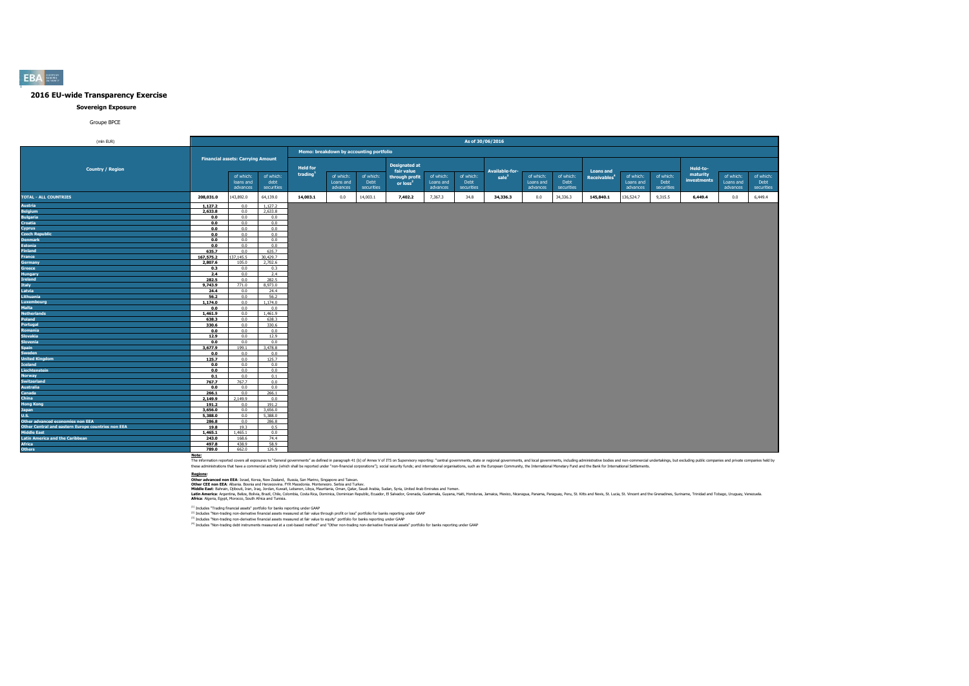#### **Sovereign Exposure**

#### Groupe BPCE

| (mln EUR)                                          |                    |                                          |              |                 |                                         |            |                                    |           | As of 30/06/2016 |                   |           |            |                          |           |            |             |           |            |
|----------------------------------------------------|--------------------|------------------------------------------|--------------|-----------------|-----------------------------------------|------------|------------------------------------|-----------|------------------|-------------------|-----------|------------|--------------------------|-----------|------------|-------------|-----------|------------|
|                                                    |                    |                                          |              |                 |                                         |            |                                    |           |                  |                   |           |            |                          |           |            |             |           |            |
|                                                    |                    |                                          |              |                 | Memo: breakdown by accounting portfolio |            |                                    |           |                  |                   |           |            |                          |           |            |             |           |            |
|                                                    |                    | <b>Financial assets: Carrying Amount</b> |              |                 |                                         |            |                                    |           |                  |                   |           |            |                          |           |            |             |           |            |
| <b>Country / Region</b>                            |                    |                                          |              | <b>Held for</b> |                                         |            | <b>Designated at</b><br>fair value |           |                  | Available-for-    |           |            | <b>Loans and</b>         |           |            | Held-to-    |           |            |
|                                                    |                    | of which:                                | of which:    | trading         | of which:                               | of which:  | through profit                     | of which: | of which:        | sale <sup>3</sup> | of which: | of which:  | Receivables <sup>4</sup> | of which: | of which:  | maturity    | of which: | of which:  |
|                                                    |                    | loans and                                | debt         |                 | Loans and                               | Debt       | or loss <sup>2</sup>               | Loans and | Debt             |                   | Loans and | Debt       |                          | Loans and | Debt       | investments | Loans and | Debt       |
|                                                    |                    | advances                                 | securities   |                 | advances                                | securities |                                    | advances  | securities       |                   | advances  | securities |                          | advances  | securities |             | advances  | securities |
| <b>TOTAL - ALL COUNTRIES</b>                       | 208,031.0          | 143,892.0                                | 64,139.0     | 14,003.1        | 0.0                                     | 14,003.1   | 7,402.2                            | 7,367.3   | 34.8             | 34,336.3          | 0.0       | 34,336.3   | 145,840.1                | 136,524.7 | 9,315.5    | 6,449.4     | 0.0       | 6,449.4    |
| Austria                                            | 1,127.2            | 0.0                                      | 1,127.2      |                 |                                         |            |                                    |           |                  |                   |           |            |                          |           |            |             |           |            |
| <b>Belgium</b>                                     | 2,633.8            | 0.0                                      | 2.633.8      |                 |                                         |            |                                    |           |                  |                   |           |            |                          |           |            |             |           |            |
| <b>Bulgaria</b>                                    | 0.0                | 0.0                                      | 0.0          |                 |                                         |            |                                    |           |                  |                   |           |            |                          |           |            |             |           |            |
| Croatia                                            | 0.0                | 0.0                                      | 0.0          |                 |                                         |            |                                    |           |                  |                   |           |            |                          |           |            |             |           |            |
| Cyprus                                             | 0.0                | 0.0                                      | 0.0          |                 |                                         |            |                                    |           |                  |                   |           |            |                          |           |            |             |           |            |
| <b>Czech Republic</b>                              | 0.0                | 0.0                                      | 0.0          |                 |                                         |            |                                    |           |                  |                   |           |            |                          |           |            |             |           |            |
| <b>Denmark</b>                                     | 0.0                | 0.0                                      | 0.0          |                 |                                         |            |                                    |           |                  |                   |           |            |                          |           |            |             |           |            |
| <b>Estonia</b><br><b>Finland</b>                   | 0.0                | 0.0<br>0.0                               | 0.0<br>635.7 |                 |                                         |            |                                    |           |                  |                   |           |            |                          |           |            |             |           |            |
|                                                    | 635.7<br>167,575.2 | 37.145.5                                 | 30,429.7     |                 |                                         |            |                                    |           |                  |                   |           |            |                          |           |            |             |           |            |
| France<br><b>Germany</b>                           | 2,807.6            | 105.0                                    | 2,702.6      |                 |                                         |            |                                    |           |                  |                   |           |            |                          |           |            |             |           |            |
| Greece                                             | 0.3                | 0.0                                      | 0.3          |                 |                                         |            |                                    |           |                  |                   |           |            |                          |           |            |             |           |            |
| <b>Hungary</b>                                     | 2.4                | 0.0                                      | 2.4          |                 |                                         |            |                                    |           |                  |                   |           |            |                          |           |            |             |           |            |
| Ireland                                            | 282.5              | 0.0                                      | 282.5        |                 |                                         |            |                                    |           |                  |                   |           |            |                          |           |            |             |           |            |
| <b>Italy</b>                                       | 9,743.9            | 771.0                                    | 8.973.0      |                 |                                         |            |                                    |           |                  |                   |           |            |                          |           |            |             |           |            |
| Latvia                                             | 24.4               | 0.0                                      | 24.4         |                 |                                         |            |                                    |           |                  |                   |           |            |                          |           |            |             |           |            |
| Lithuania                                          | 56.2               | 0.0                                      | 56.2         |                 |                                         |            |                                    |           |                  |                   |           |            |                          |           |            |             |           |            |
| Luxembourg                                         | 1,174.0            | 0.0                                      | 1,174.0      |                 |                                         |            |                                    |           |                  |                   |           |            |                          |           |            |             |           |            |
| Malta                                              | 0.0                | 0.0                                      | 0.0          |                 |                                         |            |                                    |           |                  |                   |           |            |                          |           |            |             |           |            |
| <b>Netherlands</b>                                 | 1,461.9            | 0.0                                      | 1,461.9      |                 |                                         |            |                                    |           |                  |                   |           |            |                          |           |            |             |           |            |
| Poland                                             | 638.3              | 0.0                                      | 638.3        |                 |                                         |            |                                    |           |                  |                   |           |            |                          |           |            |             |           |            |
| Portugal                                           | 330.6              | 0.0                                      | 330.6        |                 |                                         |            |                                    |           |                  |                   |           |            |                          |           |            |             |           |            |
| Romania                                            | 0.0                | 0.0                                      | 0.0          |                 |                                         |            |                                    |           |                  |                   |           |            |                          |           |            |             |           |            |
| Slovakia                                           | 12.9               | 0.0                                      | 12.9         |                 |                                         |            |                                    |           |                  |                   |           |            |                          |           |            |             |           |            |
| <b>Slovenia</b>                                    | 0.0                | 0.0                                      | 0.0          |                 |                                         |            |                                    |           |                  |                   |           |            |                          |           |            |             |           |            |
| <b>Spain</b>                                       | 3,677.9            | 199.1                                    | 3,478.8      |                 |                                         |            |                                    |           |                  |                   |           |            |                          |           |            |             |           |            |
| Sweden                                             | 0.0                | 0.0                                      | 0.0          |                 |                                         |            |                                    |           |                  |                   |           |            |                          |           |            |             |           |            |
| <b>United Kingdom</b><br>Iceland                   | 125.7<br>0.0       | 0.0<br>0.0                               | 125.7<br>0.0 |                 |                                         |            |                                    |           |                  |                   |           |            |                          |           |            |             |           |            |
| Liechtenstein                                      | 0.0                | 0.0                                      | 0.0          |                 |                                         |            |                                    |           |                  |                   |           |            |                          |           |            |             |           |            |
| Norway                                             | 0.1                | 0.0                                      | 0.1          |                 |                                         |            |                                    |           |                  |                   |           |            |                          |           |            |             |           |            |
| <b>Switzerland</b>                                 | 767.7              | 767.7                                    | 0.0          |                 |                                         |            |                                    |           |                  |                   |           |            |                          |           |            |             |           |            |
| <b>Australia</b>                                   | 0.0                | 0.0                                      | 0.0          |                 |                                         |            |                                    |           |                  |                   |           |            |                          |           |            |             |           |            |
| Canada                                             | 266.1              | 0.0                                      | 266.1        |                 |                                         |            |                                    |           |                  |                   |           |            |                          |           |            |             |           |            |
| China                                              | 2,149.9            | 2,149.9                                  | 0.0          |                 |                                         |            |                                    |           |                  |                   |           |            |                          |           |            |             |           |            |
| <b>Hong Kong</b>                                   | 191.2              | 0.0                                      | 191.2        |                 |                                         |            |                                    |           |                  |                   |           |            |                          |           |            |             |           |            |
| Japan                                              | 3,656.0            | 0.0                                      | 3.656.0      |                 |                                         |            |                                    |           |                  |                   |           |            |                          |           |            |             |           |            |
| U.S.                                               | 5,388.0            | 0.0                                      | 5,388.0      |                 |                                         |            |                                    |           |                  |                   |           |            |                          |           |            |             |           |            |
| Other advanced economies non EEA                   | 286.8              | 0.0                                      | 286.8        |                 |                                         |            |                                    |           |                  |                   |           |            |                          |           |            |             |           |            |
| Other Central and eastern Europe countries non EEA | 19.8               | 19.3                                     | 0.5          |                 |                                         |            |                                    |           |                  |                   |           |            |                          |           |            |             |           |            |
| Middle East                                        | 1,465.1            | 1,465.1                                  | 0.0          |                 |                                         |            |                                    |           |                  |                   |           |            |                          |           |            |             |           |            |
| <b>Latin America and the Caribbean</b>             | 243.0              | 168.6                                    | 74.4         |                 |                                         |            |                                    |           |                  |                   |           |            |                          |           |            |             |           |            |
| <b>Africa</b>                                      | 497.8              | 438.9                                    | 58.9         |                 |                                         |            |                                    |           |                  |                   |           |            |                          |           |            |             |           |            |
| <b>Others</b>                                      | 789.0              | 662.0                                    | 126.9        |                 |                                         |            |                                    |           |                  |                   |           |            |                          |           |            |             |           |            |

Note:<br>The information reported covers all exposures to "General governments" as defined in paraggin 41 (b) of Annex V of ITS on Supervisory reporting: "central governments, state or regional governments, and both governmen

**Redions:**<br>Other afvanced non EEA: Israel, Korea, New Zealand, Russia, San Marino, Singore and Taiwan.<br>Middle East: Bahain, Dilouti, Iran, Iran, Jordan, Kuran, Libya, Mewhamenn: Semina, Oman, Suna, Suna, Suna, United Arab

(1) Includes "Trading financial assets" portfolio for banks reporting under GAAP

<sup>(2)</sup> Includes "Non-trading non-derivative financial assets measured at fair value through profit or loss" portfolio for banks reporting under GAAP<br><sup>03</sup> Includes "Non-trading non-derivative financial and and the major bank

#### **EBA**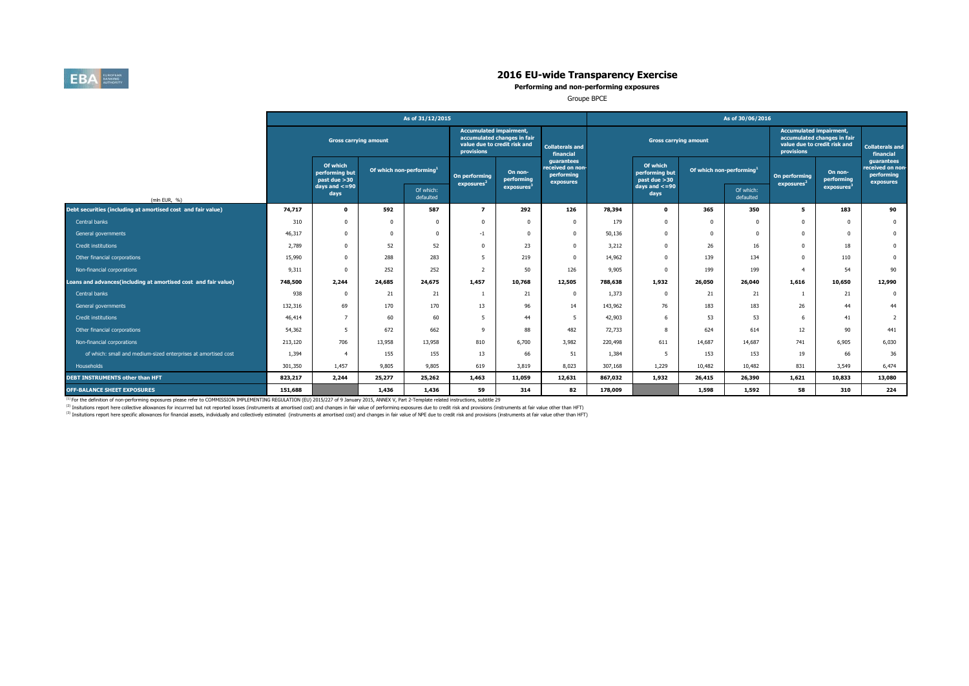

**Performing and non-performing exposures**

Groupe BPCE

|                                                                |         |                                            |                         | As of 31/12/2015       |                                                                                                                    |                        |                                                           | As of 30/06/2016 |                                             |                                      |                        |                                                                                                             |                        |                                                           |  |  |  |
|----------------------------------------------------------------|---------|--------------------------------------------|-------------------------|------------------------|--------------------------------------------------------------------------------------------------------------------|------------------------|-----------------------------------------------------------|------------------|---------------------------------------------|--------------------------------------|------------------------|-------------------------------------------------------------------------------------------------------------|------------------------|-----------------------------------------------------------|--|--|--|
|                                                                |         |                                            |                         |                        | <b>Accumulated impairment,</b><br>accumulated changes in fair<br>value due to credit risk and<br><b>provisions</b> |                        | <b>Collaterals and</b><br>financial                       |                  | <b>Gross carrying amount</b>                |                                      |                        | <b>Accumulated impairment,</b><br>accumulated changes in fair<br>value due to credit risk and<br>provisions |                        | <b>Collaterals and</b><br>financial                       |  |  |  |
|                                                                |         | Of which<br>performing but<br>past due >30 | Of which non-performing |                        | On performing<br>exposures <sup>2</sup>                                                                            | On non-<br>performing  | quarantees<br>received on non-<br>performing<br>exposures |                  | Of which<br>performing but<br>past due > 30 | Of which non-performing <sup>1</sup> |                        | On performing<br>exposures <sup>2</sup>                                                                     | On non-<br>performing  | guarantees<br>received on non-<br>performing<br>exposures |  |  |  |
| (mln EUR, %)                                                   |         | days and $\lt$ =90<br>days                 |                         | Of which:<br>defaulted |                                                                                                                    | exposures <sup>3</sup> |                                                           |                  | $days$ and $<=90$<br>days                   |                                      | Of which:<br>defaulted |                                                                                                             | exposures <sup>3</sup> |                                                           |  |  |  |
| Debt securities (including at amortised cost and fair value)   | 74,717  | $\mathbf{0}$                               | 592                     | 587                    | $\overline{ }$                                                                                                     | 292                    | 126                                                       | 78,394           | $\mathbf 0$                                 | 365                                  | 350                    | 5                                                                                                           | 183                    | 90                                                        |  |  |  |
| Central banks                                                  | 310     | 0                                          |                         | $\Omega$               |                                                                                                                    |                        | $\Omega$                                                  | 179              | $\Omega$                                    |                                      | $\Omega$               | $\Omega$                                                                                                    | $\Omega$               | $\mathbf{0}$                                              |  |  |  |
| General governments                                            | 46,317  | 0                                          |                         | $\Omega$               | $-1$                                                                                                               |                        | $\Omega$                                                  | 50,136           | $\Omega$                                    |                                      | $\Omega$               | $\Omega$                                                                                                    | $\Omega$               | $\mathbf{0}$                                              |  |  |  |
| Credit institutions                                            | 2,789   | $\Omega$                                   | 52                      | 52                     | $\Omega$                                                                                                           | 23                     | $\Omega$                                                  | 3,212            | $\Omega$                                    | 26                                   | 16                     | $^{\circ}$                                                                                                  | 18                     | $\mathbf 0$                                               |  |  |  |
| Other financial corporations                                   | 15,990  | 0                                          | 288                     | 283                    | 5                                                                                                                  | 219                    | $\Omega$                                                  | 14,962           | $\Omega$                                    | 139                                  | 134                    | $\mathbf{0}$                                                                                                | 110                    | $\mathbf 0$                                               |  |  |  |
| Non-financial corporations                                     | 9,311   | 0                                          | 252                     | 252                    | $\overline{ }$                                                                                                     | 50                     | 126                                                       | 9,905            | $\Omega$                                    | 199                                  | 199                    | $\overline{4}$                                                                                              | 54                     | 90                                                        |  |  |  |
| Loans and advances(including at amortised cost and fair value) | 748,500 | 2,244                                      | 24,685                  | 24,675                 | 1,457                                                                                                              | 10,768                 | 12,505                                                    | 788,638          | 1,932                                       | 26,050                               | 26,040                 | 1,616                                                                                                       | 10,650                 | 12,990                                                    |  |  |  |
| Central banks                                                  | 938     | $\Omega$                                   | 21                      | 21                     |                                                                                                                    | 21                     | $\mathbf 0$                                               | 1,373            | $\Omega$                                    | 21                                   | 21                     |                                                                                                             | 21                     | $\mathbf{0}$                                              |  |  |  |
| General governments                                            | 132,316 | 69                                         | 170                     | 170                    | 13                                                                                                                 | 96                     | 14                                                        | 143,962          | 76                                          | 183                                  | 183                    | 26                                                                                                          | 44                     | 44                                                        |  |  |  |
| Credit institutions                                            | 46,414  |                                            | 60                      | 60                     | -5                                                                                                                 | 44                     | 5                                                         | 42,903           | 6                                           | 53                                   | 53                     | 6                                                                                                           | 41                     | $\overline{2}$                                            |  |  |  |
| Other financial corporations                                   | 54,362  | 5                                          | 672                     | 662                    | 9                                                                                                                  | 88                     | 482                                                       | 72,733           | 8                                           | 624                                  | 614                    | 12                                                                                                          | 90                     | 441                                                       |  |  |  |
| Non-financial corporations                                     | 213,120 | 706                                        | 13,958                  | 13,958                 | 810                                                                                                                | 6,700                  | 3,982                                                     | 220,498          | 611                                         | 14,687                               | 14,687                 | 741                                                                                                         | 6.905                  | 6,030                                                     |  |  |  |
| of which: small and medium-sized enterprises at amortised cost | 1,394   |                                            | 155                     | 155                    | 13                                                                                                                 | 66                     | 51                                                        | 1,384            | 5                                           | 153                                  | 153                    | 19                                                                                                          | 66                     | 36                                                        |  |  |  |
| Households                                                     | 301,350 | 1,457                                      | 9,805                   | 9,805                  | 619                                                                                                                | 3,819                  | 8,023                                                     | 307,168          | 1,229                                       | 10,482                               | 10,482                 | 831                                                                                                         | 3,549                  | 6,474                                                     |  |  |  |
| DEBT INSTRUMENTS other than HFT                                | 823,217 | 2,244                                      | 25,277                  | 25,262                 | 1,463                                                                                                              | 11,059                 | 12,631                                                    | 867,032          | 1,932                                       | 26,415                               | 26,390                 | 1,621                                                                                                       | 10,833                 | 13,080                                                    |  |  |  |
| <b>OFF-BALANCE SHEET EXPOSURES</b>                             | 151,688 |                                            | 1,436                   | 1,436                  | 59                                                                                                                 | 314                    | 82                                                        | 178,009          |                                             | 1,598                                | 1,592                  | 58                                                                                                          | 310                    | 224                                                       |  |  |  |

<sup>(1)</sup> For the definition of non-performing exposures please refer to COMMISSION IMPLEMENTING REGULATION (EU) 2015/227 of 9 January 2015, ANNEX V, Part 2-Template related instructions, subtitle 29

<sup>(2)</sup> Insitutions report here collective allowances for incurrred but not reported losses (instruments at amortised cost) and changes in fair value of performing exposures due to credit risk and provisions (instruments at

<sup>(3)</sup> Insitutions report here specific allowances for financial assets, individually and collectively estimated (instruments at amortised cost) and changes in fair value of NPE due to credit risk and provisions (instrument